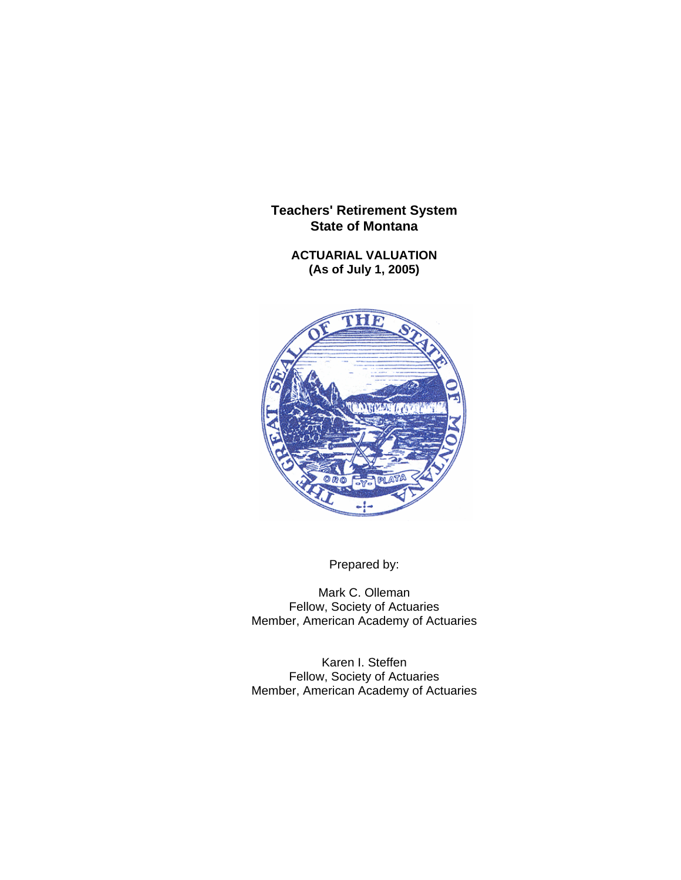**ACTUARIAL VALUATION (As of July 1, 2005)** 



Prepared by:

Mark C. Olleman Fellow, Society of Actuaries Member, American Academy of Actuaries

Karen I. Steffen Fellow, Society of Actuaries Member, American Academy of Actuaries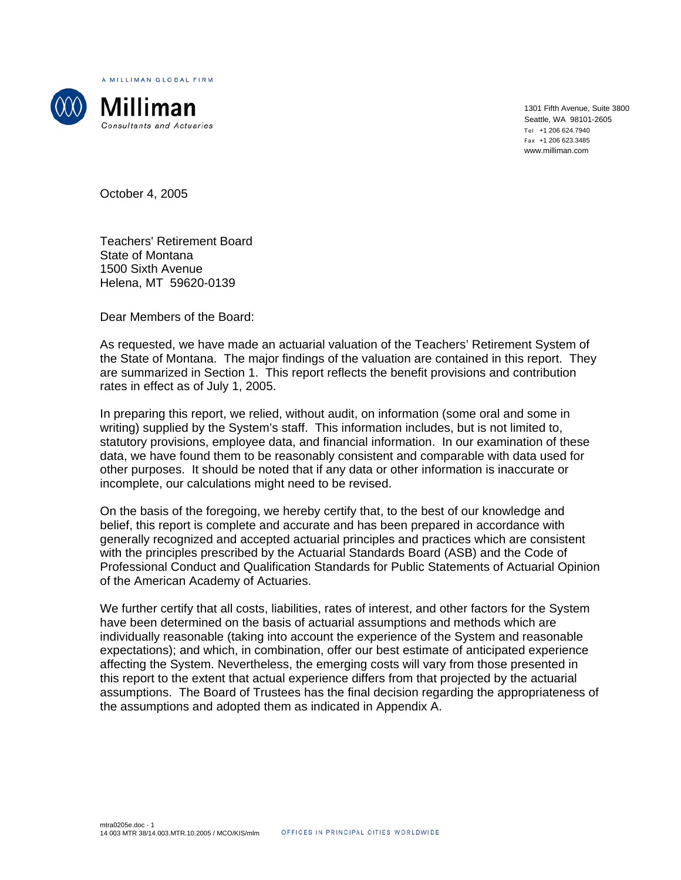A MILLIMAN GLOBAL FIRM



Milliman Consultants and Actuaries

1301 Fifth Avenue, Suite 3800 Seattle, WA 98101-2605 Tel +1 206 624.7940 Fax +1 206 623.3485 www.milliman.com

October 4, 2005

Teachers' Retirement Board State of Montana 1500 Sixth Avenue Helena, MT 59620-0139

Dear Members of the Board:

As requested, we have made an actuarial valuation of the Teachers' Retirement System of the State of Montana. The major findings of the valuation are contained in this report. They are summarized in Section 1. This report reflects the benefit provisions and contribution rates in effect as of July 1, 2005.

In preparing this report, we relied, without audit, on information (some oral and some in writing) supplied by the System's staff. This information includes, but is not limited to, statutory provisions, employee data, and financial information. In our examination of these data, we have found them to be reasonably consistent and comparable with data used for other purposes. It should be noted that if any data or other information is inaccurate or incomplete, our calculations might need to be revised.

On the basis of the foregoing, we hereby certify that, to the best of our knowledge and belief, this report is complete and accurate and has been prepared in accordance with generally recognized and accepted actuarial principles and practices which are consistent with the principles prescribed by the Actuarial Standards Board (ASB) and the Code of Professional Conduct and Qualification Standards for Public Statements of Actuarial Opinion of the American Academy of Actuaries.

We further certify that all costs, liabilities, rates of interest, and other factors for the System have been determined on the basis of actuarial assumptions and methods which are individually reasonable (taking into account the experience of the System and reasonable expectations); and which, in combination, offer our best estimate of anticipated experience affecting the System. Nevertheless, the emerging costs will vary from those presented in this report to the extent that actual experience differs from that projected by the actuarial assumptions. The Board of Trustees has the final decision regarding the appropriateness of the assumptions and adopted them as indicated in Appendix A.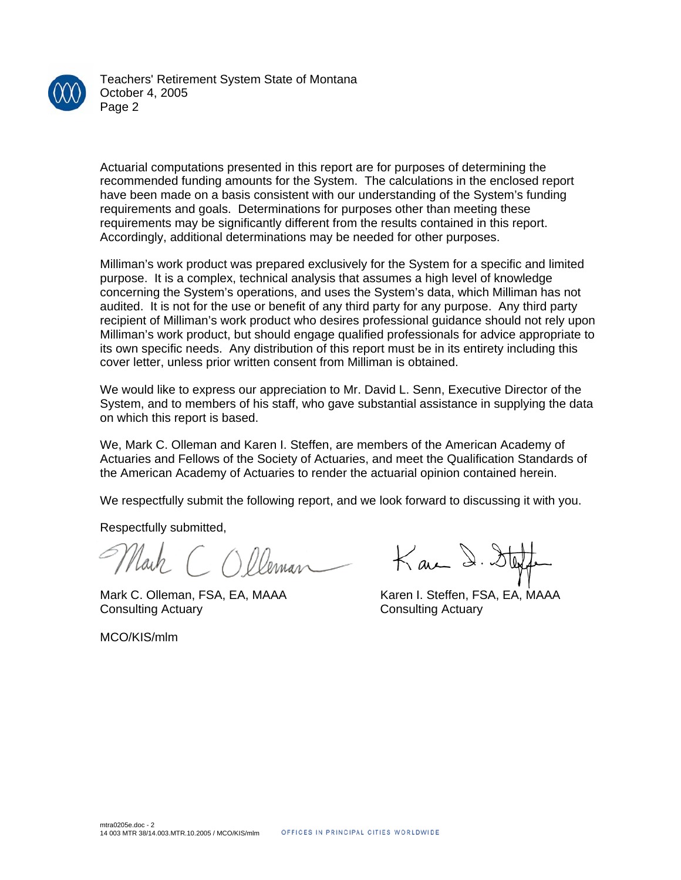

Teachers' Retirement System State of Montana October 4, 2005 Page 2

Actuarial computations presented in this report are for purposes of determining the recommended funding amounts for the System. The calculations in the enclosed report have been made on a basis consistent with our understanding of the System's funding requirements and goals. Determinations for purposes other than meeting these requirements may be significantly different from the results contained in this report. Accordingly, additional determinations may be needed for other purposes.

Milliman's work product was prepared exclusively for the System for a specific and limited purpose. It is a complex, technical analysis that assumes a high level of knowledge concerning the System's operations, and uses the System's data, which Milliman has not audited. It is not for the use or benefit of any third party for any purpose. Any third party recipient of Milliman's work product who desires professional guidance should not rely upon Milliman's work product, but should engage qualified professionals for advice appropriate to its own specific needs. Any distribution of this report must be in its entirety including this cover letter, unless prior written consent from Milliman is obtained.

We would like to express our appreciation to Mr. David L. Senn, Executive Director of the System, and to members of his staff, who gave substantial assistance in supplying the data on which this report is based.

We, Mark C. Olleman and Karen I. Steffen, are members of the American Academy of Actuaries and Fellows of the Society of Actuaries, and meet the Qualification Standards of the American Academy of Actuaries to render the actuarial opinion contained herein.

We respectfully submit the following report, and we look forward to discussing it with you.

Respectfully submitted,

Mark C. Olleman, FSA, EA, MAAA Karen I. Steffen, FSA, EA, MAAA Consulting Actuary Consulting Actuary

 $K$  au  $\lambda$ .

MCO/KIS/mlm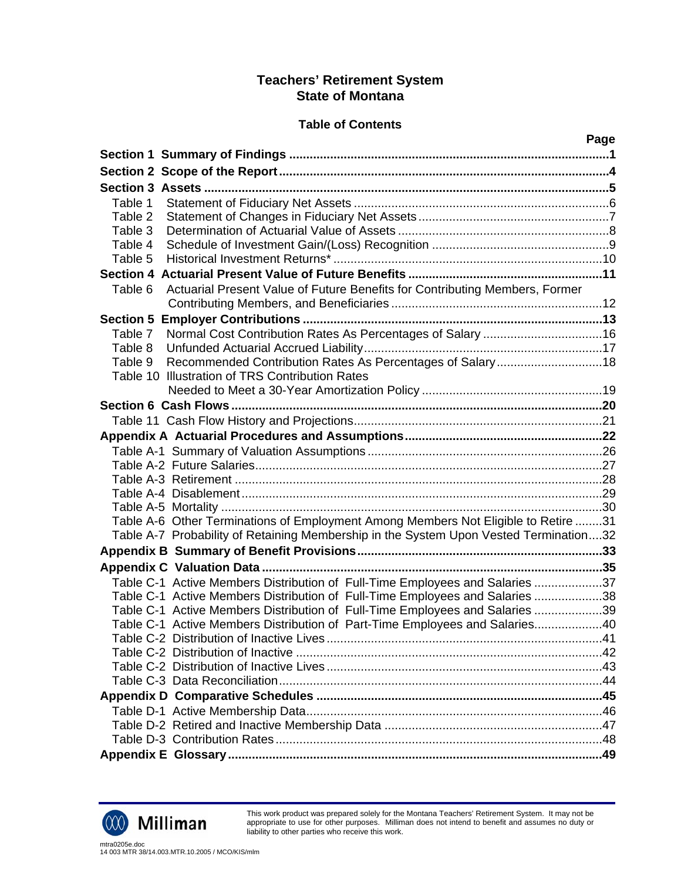## **Table of Contents**

|                                                                                        | Page |
|----------------------------------------------------------------------------------------|------|
|                                                                                        |      |
|                                                                                        |      |
|                                                                                        |      |
| Table 1                                                                                |      |
| Table 2                                                                                |      |
| Table 3                                                                                |      |
| Table 4                                                                                |      |
| Table 5                                                                                |      |
|                                                                                        |      |
| Actuarial Present Value of Future Benefits for Contributing Members, Former<br>Table 6 |      |
|                                                                                        |      |
|                                                                                        |      |
| Table 7                                                                                |      |
| Table 8                                                                                |      |
| Recommended Contribution Rates As Percentages of Salary18<br>Table 9                   |      |
| Table 10 Illustration of TRS Contribution Rates                                        |      |
|                                                                                        |      |
|                                                                                        |      |
|                                                                                        |      |
|                                                                                        |      |
|                                                                                        |      |
|                                                                                        |      |
|                                                                                        |      |
|                                                                                        |      |
|                                                                                        |      |
| Table A-6 Other Terminations of Employment Among Members Not Eligible to Retire 31     |      |
| Table A-7 Probability of Retaining Membership in the System Upon Vested Termination32  |      |
|                                                                                        |      |
|                                                                                        |      |
| Table C-1 Active Members Distribution of Full-Time Employees and Salaries 37           |      |
| Table C-1 Active Members Distribution of Full-Time Employees and Salaries 38           |      |
| Table C-1 Active Members Distribution of Full-Time Employees and Salaries 39           |      |
| Table C-1 Active Members Distribution of Part-Time Employees and Salaries40            |      |
|                                                                                        |      |
|                                                                                        |      |
|                                                                                        |      |
|                                                                                        |      |
|                                                                                        |      |
|                                                                                        |      |
|                                                                                        |      |
|                                                                                        |      |
|                                                                                        |      |



This work product was prepared solely for the Montana Teachers' Retirement System. It may not be appropriate to use for other purposes. Milliman does not intend to benefit and assumes no duty or liability to other parties who receive this work.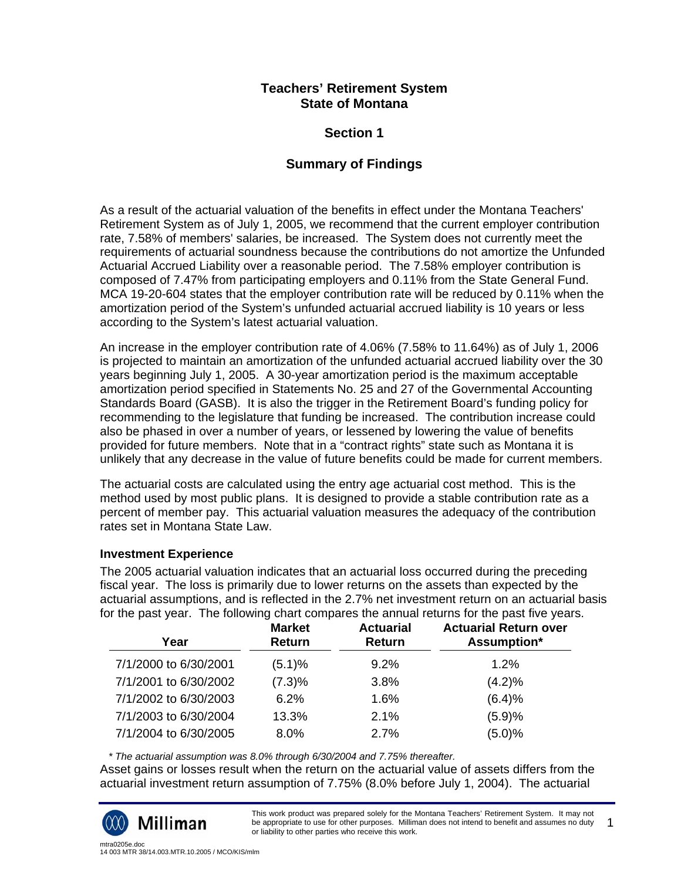## **Section 1**

## **Summary of Findings**

As a result of the actuarial valuation of the benefits in effect under the Montana Teachers' Retirement System as of July 1, 2005, we recommend that the current employer contribution rate, 7.58% of members' salaries, be increased. The System does not currently meet the requirements of actuarial soundness because the contributions do not amortize the Unfunded Actuarial Accrued Liability over a reasonable period. The 7.58% employer contribution is composed of 7.47% from participating employers and 0.11% from the State General Fund. MCA 19-20-604 states that the employer contribution rate will be reduced by 0.11% when the amortization period of the System's unfunded actuarial accrued liability is 10 years or less according to the System's latest actuarial valuation.

An increase in the employer contribution rate of 4.06% (7.58% to 11.64%) as of July 1, 2006 is projected to maintain an amortization of the unfunded actuarial accrued liability over the 30 years beginning July 1, 2005. A 30-year amortization period is the maximum acceptable amortization period specified in Statements No. 25 and 27 of the Governmental Accounting Standards Board (GASB). It is also the trigger in the Retirement Board's funding policy for recommending to the legislature that funding be increased. The contribution increase could also be phased in over a number of years, or lessened by lowering the value of benefits provided for future members. Note that in a "contract rights" state such as Montana it is unlikely that any decrease in the value of future benefits could be made for current members.

The actuarial costs are calculated using the entry age actuarial cost method. This is the method used by most public plans. It is designed to provide a stable contribution rate as a percent of member pay. This actuarial valuation measures the adequacy of the contribution rates set in Montana State Law.

#### **Investment Experience**

The 2005 actuarial valuation indicates that an actuarial loss occurred during the preceding fiscal year. The loss is primarily due to lower returns on the assets than expected by the actuarial assumptions, and is reflected in the 2.7% net investment return on an actuarial basis for the past year. The following chart compares the annual returns for the past five years.

| Year                  | ີ<br><b>Market</b><br>Return | <b>Actuarial</b><br>Return | <b>Actuarial Return over</b><br>Assumption* |
|-----------------------|------------------------------|----------------------------|---------------------------------------------|
| 7/1/2000 to 6/30/2001 | (5.1)%                       | 9.2%                       | 1.2%                                        |
| 7/1/2001 to 6/30/2002 | (7.3)%                       | 3.8%                       | (4.2)%                                      |
| 7/1/2002 to 6/30/2003 | 6.2%                         | 1.6%                       | (6.4)%                                      |
| 7/1/2003 to 6/30/2004 | 13.3%                        | 2.1%                       | (5.9)%                                      |
| 7/1/2004 to 6/30/2005 | 8.0%                         | 2.7%                       | $(5.0)\%$                                   |

 *\* The actuarial assumption was 8.0% through 6/30/2004 and 7.75% thereafter.* 

Asset gains or losses result when the return on the actuarial value of assets differs from the actuarial investment return assumption of 7.75% (8.0% before July 1, 2004). The actuarial



This work product was prepared solely for the Montana Teachers' Retirement System. It may not be appropriate to use for other purposes. Milliman does not intend to benefit and assumes no duty or liability to other parties who receive this work. 1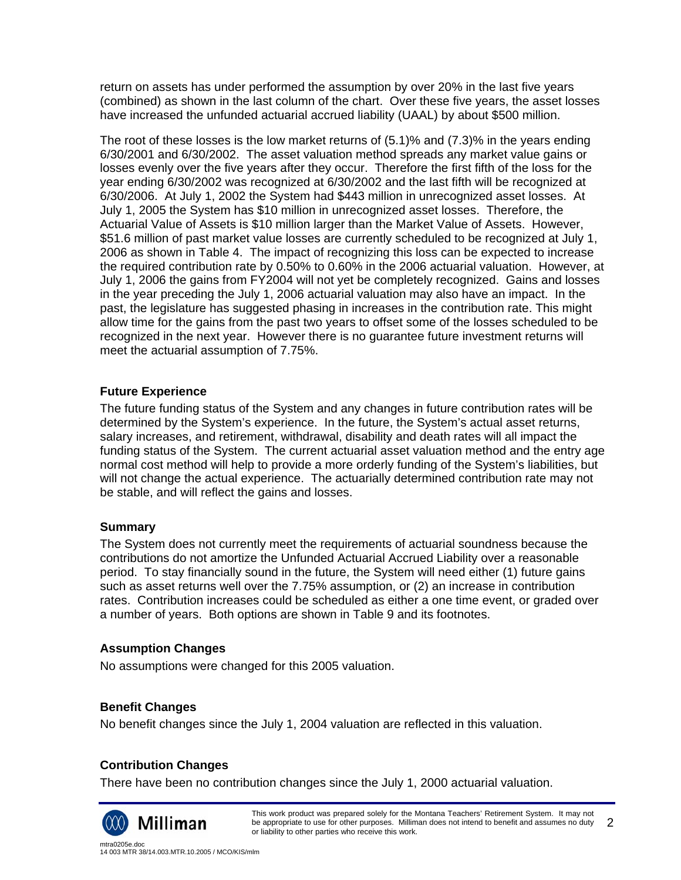return on assets has under performed the assumption by over 20% in the last five years (combined) as shown in the last column of the chart. Over these five years, the asset losses have increased the unfunded actuarial accrued liability (UAAL) by about \$500 million.

The root of these losses is the low market returns of (5.1)% and (7.3)% in the years ending 6/30/2001 and 6/30/2002. The asset valuation method spreads any market value gains or losses evenly over the five years after they occur. Therefore the first fifth of the loss for the year ending 6/30/2002 was recognized at 6/30/2002 and the last fifth will be recognized at 6/30/2006. At July 1, 2002 the System had \$443 million in unrecognized asset losses. At July 1, 2005 the System has \$10 million in unrecognized asset losses. Therefore, the Actuarial Value of Assets is \$10 million larger than the Market Value of Assets. However, \$51.6 million of past market value losses are currently scheduled to be recognized at July 1, 2006 as shown in Table 4. The impact of recognizing this loss can be expected to increase the required contribution rate by 0.50% to 0.60% in the 2006 actuarial valuation. However, at July 1, 2006 the gains from FY2004 will not yet be completely recognized. Gains and losses in the year preceding the July 1, 2006 actuarial valuation may also have an impact. In the past, the legislature has suggested phasing in increases in the contribution rate. This might allow time for the gains from the past two years to offset some of the losses scheduled to be recognized in the next year. However there is no guarantee future investment returns will meet the actuarial assumption of 7.75%.

## **Future Experience**

The future funding status of the System and any changes in future contribution rates will be determined by the System's experience. In the future, the System's actual asset returns, salary increases, and retirement, withdrawal, disability and death rates will all impact the funding status of the System. The current actuarial asset valuation method and the entry age normal cost method will help to provide a more orderly funding of the System's liabilities, but will not change the actual experience. The actuarially determined contribution rate may not be stable, and will reflect the gains and losses.

## **Summary**

The System does not currently meet the requirements of actuarial soundness because the contributions do not amortize the Unfunded Actuarial Accrued Liability over a reasonable period. To stay financially sound in the future, the System will need either (1) future gains such as asset returns well over the 7.75% assumption, or (2) an increase in contribution rates. Contribution increases could be scheduled as either a one time event, or graded over a number of years. Both options are shown in Table 9 and its footnotes.

#### **Assumption Changes**

No assumptions were changed for this 2005 valuation.

## **Benefit Changes**

No benefit changes since the July 1, 2004 valuation are reflected in this valuation.

## **Contribution Changes**

There have been no contribution changes since the July 1, 2000 actuarial valuation.

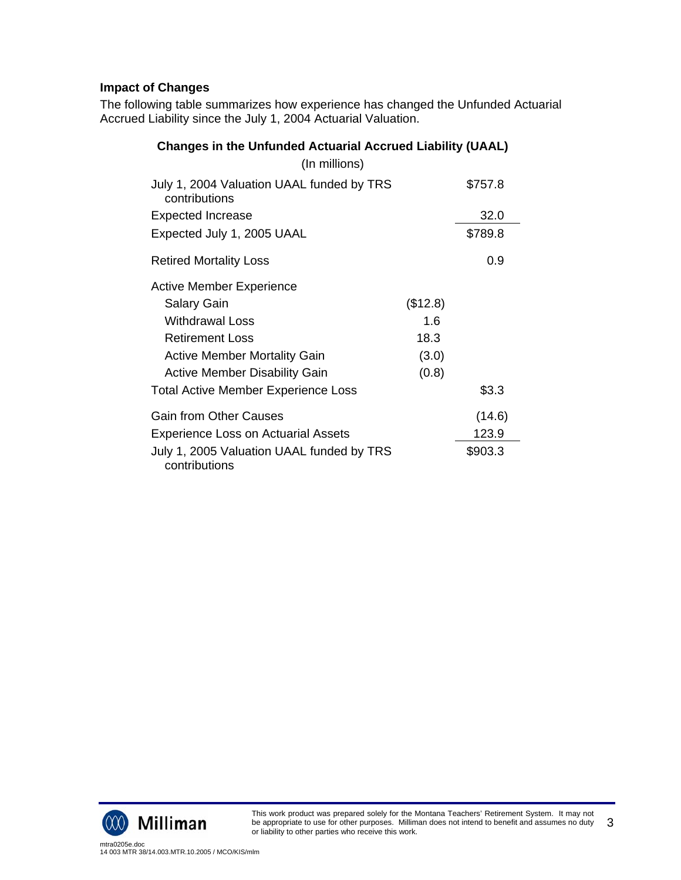# **Impact of Changes**

The following table summarizes how experience has changed the Unfunded Actuarial Accrued Liability since the July 1, 2004 Actuarial Valuation.

| <b>Changes in the Unfunded Actuarial Accrued Liability (UAAL)</b> |          |         |
|-------------------------------------------------------------------|----------|---------|
| (In millions)                                                     |          |         |
| July 1, 2004 Valuation UAAL funded by TRS<br>contributions        |          | \$757.8 |
| <b>Expected Increase</b>                                          |          | 32.0    |
| Expected July 1, 2005 UAAL                                        |          | \$789.8 |
| <b>Retired Mortality Loss</b>                                     |          | 0.9     |
| Active Member Experience                                          |          |         |
| <b>Salary Gain</b>                                                | (\$12.8) |         |
| Withdrawal Loss                                                   | 1.6      |         |
| <b>Retirement Loss</b>                                            | 18.3     |         |
| <b>Active Member Mortality Gain</b>                               | (3.0)    |         |
| <b>Active Member Disability Gain</b>                              | (0.8)    |         |
| <b>Total Active Member Experience Loss</b>                        |          | \$3.3   |
| <b>Gain from Other Causes</b>                                     |          | (14.6)  |
| <b>Experience Loss on Actuarial Assets</b>                        |          | 123.9   |
| July 1, 2005 Valuation UAAL funded by TRS<br>contributions        |          | \$903.3 |

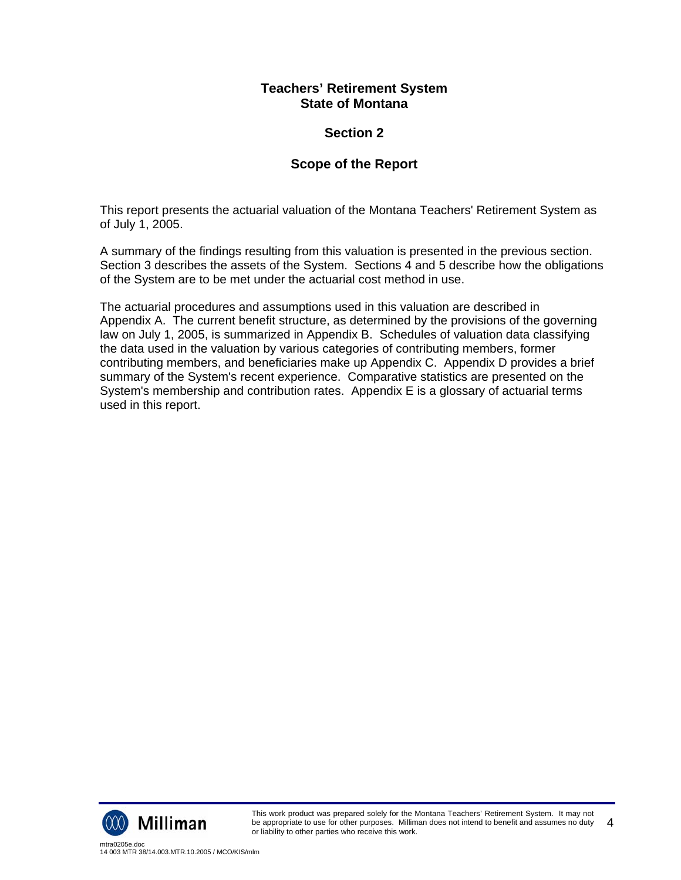## **Section 2**

## **Scope of the Report**

This report presents the actuarial valuation of the Montana Teachers' Retirement System as of July 1, 2005.

A summary of the findings resulting from this valuation is presented in the previous section. Section 3 describes the assets of the System. Sections 4 and 5 describe how the obligations of the System are to be met under the actuarial cost method in use.

The actuarial procedures and assumptions used in this valuation are described in Appendix A. The current benefit structure, as determined by the provisions of the governing law on July 1, 2005, is summarized in Appendix B. Schedules of valuation data classifying the data used in the valuation by various categories of contributing members, former contributing members, and beneficiaries make up Appendix C. Appendix D provides a brief summary of the System's recent experience. Comparative statistics are presented on the System's membership and contribution rates. Appendix E is a glossary of actuarial terms used in this report.

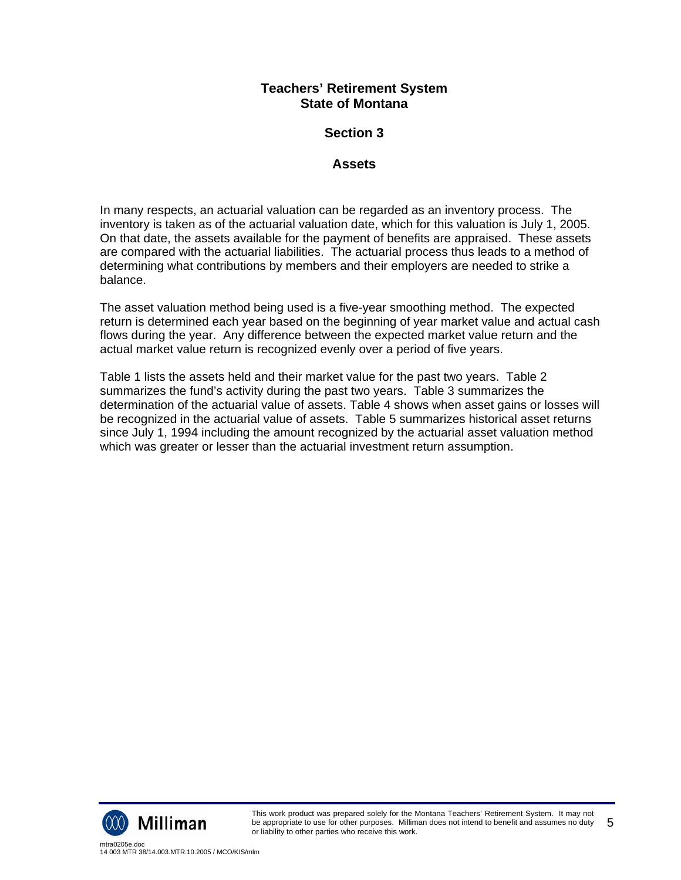## **Section 3**

## **Assets**

In many respects, an actuarial valuation can be regarded as an inventory process. The inventory is taken as of the actuarial valuation date, which for this valuation is July 1, 2005. On that date, the assets available for the payment of benefits are appraised. These assets are compared with the actuarial liabilities. The actuarial process thus leads to a method of determining what contributions by members and their employers are needed to strike a balance.

The asset valuation method being used is a five-year smoothing method. The expected return is determined each year based on the beginning of year market value and actual cash flows during the year. Any difference between the expected market value return and the actual market value return is recognized evenly over a period of five years.

Table 1 lists the assets held and their market value for the past two years. Table 2 summarizes the fund's activity during the past two years. Table 3 summarizes the determination of the actuarial value of assets. Table 4 shows when asset gains or losses will be recognized in the actuarial value of assets. Table 5 summarizes historical asset returns since July 1, 1994 including the amount recognized by the actuarial asset valuation method which was greater or lesser than the actuarial investment return assumption.

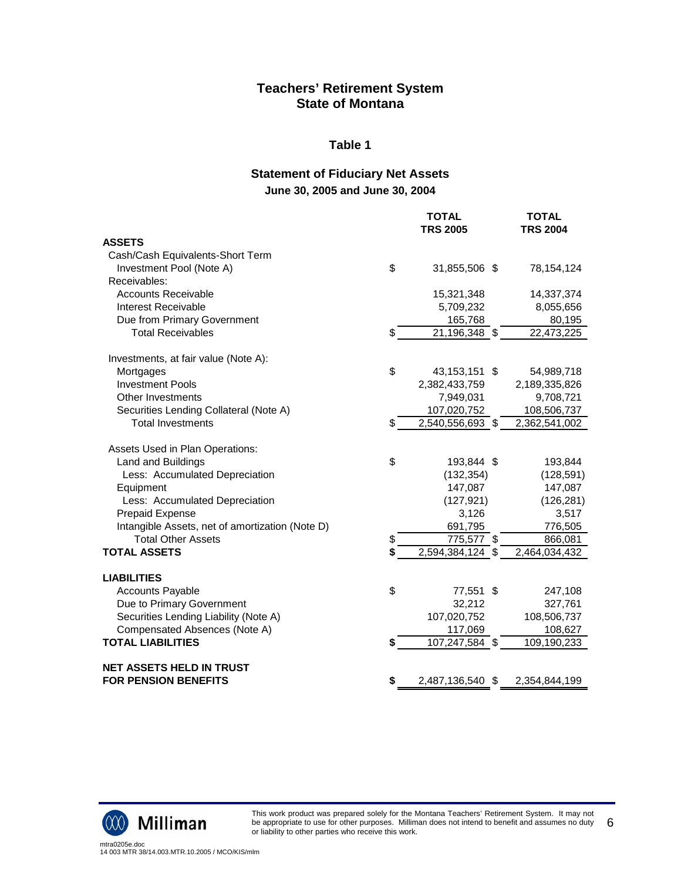#### **Table 1**

## **Statement of Fiduciary Net Assets June 30, 2005 and June 30, 2004**

|                                                 |    | <b>TOTAL</b><br><b>TRS 2005</b> | <b>TOTAL</b><br><b>TRS 2004</b> |
|-------------------------------------------------|----|---------------------------------|---------------------------------|
| <b>ASSETS</b>                                   |    |                                 |                                 |
| Cash/Cash Equivalents-Short Term                |    |                                 |                                 |
| Investment Pool (Note A)                        | \$ | 31,855,506 \$                   | 78,154,124                      |
| Receivables:                                    |    |                                 |                                 |
| <b>Accounts Receivable</b>                      |    | 15,321,348                      | 14,337,374                      |
| Interest Receivable                             |    | 5,709,232                       | 8,055,656                       |
| Due from Primary Government                     |    | 165,768                         | 80,195                          |
| <b>Total Receivables</b>                        | \$ | 21,196,348 \$                   | 22,473,225                      |
| Investments, at fair value (Note A):            |    |                                 |                                 |
| Mortgages                                       | \$ | 43,153,151 \$                   | 54,989,718                      |
| <b>Investment Pools</b>                         |    | 2,382,433,759                   | 2,189,335,826                   |
| <b>Other Investments</b>                        |    | 7,949,031                       | 9,708,721                       |
| Securities Lending Collateral (Note A)          |    | 107,020,752                     | 108,506,737                     |
| <b>Total Investments</b>                        | \$ | 2,540,556,693 \$                | 2,362,541,002                   |
| Assets Used in Plan Operations:                 |    |                                 |                                 |
| Land and Buildings                              | \$ | 193,844 \$                      | 193,844                         |
| Less: Accumulated Depreciation                  |    | (132, 354)                      | (128, 591)                      |
| Equipment                                       |    | 147,087                         | 147,087                         |
| Less: Accumulated Depreciation                  |    | (127, 921)                      | (126, 281)                      |
| <b>Prepaid Expense</b>                          |    | 3,126                           | 3,517                           |
| Intangible Assets, net of amortization (Note D) |    | 691,795                         | 776,505                         |
| <b>Total Other Assets</b>                       | \$ | 775,577 \$                      | 866,081                         |
| <b>TOTAL ASSETS</b>                             | S  | 2,594,384,124 \$                | 2,464,034,432                   |
| <b>LIABILITIES</b>                              |    |                                 |                                 |
| <b>Accounts Payable</b>                         | \$ | 77,551 \$                       | 247,108                         |
| Due to Primary Government                       |    | 32,212                          | 327,761                         |
| Securities Lending Liability (Note A)           |    | 107,020,752                     | 108,506,737                     |
| Compensated Absences (Note A)                   |    | 117,069                         | 108,627                         |
| <b>TOTAL LIABILITIES</b>                        | \$ | $\overline{107}, 247, 584$ \$   | 109,190,233                     |
| <b>NET ASSETS HELD IN TRUST</b>                 |    |                                 |                                 |
| <b>FOR PENSION BENEFITS</b>                     | \$ | 2,487,136,540 \$                | 2,354,844,199                   |



This work product was prepared solely for the Montana Teachers' Retirement System. It may not be appropriate to use for other purposes. Milliman does not intend to benefit and assumes no duty or liability to other parties who receive this work. 6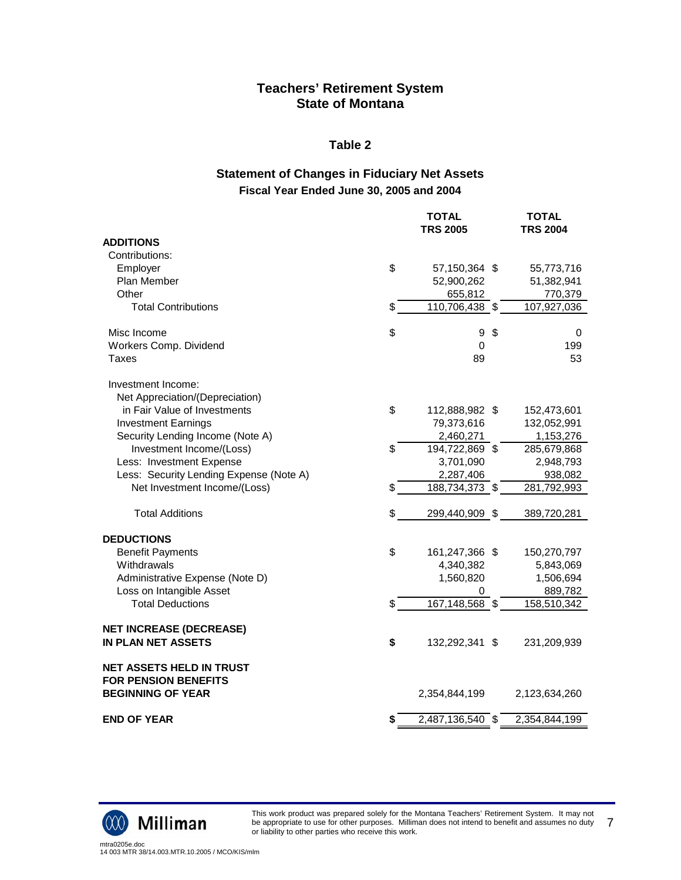#### **Table 2**

## **Statement of Changes in Fiduciary Net Assets Fiscal Year Ended June 30, 2005 and 2004**

|                                                         | <b>TOTAL</b><br><b>TRS 2005</b> | <b>TOTAL</b><br><b>TRS 2004</b> |
|---------------------------------------------------------|---------------------------------|---------------------------------|
| <b>ADDITIONS</b>                                        |                                 |                                 |
| Contributions:                                          |                                 |                                 |
| Employer                                                | \$<br>57,150,364 \$             | 55,773,716                      |
| Plan Member                                             | 52,900,262                      | 51,382,941                      |
| Other                                                   | 655,812                         | 770,379                         |
| <b>Total Contributions</b>                              | \$<br>110,706,438 \$            | 107,927,036                     |
| Misc Income                                             | \$<br>9                         | \$<br>0                         |
| Workers Comp. Dividend                                  | 0                               | 199                             |
| <b>Taxes</b>                                            | 89                              | 53                              |
| Investment Income:                                      |                                 |                                 |
| Net Appreciation/(Depreciation)                         |                                 |                                 |
| in Fair Value of Investments                            | \$<br>112,888,982 \$            | 152,473,601                     |
| <b>Investment Earnings</b>                              | 79,373,616                      | 132,052,991                     |
| Security Lending Income (Note A)                        | 2,460,271                       | 1,153,276                       |
| Investment Income/(Loss)                                | \$<br>194,722,869 \$            | 285,679,868                     |
| Less: Investment Expense                                | 3,701,090                       | 2,948,793                       |
| Less: Security Lending Expense (Note A)                 | 2,287,406                       | 938,082                         |
| Net Investment Income/(Loss)                            | \$<br>188,734,373 \$            | 281,792,993                     |
| <b>Total Additions</b>                                  | \$<br>299,440,909 \$            | 389,720,281                     |
| <b>DEDUCTIONS</b>                                       |                                 |                                 |
| <b>Benefit Payments</b>                                 | \$<br>161,247,366 \$            | 150,270,797                     |
| Withdrawals                                             | 4,340,382                       | 5,843,069                       |
| Administrative Expense (Note D)                         | 1,560,820                       | 1,506,694                       |
| Loss on Intangible Asset                                | 0                               | 889,782                         |
| <b>Total Deductions</b>                                 | \$<br>167,148,568 \$            | 158,510,342                     |
| <b>NET INCREASE (DECREASE)</b>                          |                                 |                                 |
| <b>IN PLAN NET ASSETS</b>                               | \$<br>132,292,341 \$            | 231,209,939                     |
| <b>NET ASSETS HELD IN TRUST</b>                         |                                 |                                 |
| <b>FOR PENSION BENEFITS</b><br><b>BEGINNING OF YEAR</b> | 2,354,844,199                   | 2,123,634,260                   |
|                                                         |                                 |                                 |
| <b>END OF YEAR</b>                                      | \$<br>2,487,136,540 \$          | 2,354,844,199                   |



This work product was prepared solely for the Montana Teachers' Retirement System. It may not be appropriate to use for other purposes. Milliman does not intend to benefit and assumes no duty or liability to other parties who receive this work. 7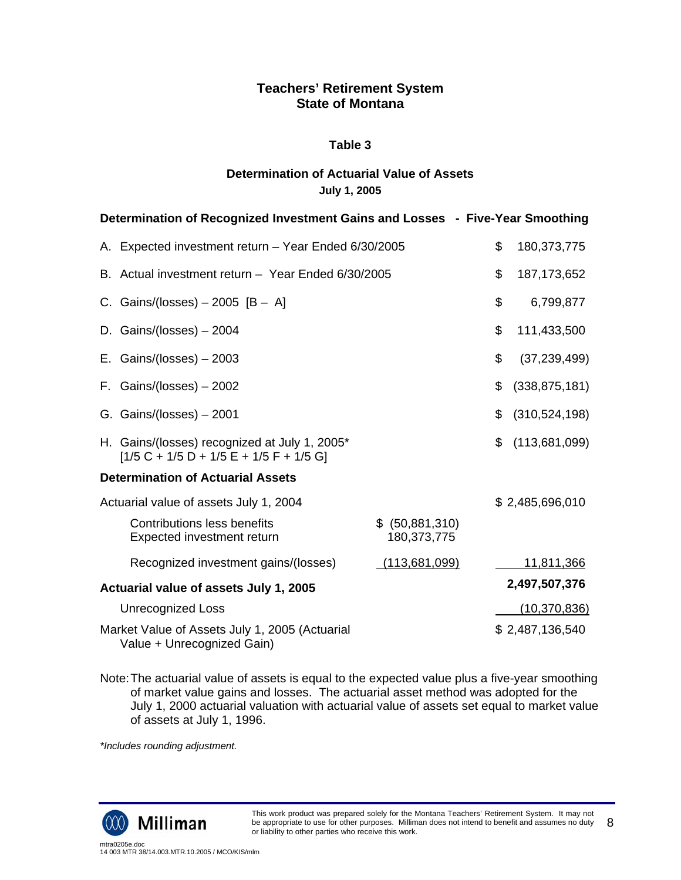#### **Table 3**

## **Determination of Actuarial Value of Assets July 1, 2005**

| Determination of Recognized Investment Gains and Losses - Five-Year Smoothing              |                                |                       |
|--------------------------------------------------------------------------------------------|--------------------------------|-----------------------|
| A. Expected investment return - Year Ended 6/30/2005                                       |                                | \$<br>180,373,775     |
| B. Actual investment return - Year Ended 6/30/2005                                         |                                | \$<br>187, 173, 652   |
| C. Gains/(losses) $-2005$ [B $-$ A]                                                        |                                | \$<br>6,799,877       |
| D. Gains/(losses) - 2004                                                                   |                                | \$<br>111,433,500     |
| E. Gains/(losses) $-2003$                                                                  |                                | \$<br>(37, 239, 499)  |
| F. Gains/(losses) $-2002$                                                                  |                                | \$<br>(338, 875, 181) |
| G. Gains/(losses) $-2001$                                                                  |                                | \$<br>(310, 524, 198) |
| H. Gains/(losses) recognized at July 1, 2005*<br>$[1/5 C + 1/5 D + 1/5 E + 1/5 F + 1/5 G]$ |                                | \$<br>(113,681,099)   |
| <b>Determination of Actuarial Assets</b>                                                   |                                |                       |
| Actuarial value of assets July 1, 2004                                                     |                                | \$2,485,696,010       |
| <b>Contributions less benefits</b><br>Expected investment return                           | \$ (50,881,310)<br>180,373,775 |                       |
| Recognized investment gains/(losses)                                                       | (113,681,099)                  | 11,811,366            |
| Actuarial value of assets July 1, 2005                                                     |                                | 2,497,507,376         |
| <b>Unrecognized Loss</b>                                                                   |                                | (10, 370, 836)        |
| Market Value of Assets July 1, 2005 (Actuarial<br>Value + Unrecognized Gain)               |                                | \$2,487,136,540       |

Note: The actuarial value of assets is equal to the expected value plus a five-year smoothing of market value gains and losses. The actuarial asset method was adopted for the July 1, 2000 actuarial valuation with actuarial value of assets set equal to market value of assets at July 1, 1996.

*\*Includes rounding adjustment.* 

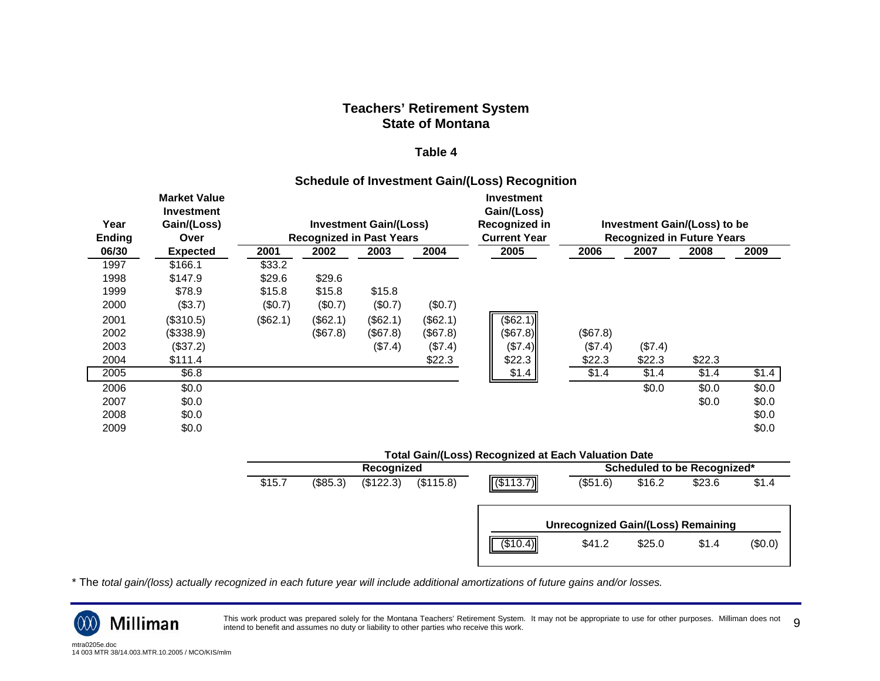#### **Table 4**

#### **Schedule of Investment Gain/(Loss) Recognition**

| Year<br><b>Ending</b> | <b>Market Value</b><br><b>Investment</b><br>Gain/(Loss)<br>Over |          |          | <b>Investment Gain/(Loss)</b><br><b>Recognized in Past Years</b> |           | <b>Investment</b><br>Gain/(Loss)<br>Recognized in<br><b>Current Year</b> |          |         | Investment Gain/(Loss) to be<br><b>Recognized in Future Years</b> |       |
|-----------------------|-----------------------------------------------------------------|----------|----------|------------------------------------------------------------------|-----------|--------------------------------------------------------------------------|----------|---------|-------------------------------------------------------------------|-------|
| 06/30                 | <b>Expected</b>                                                 | 2001     | 2002     | 2003                                                             | 2004      | 2005                                                                     | 2006     | 2007    | 2008                                                              | 2009  |
| 1997                  | \$166.1                                                         | \$33.2   |          |                                                                  |           |                                                                          |          |         |                                                                   |       |
| 1998                  | \$147.9                                                         | \$29.6   | \$29.6   |                                                                  |           |                                                                          |          |         |                                                                   |       |
| 1999                  | \$78.9                                                          | \$15.8   | \$15.8   | \$15.8                                                           |           |                                                                          |          |         |                                                                   |       |
| 2000                  | (\$3.7)                                                         | (\$0.7)  | (\$0.7)  | (\$0.7)                                                          | (\$0.7)   |                                                                          |          |         |                                                                   |       |
| 2001                  | (\$310.5)                                                       | (\$62.1) | (\$62.1) | (\$62.1)                                                         | (\$62.1)  | (\$62.1)                                                                 |          |         |                                                                   |       |
| 2002                  | (\$338.9)                                                       |          | (\$67.8) | (\$67.8)                                                         | (\$67.8)  | (\$7.8)                                                                  | (\$67.8) |         |                                                                   |       |
| 2003                  | (\$37.2)                                                        |          |          | (\$7.4)                                                          | (\$7.4)   | (\$7.4)                                                                  | (\$7.4)  | (\$7.4) |                                                                   |       |
| 2004                  | \$111.4                                                         |          |          |                                                                  | \$22.3    | \$22.3                                                                   | \$22.3   | \$22.3  | \$22.3                                                            |       |
| 2005                  | \$6.8                                                           |          |          |                                                                  |           | \$1.4                                                                    | \$1.4    | \$1.4   | \$1.4                                                             | \$1.4 |
| 2006                  | \$0.0                                                           |          |          |                                                                  |           |                                                                          |          | \$0.0   | \$0.0                                                             | \$0.0 |
| 2007                  | \$0.0                                                           |          |          |                                                                  |           |                                                                          |          |         | \$0.0                                                             | \$0.0 |
| 2008                  | \$0.0                                                           |          |          |                                                                  |           |                                                                          |          |         |                                                                   | \$0.0 |
| 2009                  | \$0.0\$                                                         |          |          |                                                                  |           |                                                                          |          |         |                                                                   | \$0.0 |
|                       |                                                                 |          |          |                                                                  |           | <b>Total Gain/(Loss) Recognized at Each Valuation Date</b>               |          |         |                                                                   |       |
|                       |                                                                 |          |          | Recognized                                                       |           |                                                                          |          |         | Scheduled to be Recognized*                                       |       |
|                       |                                                                 | \$15.7   | (\$85.3) | (\$122.3)                                                        | (\$115.8) | (\$113.7)                                                                | (\$51.6) | \$16.2  | \$23.6                                                            | \$1.4 |
|                       |                                                                 |          |          |                                                                  |           |                                                                          |          |         |                                                                   |       |

\* The *total gain/(loss) actually recognized in each future year will include additional amortizations of future gains and/or losses.*

This work product was prepared solely for the Montana Teachers' Retirement System. It may not be appropriate to use for other purposes. Milliman does not This work product was prepared solely for the Montana Teachers' Retirement System. It may not be appropriate to use for other purposes. Milliman does not ginend to benefit and assumes no duty or liability to other parties

**Unrecognized Gain/(Loss) Remaining**  $(\text{$}10.4)$   $\text{$}41.2$   $\text{$}25.0$   $\text{$}1.4$   $(\text{$}0.0)$ 

Milliman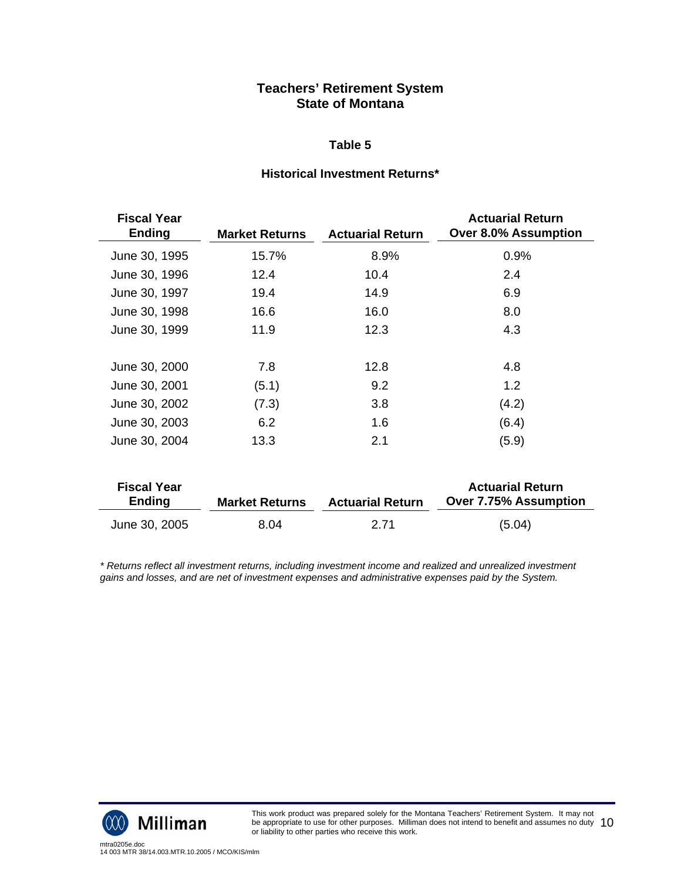#### **Table 5**

#### **Historical Investment Returns\***

| <b>Fiscal Year</b><br><b>Ending</b> | <b>Market Returns</b> | <b>Actuarial Return</b> | <b>Actuarial Return</b><br><b>Over 8.0% Assumption</b> |
|-------------------------------------|-----------------------|-------------------------|--------------------------------------------------------|
| June 30, 1995                       | 15.7%                 | 8.9%                    | 0.9%                                                   |
| June 30, 1996                       | 12.4                  | 10.4                    | 2.4                                                    |
| June 30, 1997                       | 19.4                  | 14.9                    | 6.9                                                    |
| June 30, 1998                       | 16.6                  | 16.0                    | 8.0                                                    |
| June 30, 1999                       | 11.9                  | 12.3                    | 4.3                                                    |
|                                     |                       |                         |                                                        |
| June 30, 2000                       | 7.8                   | 12.8                    | 4.8                                                    |
| June 30, 2001                       | (5.1)                 | 9.2                     | 1.2                                                    |
| June 30, 2002                       | (7.3)                 | 3.8                     | (4.2)                                                  |
| June 30, 2003                       | 6.2                   | 1.6                     | (6.4)                                                  |
| June 30, 2004                       | 13.3                  | 2.1                     | (5.9)                                                  |
|                                     |                       |                         |                                                        |
| <b>Fiscal Year</b><br><b>Ending</b> | <b>Market Returns</b> | <b>Actuarial Return</b> | <b>Actuarial Return</b><br>Over 7.75% Assumption       |
| June 30, 2005                       | 8.04                  | 2.71                    | (5.04)                                                 |

*\* Returns reflect all investment returns, including investment income and realized and unrealized investment gains and losses, and are net of investment expenses and administrative expenses paid by the System.* 



This work product was prepared solely for the Montana Teachers' Retirement System. It may not be appropriate to use for other purposes. Milliman does not intend to benefit and assumes no duty be appropriate to use for other purposes. Milliman does not intend to benefit and assumes no duty  $\;10$ <br>or liability to other parties who receive this work.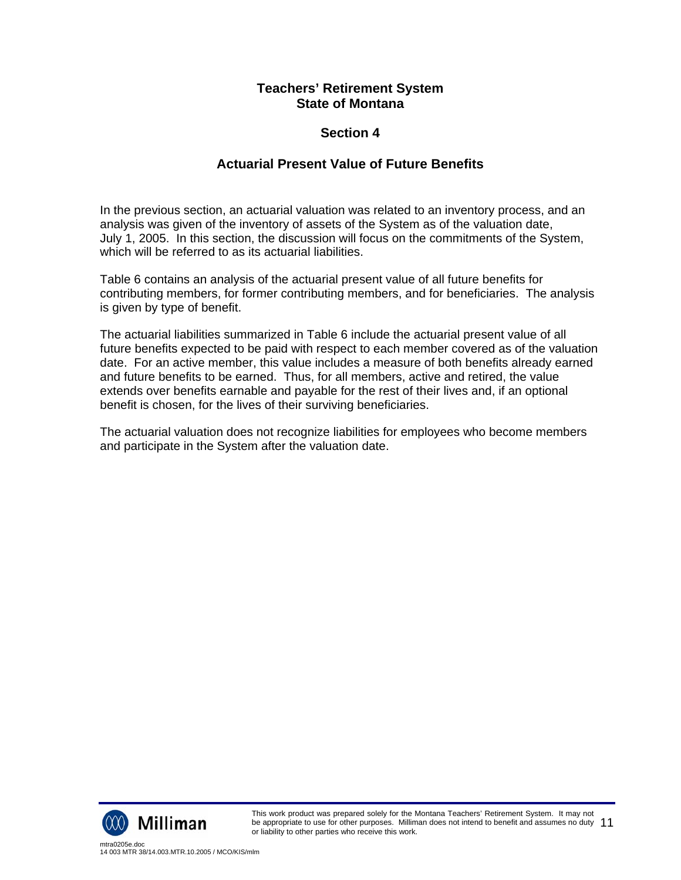## **Section 4**

## **Actuarial Present Value of Future Benefits**

In the previous section, an actuarial valuation was related to an inventory process, and an analysis was given of the inventory of assets of the System as of the valuation date, July 1, 2005. In this section, the discussion will focus on the commitments of the System, which will be referred to as its actuarial liabilities.

Table 6 contains an analysis of the actuarial present value of all future benefits for contributing members, for former contributing members, and for beneficiaries. The analysis is given by type of benefit.

The actuarial liabilities summarized in Table 6 include the actuarial present value of all future benefits expected to be paid with respect to each member covered as of the valuation date. For an active member, this value includes a measure of both benefits already earned and future benefits to be earned. Thus, for all members, active and retired, the value extends over benefits earnable and payable for the rest of their lives and, if an optional benefit is chosen, for the lives of their surviving beneficiaries.

The actuarial valuation does not recognize liabilities for employees who become members and participate in the System after the valuation date.

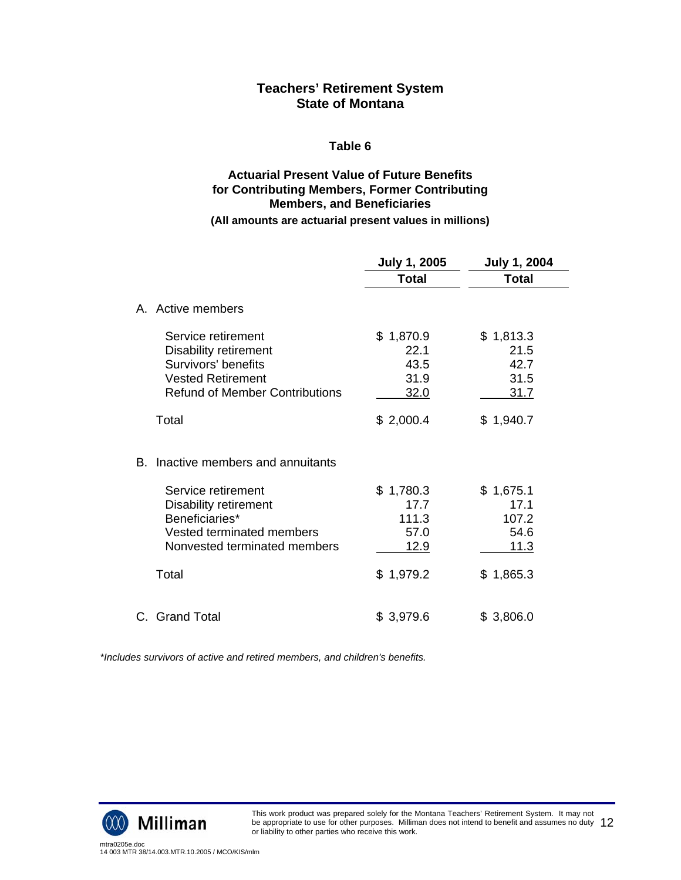#### **Table 6**

## **Actuarial Present Value of Future Benefits for Contributing Members, Former Contributing Members, and Beneficiaries (All amounts are actuarial present values in millions)**

|                                                                                                                                                                                  | <b>July 1, 2005</b>                                            | <b>July 1, 2004</b>                                             |
|----------------------------------------------------------------------------------------------------------------------------------------------------------------------------------|----------------------------------------------------------------|-----------------------------------------------------------------|
|                                                                                                                                                                                  | Total                                                          | <b>Total</b>                                                    |
| A. Active members                                                                                                                                                                |                                                                |                                                                 |
| Service retirement<br><b>Disability retirement</b><br>Survivors' benefits<br><b>Vested Retirement</b><br><b>Refund of Member Contributions</b>                                   | \$1,870.9<br>22.1<br>43.5<br>31.9<br>32.0                      | \$1,813.3<br>21.5<br>42.7<br>31.5<br>31.7                       |
| Total                                                                                                                                                                            | \$2,000.4                                                      | \$1,940.7                                                       |
| B. Inactive members and annuitants<br>Service retirement<br><b>Disability retirement</b><br>Beneficiaries*<br>Vested terminated members<br>Nonvested terminated members<br>Total | \$1,780.3<br>17.7<br>111.3<br>57.0<br><u>12.9</u><br>\$1,979.2 | \$1,675.1<br>17.1<br>107.2<br>54.6<br><u> 11.3</u><br>\$1,865.3 |
|                                                                                                                                                                                  |                                                                |                                                                 |
| C. Grand Total                                                                                                                                                                   | \$3,979.6                                                      | \$3,806.0                                                       |

*\*Includes survivors of active and retired members, and children's benefits.*

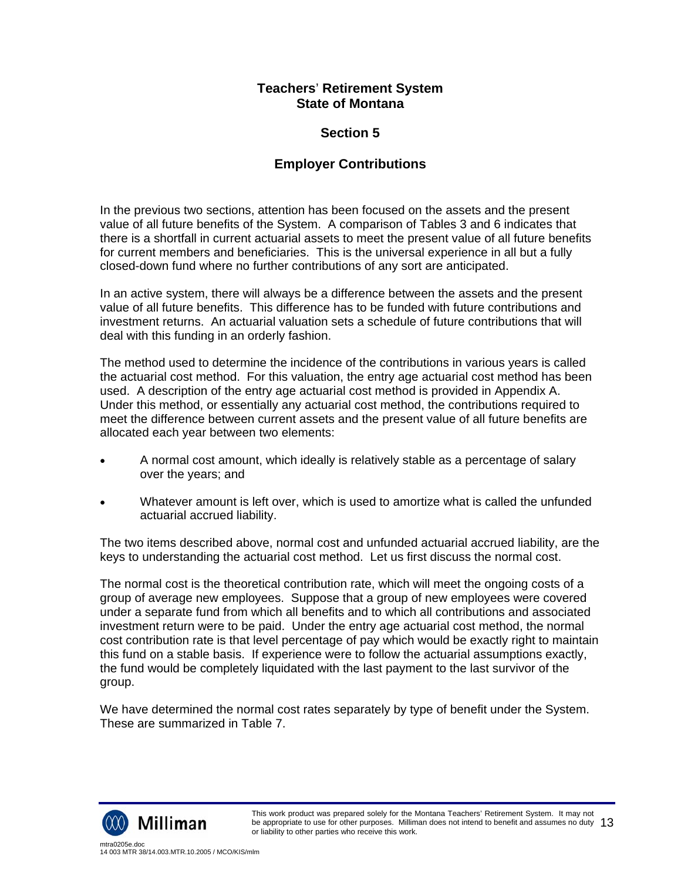## **Section 5**

## **Employer Contributions**

In the previous two sections, attention has been focused on the assets and the present value of all future benefits of the System. A comparison of Tables 3 and 6 indicates that there is a shortfall in current actuarial assets to meet the present value of all future benefits for current members and beneficiaries. This is the universal experience in all but a fully closed-down fund where no further contributions of any sort are anticipated.

In an active system, there will always be a difference between the assets and the present value of all future benefits. This difference has to be funded with future contributions and investment returns. An actuarial valuation sets a schedule of future contributions that will deal with this funding in an orderly fashion.

The method used to determine the incidence of the contributions in various years is called the actuarial cost method. For this valuation, the entry age actuarial cost method has been used. A description of the entry age actuarial cost method is provided in Appendix A. Under this method, or essentially any actuarial cost method, the contributions required to meet the difference between current assets and the present value of all future benefits are allocated each year between two elements:

- A normal cost amount, which ideally is relatively stable as a percentage of salary over the years; and
- Whatever amount is left over, which is used to amortize what is called the unfunded actuarial accrued liability.

The two items described above, normal cost and unfunded actuarial accrued liability, are the keys to understanding the actuarial cost method. Let us first discuss the normal cost.

The normal cost is the theoretical contribution rate, which will meet the ongoing costs of a group of average new employees. Suppose that a group of new employees were covered under a separate fund from which all benefits and to which all contributions and associated investment return were to be paid. Under the entry age actuarial cost method, the normal cost contribution rate is that level percentage of pay which would be exactly right to maintain this fund on a stable basis. If experience were to follow the actuarial assumptions exactly, the fund would be completely liquidated with the last payment to the last survivor of the group.

We have determined the normal cost rates separately by type of benefit under the System. These are summarized in Table 7.

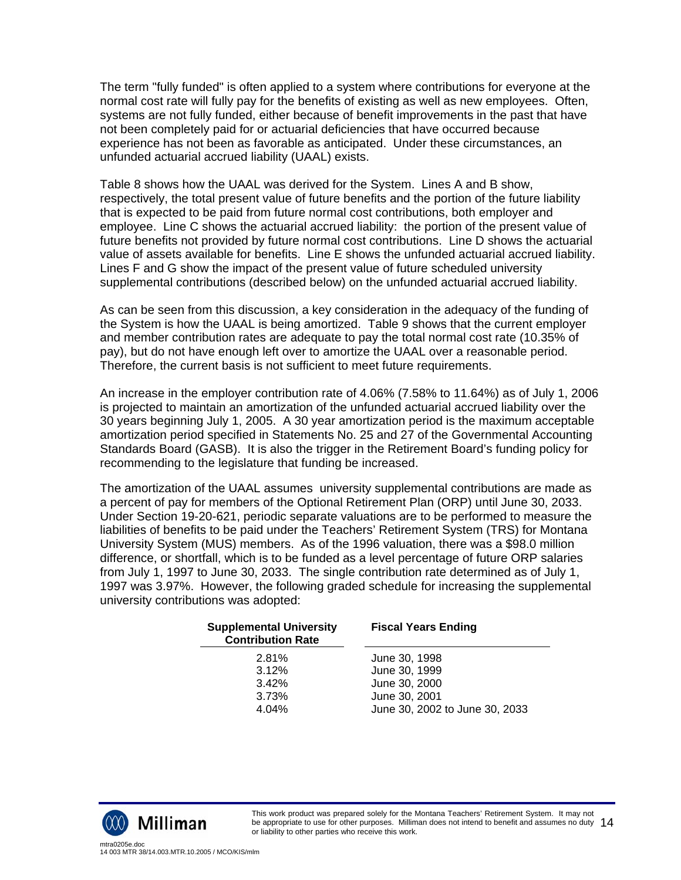The term "fully funded" is often applied to a system where contributions for everyone at the normal cost rate will fully pay for the benefits of existing as well as new employees. Often, systems are not fully funded, either because of benefit improvements in the past that have not been completely paid for or actuarial deficiencies that have occurred because experience has not been as favorable as anticipated. Under these circumstances, an unfunded actuarial accrued liability (UAAL) exists.

Table 8 shows how the UAAL was derived for the System. Lines A and B show, respectively, the total present value of future benefits and the portion of the future liability that is expected to be paid from future normal cost contributions, both employer and employee. Line C shows the actuarial accrued liability: the portion of the present value of future benefits not provided by future normal cost contributions. Line D shows the actuarial value of assets available for benefits. Line E shows the unfunded actuarial accrued liability. Lines F and G show the impact of the present value of future scheduled university supplemental contributions (described below) on the unfunded actuarial accrued liability.

As can be seen from this discussion, a key consideration in the adequacy of the funding of the System is how the UAAL is being amortized. Table 9 shows that the current employer and member contribution rates are adequate to pay the total normal cost rate (10.35% of pay), but do not have enough left over to amortize the UAAL over a reasonable period. Therefore, the current basis is not sufficient to meet future requirements.

An increase in the employer contribution rate of 4.06% (7.58% to 11.64%) as of July 1, 2006 is projected to maintain an amortization of the unfunded actuarial accrued liability over the 30 years beginning July 1, 2005. A 30 year amortization period is the maximum acceptable amortization period specified in Statements No. 25 and 27 of the Governmental Accounting Standards Board (GASB). It is also the trigger in the Retirement Board's funding policy for recommending to the legislature that funding be increased.

The amortization of the UAAL assumes university supplemental contributions are made as a percent of pay for members of the Optional Retirement Plan (ORP) until June 30, 2033. Under Section 19-20-621, periodic separate valuations are to be performed to measure the liabilities of benefits to be paid under the Teachers' Retirement System (TRS) for Montana University System (MUS) members. As of the 1996 valuation, there was a \$98.0 million difference, or shortfall, which is to be funded as a level percentage of future ORP salaries from July 1, 1997 to June 30, 2033. The single contribution rate determined as of July 1, 1997 was 3.97%. However, the following graded schedule for increasing the supplemental university contributions was adopted:

| <b>Supplemental University</b><br><b>Contribution Rate</b> | <b>Fiscal Years Ending</b>     |  |  |
|------------------------------------------------------------|--------------------------------|--|--|
| 2.81%                                                      | June 30, 1998                  |  |  |
| 3.12%                                                      | June 30, 1999                  |  |  |
| 3.42%                                                      | June 30, 2000                  |  |  |
| 3.73%                                                      | June 30, 2001                  |  |  |
| 4.04%                                                      | June 30, 2002 to June 30, 2033 |  |  |

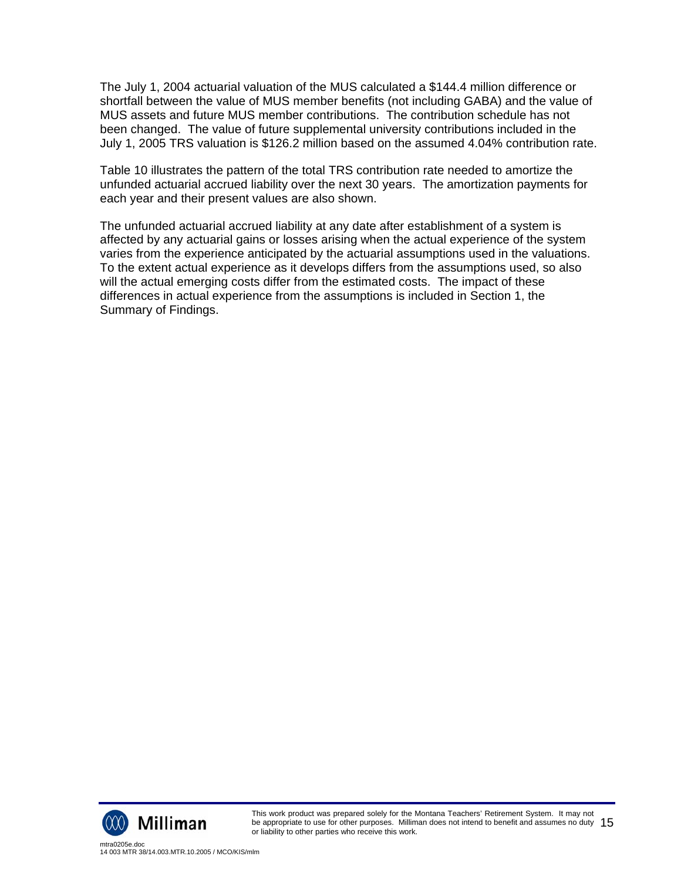The July 1, 2004 actuarial valuation of the MUS calculated a \$144.4 million difference or shortfall between the value of MUS member benefits (not including GABA) and the value of MUS assets and future MUS member contributions. The contribution schedule has not been changed. The value of future supplemental university contributions included in the July 1, 2005 TRS valuation is \$126.2 million based on the assumed 4.04% contribution rate.

Table 10 illustrates the pattern of the total TRS contribution rate needed to amortize the unfunded actuarial accrued liability over the next 30 years. The amortization payments for each year and their present values are also shown.

The unfunded actuarial accrued liability at any date after establishment of a system is affected by any actuarial gains or losses arising when the actual experience of the system varies from the experience anticipated by the actuarial assumptions used in the valuations. To the extent actual experience as it develops differs from the assumptions used, so also will the actual emerging costs differ from the estimated costs. The impact of these differences in actual experience from the assumptions is included in Section 1, the Summary of Findings.

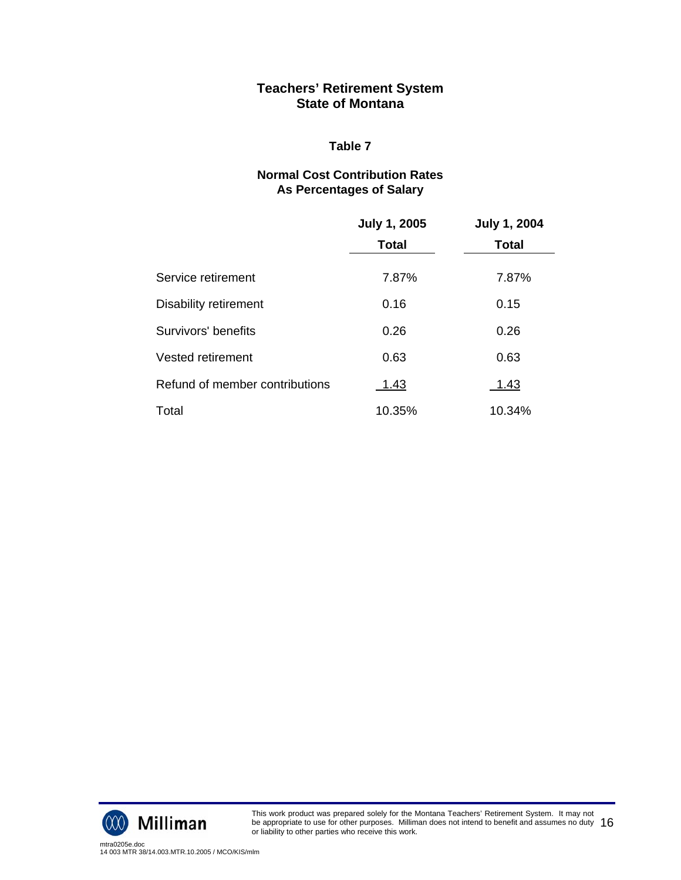#### **Table 7**

## **Normal Cost Contribution Rates As Percentages of Salary**

|                                | <b>July 1, 2005</b> | <b>July 1, 2004</b> |
|--------------------------------|---------------------|---------------------|
|                                | <b>Total</b>        | <b>Total</b>        |
| Service retirement             | 7.87%               | 7.87%               |
| Disability retirement          | 0.16                | 0.15                |
| Survivors' benefits            | 0.26                | 0.26                |
| <b>Vested retirement</b>       | 0.63                | 0.63                |
| Refund of member contributions | 1.43                | 1.43                |
| Total                          | 10.35%              | 10.34%              |

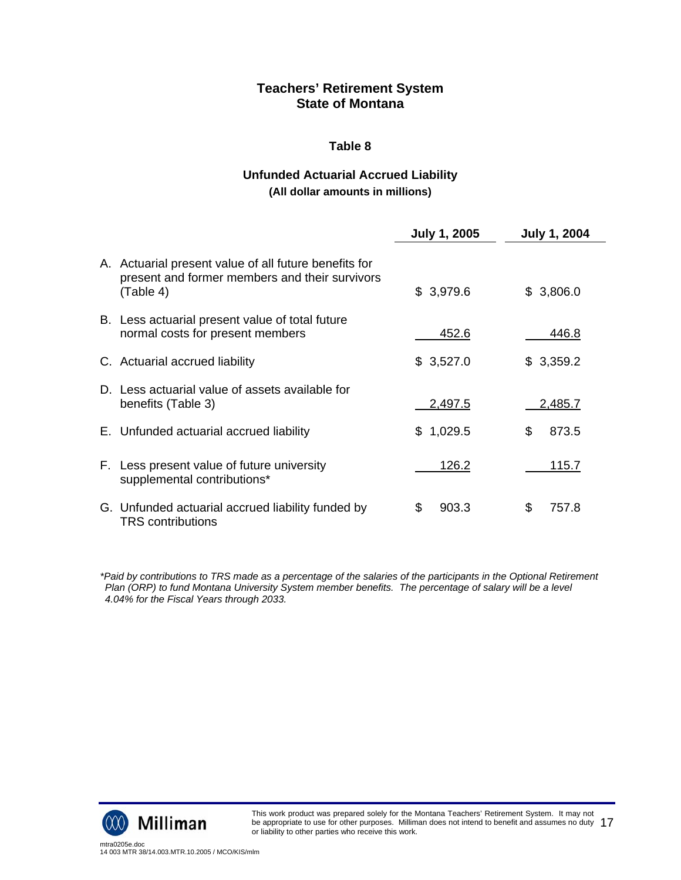## **Table 8**

## **Unfunded Actuarial Accrued Liability (All dollar amounts in millions)**

|                                                                                                                      | <b>July 1, 2005</b> | <b>July 1, 2004</b> |
|----------------------------------------------------------------------------------------------------------------------|---------------------|---------------------|
| A. Actuarial present value of all future benefits for<br>present and former members and their survivors<br>(Table 4) | \$3,979.6           | \$3,806.0           |
| B. Less actuarial present value of total future<br>normal costs for present members                                  | 452.6               | 446.8               |
| C. Actuarial accrued liability                                                                                       | \$3,527.0           | \$3,359.2           |
| D. Less actuarial value of assets available for<br>benefits (Table 3)                                                | 2,497.5             | 2,485.7             |
| E. Unfunded actuarial accrued liability                                                                              | 1,029.5<br>SS.      | 873.5<br>\$         |
| F. Less present value of future university<br>supplemental contributions*                                            | 126.2               | 115.7               |
| G. Unfunded actuarial accrued liability funded by<br><b>TRS</b> contributions                                        | \$<br>903.3         | \$<br>757.8         |

*\*Paid by contributions to TRS made as a percentage of the salaries of the participants in the Optional Retirement Plan (ORP) to fund Montana University System member benefits. The percentage of salary will be a level 4.04% for the Fiscal Years through 2033.* 

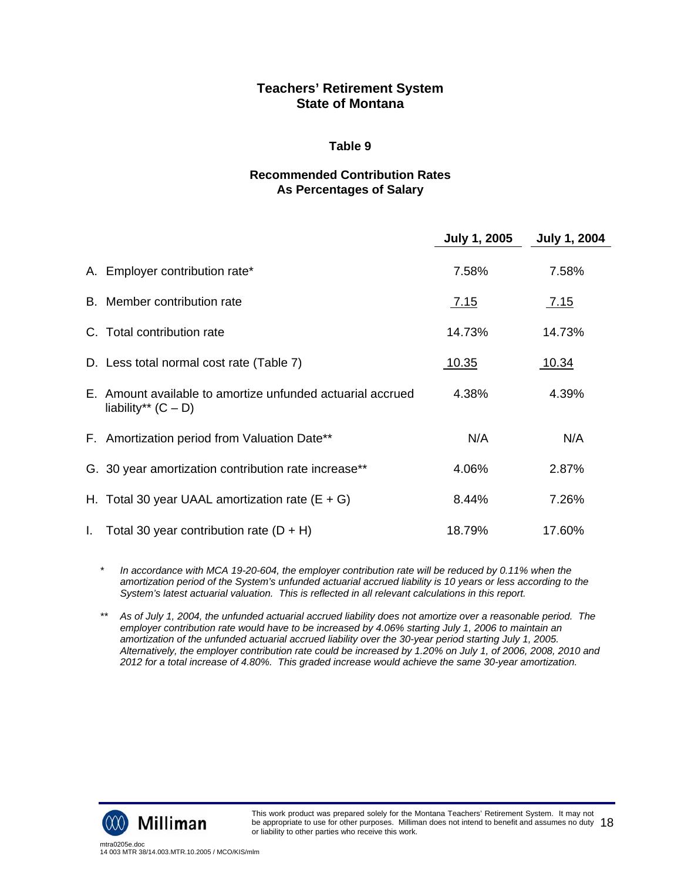#### **Table 9**

## **Recommended Contribution Rates As Percentages of Salary**

|                                                                                     | <b>July 1, 2005</b> | <b>July 1, 2004</b> |
|-------------------------------------------------------------------------------------|---------------------|---------------------|
| A. Employer contribution rate*                                                      | 7.58%               | 7.58%               |
| B. Member contribution rate                                                         | <u>7.15</u>         | <u>7.15</u>         |
| C. Total contribution rate                                                          | 14.73%              | 14.73%              |
| D. Less total normal cost rate (Table 7)                                            | <u>10.35</u>        | 10.34               |
| E. Amount available to amortize unfunded actuarial accrued<br>liability** $(C - D)$ | 4.38%               | 4.39%               |
| F. Amortization period from Valuation Date**                                        | N/A                 | N/A                 |
| G. 30 year amortization contribution rate increase**                                | 4.06%               | 2.87%               |
| H. Total 30 year UAAL amortization rate $(E + G)$                                   | 8.44%               | 7.26%               |
| I. Total 30 year contribution rate $(D + H)$                                        | 18.79%              | 17.60%              |

*\* In accordance with MCA 19-20-604, the employer contribution rate will be reduced by 0.11% when the amortization period of the System's unfunded actuarial accrued liability is 10 years or less according to the System's latest actuarial valuation. This is reflected in all relevant calculations in this report.* 

*\*\* As of July 1, 2004, the unfunded actuarial accrued liability does not amortize over a reasonable period. The employer contribution rate would have to be increased by 4.06% starting July 1, 2006 to maintain an amortization of the unfunded actuarial accrued liability over the 30-year period starting July 1, 2005. Alternatively, the employer contribution rate could be increased by 1.20% on July 1, of 2006, 2008, 2010 and 2012 for a total increase of 4.80%. This graded increase would achieve the same 30-year amortization.* 

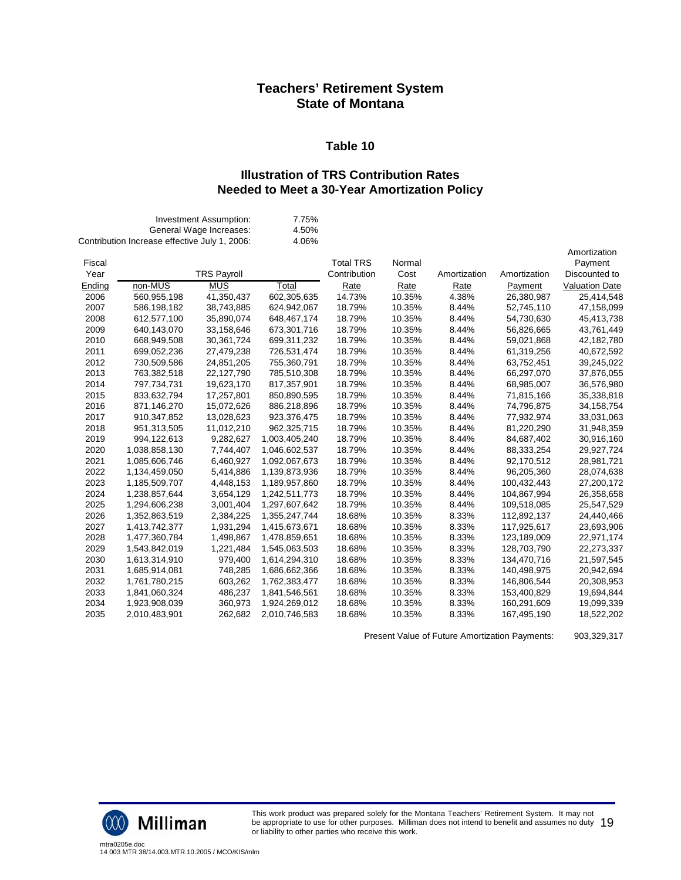#### **Table 10**

#### **Illustration of TRS Contribution Rates Needed to Meet a 30-Year Amortization Policy**

|        | Contribution Increase effective July 1, 2006: | Investment Assumption:<br>General Wage Increases: | 7.75%<br>4.50%<br>4.06% |                  |        |              |              |                       |
|--------|-----------------------------------------------|---------------------------------------------------|-------------------------|------------------|--------|--------------|--------------|-----------------------|
|        |                                               |                                                   |                         |                  |        |              |              | Amortization          |
| Fiscal |                                               |                                                   |                         | <b>Total TRS</b> | Normal |              |              | Payment               |
| Year   |                                               | <b>TRS Payroll</b>                                |                         | Contribution     | Cost   | Amortization | Amortization | Discounted to         |
| Ending | non-MUS                                       | <b>MUS</b>                                        | Total                   | Rate             | Rate   | Rate         | Payment      | <b>Valuation Date</b> |
| 2006   | 560,955,198                                   | 41,350,437                                        | 602,305,635             | 14.73%           | 10.35% | 4.38%        | 26,380,987   | 25,414,548            |
| 2007   | 586,198,182                                   | 38,743,885                                        | 624,942,067             | 18.79%           | 10.35% | 8.44%        | 52,745,110   | 47,158,099            |
| 2008   | 612,577,100                                   | 35,890,074                                        | 648,467,174             | 18.79%           | 10.35% | 8.44%        | 54,730,630   | 45,413,738            |
| 2009   | 640,143,070                                   | 33,158,646                                        | 673,301,716             | 18.79%           | 10.35% | 8.44%        | 56,826,665   | 43,761,449            |
| 2010   | 668,949,508                                   | 30,361,724                                        | 699,311,232             | 18.79%           | 10.35% | 8.44%        | 59,021,868   | 42,182,780            |
| 2011   | 699,052,236                                   | 27,479,238                                        | 726,531,474             | 18.79%           | 10.35% | 8.44%        | 61,319,256   | 40,672,592            |
| 2012   | 730,509,586                                   | 24,851,205                                        | 755,360,791             | 18.79%           | 10.35% | 8.44%        | 63,752,451   | 39,245,022            |
| 2013   | 763,382,518                                   | 22,127,790                                        | 785,510,308             | 18.79%           | 10.35% | 8.44%        | 66,297,070   | 37,876,055            |
| 2014   | 797,734,731                                   | 19,623,170                                        | 817,357,901             | 18.79%           | 10.35% | 8.44%        | 68,985,007   | 36,576,980            |
| 2015   | 833,632,794                                   | 17,257,801                                        | 850,890,595             | 18.79%           | 10.35% | 8.44%        | 71,815,166   | 35,338,818            |
| 2016   | 871,146,270                                   | 15,072,626                                        | 886,218,896             | 18.79%           | 10.35% | 8.44%        | 74,796,875   | 34, 158, 754          |
| 2017   | 910,347,852                                   | 13,028,623                                        | 923,376,475             | 18.79%           | 10.35% | 8.44%        | 77,932,974   | 33,031,063            |
| 2018   | 951,313,505                                   | 11,012,210                                        | 962,325,715             | 18.79%           | 10.35% | 8.44%        | 81,220,290   | 31,948,359            |
| 2019   | 994,122,613                                   | 9,282,627                                         | 1,003,405,240           | 18.79%           | 10.35% | 8.44%        | 84,687,402   | 30,916,160            |
| 2020   | 1,038,858,130                                 | 7,744,407                                         | 1,046,602,537           | 18.79%           | 10.35% | 8.44%        | 88,333,254   | 29,927,724            |
| 2021   | 1,085,606,746                                 | 6,460,927                                         | 1,092,067,673           | 18.79%           | 10.35% | 8.44%        | 92,170,512   | 28,981,721            |
| 2022   | 1,134,459,050                                 | 5,414,886                                         | 1,139,873,936           | 18.79%           | 10.35% | 8.44%        | 96,205,360   | 28,074,638            |
| 2023   | 1,185,509,707                                 | 4,448,153                                         | 1,189,957,860           | 18.79%           | 10.35% | 8.44%        | 100,432,443  | 27,200,172            |
| 2024   | 1,238,857,644                                 | 3,654,129                                         | 1,242,511,773           | 18.79%           | 10.35% | 8.44%        | 104,867,994  | 26,358,658            |
| 2025   | 1,294,606,238                                 | 3,001,404                                         | 1,297,607,642           | 18.79%           | 10.35% | 8.44%        | 109,518,085  | 25,547,529            |
| 2026   | 1,352,863,519                                 | 2,384,225                                         | 1,355,247,744           | 18.68%           | 10.35% | 8.33%        | 112,892,137  | 24,440,466            |
| 2027   | 1,413,742,377                                 | 1,931,294                                         | 1,415,673,671           | 18.68%           | 10.35% | 8.33%        | 117,925,617  | 23,693,906            |
| 2028   | 1,477,360,784                                 | 1,498,867                                         | 1,478,859,651           | 18.68%           | 10.35% | 8.33%        | 123,189,009  | 22,971,174            |
| 2029   | 1,543,842,019                                 | 1,221,484                                         | 1,545,063,503           | 18.68%           | 10.35% | 8.33%        | 128,703,790  | 22,273,337            |
| 2030   | 1,613,314,910                                 | 979,400                                           | 1,614,294,310           | 18.68%           | 10.35% | 8.33%        | 134,470,716  | 21,597,545            |
| 2031   | 1,685,914,081                                 | 748,285                                           | 1,686,662,366           | 18.68%           | 10.35% | 8.33%        | 140,498,975  | 20,942,694            |
| 2032   | 1,761,780,215                                 | 603,262                                           | 1,762,383,477           | 18.68%           | 10.35% | 8.33%        | 146,806,544  | 20,308,953            |
| 2033   | 1,841,060,324                                 | 486,237                                           | 1,841,546,561           | 18.68%           | 10.35% | 8.33%        | 153,400,829  | 19,694,844            |
| 2034   | 1,923,908,039                                 | 360,973                                           | 1,924,269,012           | 18.68%           | 10.35% | 8.33%        | 160,291,609  | 19,099,339            |
| 2035   | 2,010,483,901                                 | 262,682                                           | 2,010,746,583           | 18.68%           | 10.35% | 8.33%        | 167,495,190  | 18,522,202            |
|        |                                               |                                                   |                         |                  |        |              |              |                       |

Present Value of Future Amortization Payments: 903,329,317



This work product was prepared solely for the Montana Teachers' Retirement System. It may not be appropriate to use for other purposes. Milliman does not intend to benefit and assumes no duty be appropriate to use for other purposes. Milliman does not intend to benefit and assumes no duty  $\;19$ <br>or liability to other parties who receive this work.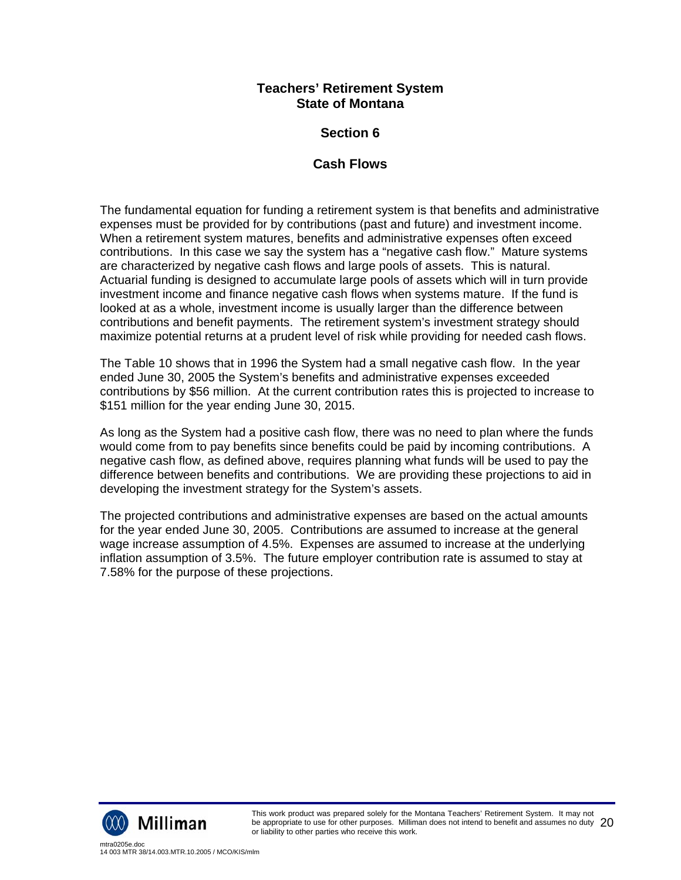## **Section 6**

## **Cash Flows**

The fundamental equation for funding a retirement system is that benefits and administrative expenses must be provided for by contributions (past and future) and investment income. When a retirement system matures, benefits and administrative expenses often exceed contributions. In this case we say the system has a "negative cash flow." Mature systems are characterized by negative cash flows and large pools of assets. This is natural. Actuarial funding is designed to accumulate large pools of assets which will in turn provide investment income and finance negative cash flows when systems mature. If the fund is looked at as a whole, investment income is usually larger than the difference between contributions and benefit payments. The retirement system's investment strategy should maximize potential returns at a prudent level of risk while providing for needed cash flows.

The Table 10 shows that in 1996 the System had a small negative cash flow. In the year ended June 30, 2005 the System's benefits and administrative expenses exceeded contributions by \$56 million. At the current contribution rates this is projected to increase to \$151 million for the year ending June 30, 2015.

As long as the System had a positive cash flow, there was no need to plan where the funds would come from to pay benefits since benefits could be paid by incoming contributions. A negative cash flow, as defined above, requires planning what funds will be used to pay the difference between benefits and contributions. We are providing these projections to aid in developing the investment strategy for the System's assets.

The projected contributions and administrative expenses are based on the actual amounts for the year ended June 30, 2005. Contributions are assumed to increase at the general wage increase assumption of 4.5%. Expenses are assumed to increase at the underlying inflation assumption of 3.5%. The future employer contribution rate is assumed to stay at 7.58% for the purpose of these projections.

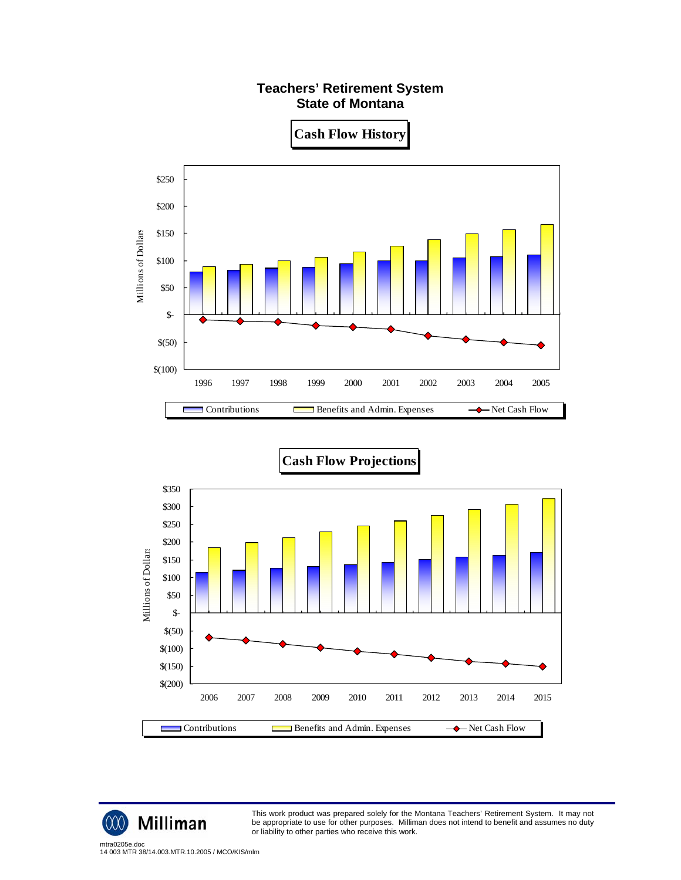

**Cash Flow History**





Milliman

w

This work product was prepared solely for the Montana Teachers' Retirement System. It may not be appropriate to use for other purposes. Milliman does not intend to benefit and assumes no duty or liability to other parties who receive this work.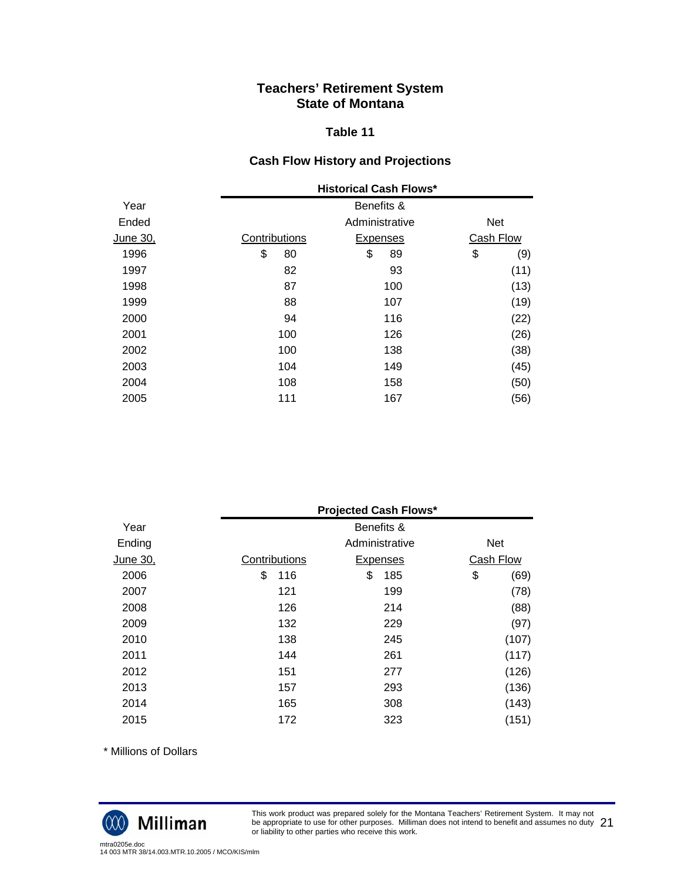#### **Table 11**

## **Cash Flow History and Projections**

|          |               | <b>Historical Cash Flows*</b> |                  |  |
|----------|---------------|-------------------------------|------------------|--|
| Year     |               | Benefits &                    |                  |  |
| Ended    |               | Administrative                | <b>Net</b>       |  |
| June 30, | Contributions | <b>Expenses</b>               | <b>Cash Flow</b> |  |
| 1996     | \$<br>80      | \$<br>89                      | \$<br>(9)        |  |
| 1997     | 82            | 93                            | (11)             |  |
| 1998     | 87            | 100                           | (13)             |  |
| 1999     | 88            | 107                           | (19)             |  |
| 2000     | 94            | 116                           | (22)             |  |
| 2001     | 100           | 126                           | (26)             |  |
| 2002     | 100           | 138                           | (38)             |  |
| 2003     | 104           | 149                           | (45)             |  |
| 2004     | 108           | 158                           | (50)             |  |
| 2005     | 111           | 167                           | (56)             |  |

|          |               | <b>Projected Cash Flows*</b> |            |  |
|----------|---------------|------------------------------|------------|--|
| Year     |               | Benefits &                   |            |  |
| Ending   |               | Administrative               | <b>Net</b> |  |
| June 30, | Contributions | <b>Expenses</b>              | Cash Flow  |  |
| 2006     | \$<br>116     | \$<br>185                    | \$<br>(69) |  |
| 2007     | 121           | 199                          | (78)       |  |
| 2008     | 126           | 214                          | (88)       |  |
| 2009     | 132           | 229                          | (97)       |  |
| 2010     | 138           | 245                          | (107)      |  |
| 2011     | 144           | 261                          | (117)      |  |
| 2012     | 151           | 277                          | (126)      |  |
| 2013     | 157           | 293                          | (136)      |  |
| 2014     | 165           | 308                          | (143)      |  |
| 2015     | 172           | 323                          | (151)      |  |

\* Millions of Dollars



This work product was prepared solely for the Montana Teachers' Retirement System. It may not be appropriate to use for other purposes. Milliman does not intend to benefit and assumes no duty be appropriate to use for other purposes. Milliman does not intend to benefit and assumes no duty  $\ 21$ <br>or liability to other parties who receive this work.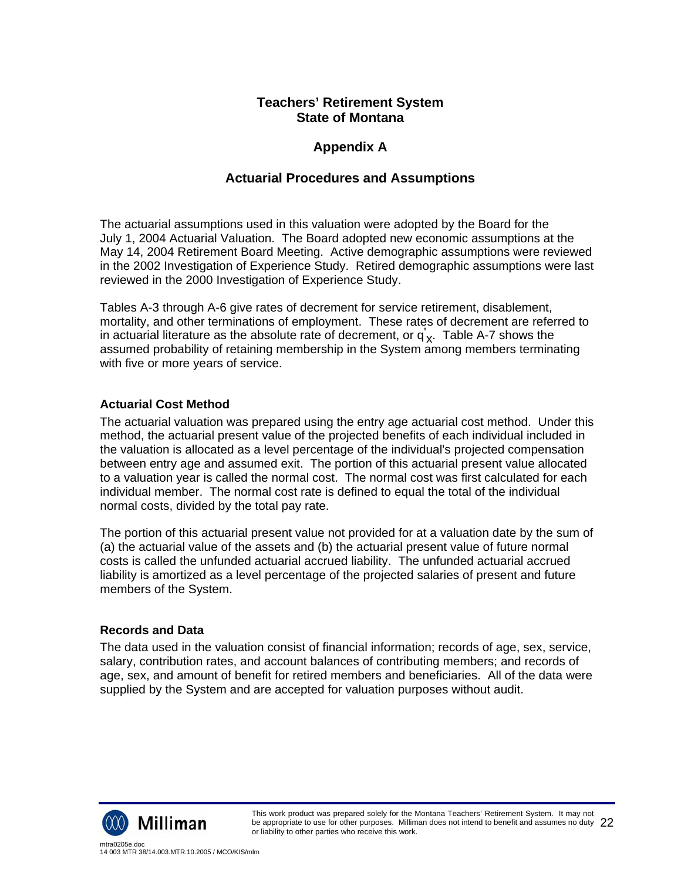## **Appendix A**

## **Actuarial Procedures and Assumptions**

The actuarial assumptions used in this valuation were adopted by the Board for the July 1, 2004 Actuarial Valuation. The Board adopted new economic assumptions at the May 14, 2004 Retirement Board Meeting. Active demographic assumptions were reviewed in the 2002 Investigation of Experience Study. Retired demographic assumptions were last reviewed in the 2000 Investigation of Experience Study.

Tables A-3 through A-6 give rates of decrement for service retirement, disablement, mortality, and other terminations of employment. These rates of decrement are referred to in actuarial literature as the absolute rate of decrement, or  $q_{\mathbf{x}}^{'}$ . Table A-7 shows the assumed probability of retaining membership in the System among members terminating with five or more years of service.

## **Actuarial Cost Method**

The actuarial valuation was prepared using the entry age actuarial cost method. Under this method, the actuarial present value of the projected benefits of each individual included in the valuation is allocated as a level percentage of the individual's projected compensation between entry age and assumed exit. The portion of this actuarial present value allocated to a valuation year is called the normal cost. The normal cost was first calculated for each individual member. The normal cost rate is defined to equal the total of the individual normal costs, divided by the total pay rate.

The portion of this actuarial present value not provided for at a valuation date by the sum of (a) the actuarial value of the assets and (b) the actuarial present value of future normal costs is called the unfunded actuarial accrued liability. The unfunded actuarial accrued liability is amortized as a level percentage of the projected salaries of present and future members of the System.

#### **Records and Data**

The data used in the valuation consist of financial information; records of age, sex, service, salary, contribution rates, and account balances of contributing members; and records of age, sex, and amount of benefit for retired members and beneficiaries. All of the data were supplied by the System and are accepted for valuation purposes without audit.

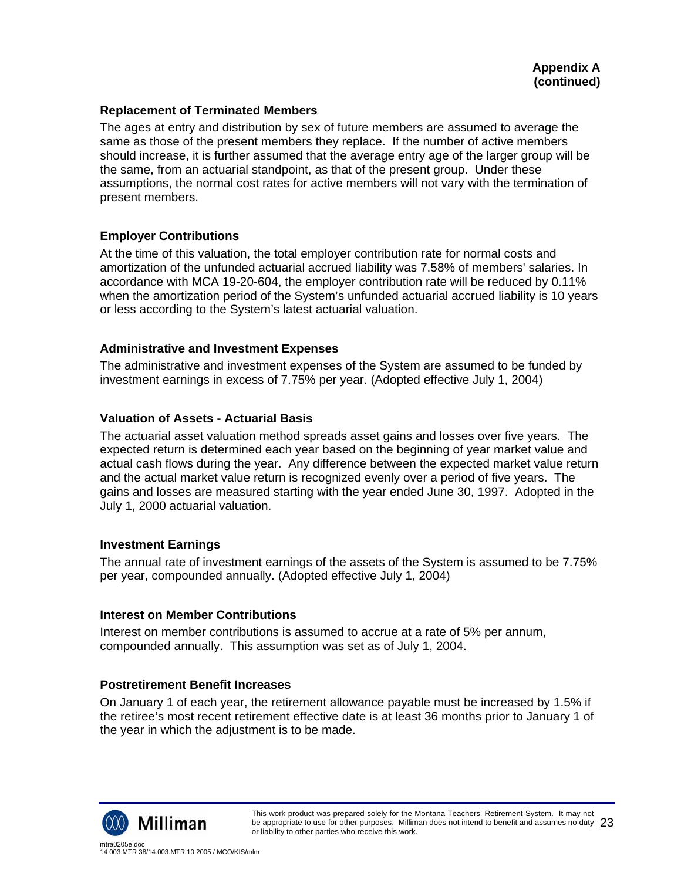#### **Replacement of Terminated Members**

The ages at entry and distribution by sex of future members are assumed to average the same as those of the present members they replace. If the number of active members should increase, it is further assumed that the average entry age of the larger group will be the same, from an actuarial standpoint, as that of the present group. Under these assumptions, the normal cost rates for active members will not vary with the termination of present members.

#### **Employer Contributions**

At the time of this valuation, the total employer contribution rate for normal costs and amortization of the unfunded actuarial accrued liability was 7.58% of members' salaries. In accordance with MCA 19-20-604, the employer contribution rate will be reduced by 0.11% when the amortization period of the System's unfunded actuarial accrued liability is 10 years or less according to the System's latest actuarial valuation.

#### **Administrative and Investment Expenses**

The administrative and investment expenses of the System are assumed to be funded by investment earnings in excess of 7.75% per year. (Adopted effective July 1, 2004)

#### **Valuation of Assets - Actuarial Basis**

The actuarial asset valuation method spreads asset gains and losses over five years. The expected return is determined each year based on the beginning of year market value and actual cash flows during the year. Any difference between the expected market value return and the actual market value return is recognized evenly over a period of five years. The gains and losses are measured starting with the year ended June 30, 1997. Adopted in the July 1, 2000 actuarial valuation.

#### **Investment Earnings**

The annual rate of investment earnings of the assets of the System is assumed to be 7.75% per year, compounded annually. (Adopted effective July 1, 2004)

#### **Interest on Member Contributions**

Interest on member contributions is assumed to accrue at a rate of 5% per annum, compounded annually. This assumption was set as of July 1, 2004.

#### **Postretirement Benefit Increases**

On January 1 of each year, the retirement allowance payable must be increased by 1.5% if the retiree's most recent retirement effective date is at least 36 months prior to January 1 of the year in which the adjustment is to be made.

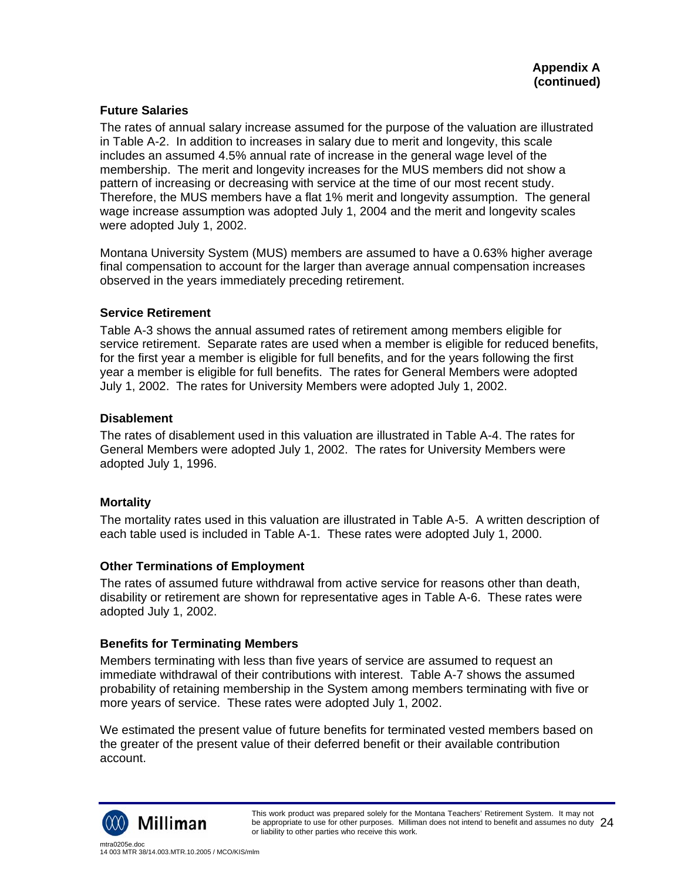#### **Future Salaries**

The rates of annual salary increase assumed for the purpose of the valuation are illustrated in Table A-2. In addition to increases in salary due to merit and longevity, this scale includes an assumed 4.5% annual rate of increase in the general wage level of the membership. The merit and longevity increases for the MUS members did not show a pattern of increasing or decreasing with service at the time of our most recent study. Therefore, the MUS members have a flat 1% merit and longevity assumption. The general wage increase assumption was adopted July 1, 2004 and the merit and longevity scales were adopted July 1, 2002.

Montana University System (MUS) members are assumed to have a 0.63% higher average final compensation to account for the larger than average annual compensation increases observed in the years immediately preceding retirement.

#### **Service Retirement**

Table A-3 shows the annual assumed rates of retirement among members eligible for service retirement. Separate rates are used when a member is eligible for reduced benefits, for the first year a member is eligible for full benefits, and for the years following the first year a member is eligible for full benefits. The rates for General Members were adopted July 1, 2002. The rates for University Members were adopted July 1, 2002.

#### **Disablement**

The rates of disablement used in this valuation are illustrated in Table A-4. The rates for General Members were adopted July 1, 2002. The rates for University Members were adopted July 1, 1996.

#### **Mortality**

The mortality rates used in this valuation are illustrated in Table A-5. A written description of each table used is included in Table A-1. These rates were adopted July 1, 2000.

#### **Other Terminations of Employment**

The rates of assumed future withdrawal from active service for reasons other than death, disability or retirement are shown for representative ages in Table A-6. These rates were adopted July 1, 2002.

#### **Benefits for Terminating Members**

Members terminating with less than five years of service are assumed to request an immediate withdrawal of their contributions with interest. Table A-7 shows the assumed probability of retaining membership in the System among members terminating with five or more years of service. These rates were adopted July 1, 2002.

We estimated the present value of future benefits for terminated vested members based on the greater of the present value of their deferred benefit or their available contribution account.

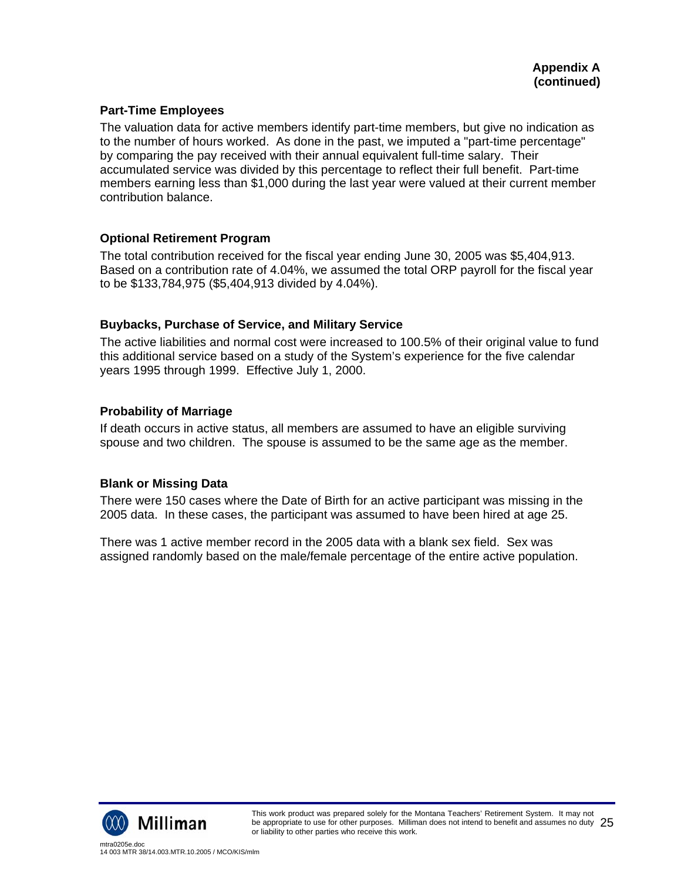### **Part-Time Employees**

The valuation data for active members identify part-time members, but give no indication as to the number of hours worked. As done in the past, we imputed a "part-time percentage" by comparing the pay received with their annual equivalent full-time salary. Their accumulated service was divided by this percentage to reflect their full benefit. Part-time members earning less than \$1,000 during the last year were valued at their current member contribution balance.

#### **Optional Retirement Program**

The total contribution received for the fiscal year ending June 30, 2005 was \$5,404,913. Based on a contribution rate of 4.04%, we assumed the total ORP payroll for the fiscal year to be \$133,784,975 (\$5,404,913 divided by 4.04%).

#### **Buybacks, Purchase of Service, and Military Service**

The active liabilities and normal cost were increased to 100.5% of their original value to fund this additional service based on a study of the System's experience for the five calendar years 1995 through 1999. Effective July 1, 2000.

#### **Probability of Marriage**

If death occurs in active status, all members are assumed to have an eligible surviving spouse and two children. The spouse is assumed to be the same age as the member.

#### **Blank or Missing Data**

There were 150 cases where the Date of Birth for an active participant was missing in the 2005 data. In these cases, the participant was assumed to have been hired at age 25.

There was 1 active member record in the 2005 data with a blank sex field. Sex was assigned randomly based on the male/female percentage of the entire active population.

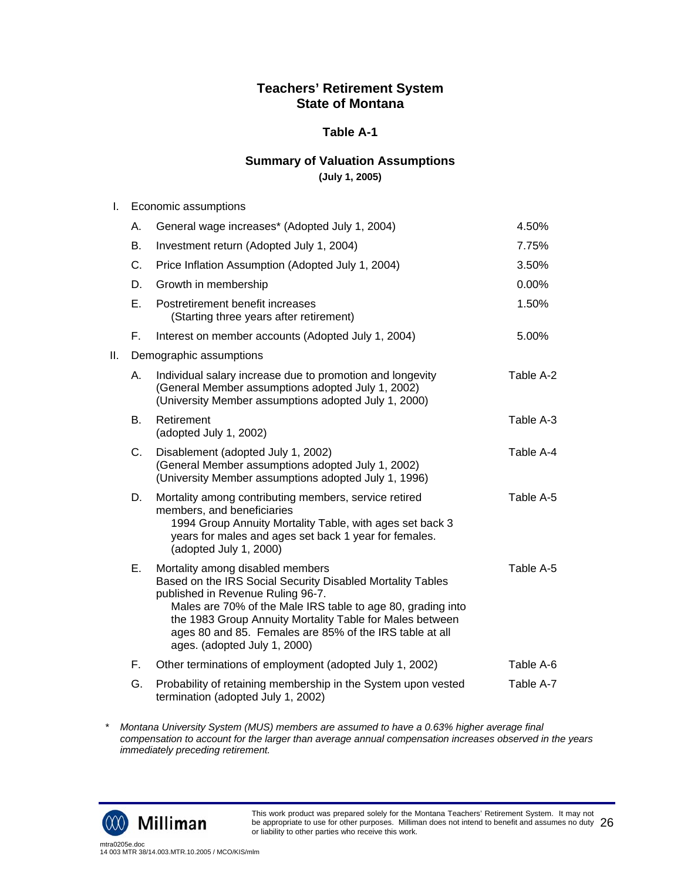#### **Table A-1**

### **Summary of Valuation Assumptions**

**(July 1, 2005)** 

| I. | Economic assumptions |
|----|----------------------|
|----|----------------------|

|     | А.        | General wage increases* (Adopted July 1, 2004)                                                                                                                                                                                                                                                                                                            | 4.50%     |
|-----|-----------|-----------------------------------------------------------------------------------------------------------------------------------------------------------------------------------------------------------------------------------------------------------------------------------------------------------------------------------------------------------|-----------|
|     | Β.        | Investment return (Adopted July 1, 2004)                                                                                                                                                                                                                                                                                                                  | 7.75%     |
|     | C.        | Price Inflation Assumption (Adopted July 1, 2004)                                                                                                                                                                                                                                                                                                         | 3.50%     |
|     | D.        | Growth in membership                                                                                                                                                                                                                                                                                                                                      | 0.00%     |
|     | E.        | Postretirement benefit increases<br>(Starting three years after retirement)                                                                                                                                                                                                                                                                               | 1.50%     |
|     | Е.        | Interest on member accounts (Adopted July 1, 2004)                                                                                                                                                                                                                                                                                                        | 5.00%     |
| ΙΙ. |           | Demographic assumptions                                                                                                                                                                                                                                                                                                                                   |           |
|     | А.        | Individual salary increase due to promotion and longevity<br>(General Member assumptions adopted July 1, 2002)<br>(University Member assumptions adopted July 1, 2000)                                                                                                                                                                                    | Table A-2 |
|     | <b>B.</b> | Retirement<br>(adopted July 1, 2002)                                                                                                                                                                                                                                                                                                                      | Table A-3 |
|     | C.        | Disablement (adopted July 1, 2002)<br>(General Member assumptions adopted July 1, 2002)<br>(University Member assumptions adopted July 1, 1996)                                                                                                                                                                                                           | Table A-4 |
|     | D.        | Mortality among contributing members, service retired<br>members, and beneficiaries<br>1994 Group Annuity Mortality Table, with ages set back 3<br>years for males and ages set back 1 year for females.<br>(adopted July 1, 2000)                                                                                                                        | Table A-5 |
|     | Ε.        | Mortality among disabled members<br>Based on the IRS Social Security Disabled Mortality Tables<br>published in Revenue Ruling 96-7.<br>Males are 70% of the Male IRS table to age 80, grading into<br>the 1983 Group Annuity Mortality Table for Males between<br>ages 80 and 85. Females are 85% of the IRS table at all<br>ages. (adopted July 1, 2000) | Table A-5 |
|     | F.        | Other terminations of employment (adopted July 1, 2002)                                                                                                                                                                                                                                                                                                   | Table A-6 |
|     | G.        | Probability of retaining membership in the System upon vested<br>termination (adopted July 1, 2002)                                                                                                                                                                                                                                                       | Table A-7 |

*\* Montana University System (MUS) members are assumed to have a 0.63% higher average final compensation to account for the larger than average annual compensation increases observed in the years immediately preceding retirement.* 

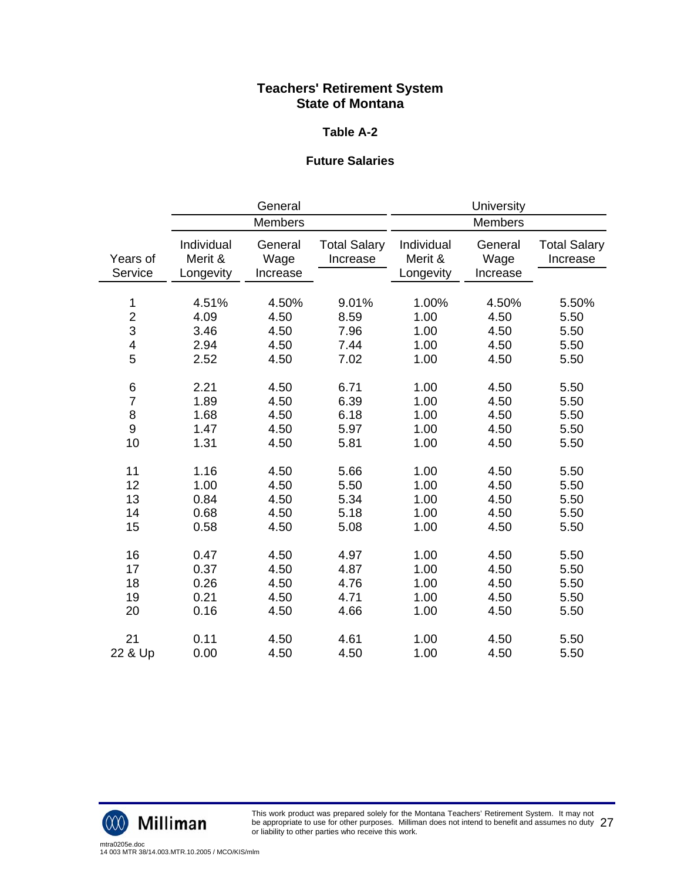#### **Table A-2**

## **Future Salaries**

|                          |                                    | General                     |                                 |                                    | University                  |                                 |
|--------------------------|------------------------------------|-----------------------------|---------------------------------|------------------------------------|-----------------------------|---------------------------------|
|                          |                                    | <b>Members</b>              |                                 |                                    | <b>Members</b>              |                                 |
| Years of<br>Service      | Individual<br>Merit &<br>Longevity | General<br>Wage<br>Increase | <b>Total Salary</b><br>Increase | Individual<br>Merit &<br>Longevity | General<br>Wage<br>Increase | <b>Total Salary</b><br>Increase |
| 1                        | 4.51%                              | 4.50%                       | 9.01%                           | 1.00%                              | 4.50%                       | 5.50%                           |
| $\overline{c}$           | 4.09                               | 4.50                        | 8.59                            | 1.00                               | 4.50                        | 5.50                            |
| 3                        | 3.46                               | 4.50                        | 7.96                            | 1.00                               | 4.50                        | 5.50                            |
| $\overline{\mathcal{A}}$ | 2.94                               | 4.50                        | 7.44                            | 1.00                               | 4.50                        | 5.50                            |
| 5                        | 2.52                               | 4.50                        | 7.02                            | 1.00                               | 4.50                        | 5.50                            |
| 6                        | 2.21                               | 4.50                        | 6.71                            | 1.00                               | 4.50                        | 5.50                            |
| $\overline{7}$           | 1.89                               | 4.50                        | 6.39                            | 1.00                               | 4.50                        | 5.50                            |
| 8                        | 1.68                               | 4.50                        | 6.18                            | 1.00                               | 4.50                        | 5.50                            |
| 9                        | 1.47                               | 4.50                        | 5.97                            | 1.00                               | 4.50                        | 5.50                            |
| 10                       | 1.31                               | 4.50                        | 5.81                            | 1.00                               | 4.50                        | 5.50                            |
| 11                       | 1.16                               | 4.50                        | 5.66                            | 1.00                               | 4.50                        | 5.50                            |
| 12                       | 1.00                               | 4.50                        | 5.50                            | 1.00                               | 4.50                        | 5.50                            |
| 13                       | 0.84                               | 4.50                        | 5.34                            | 1.00                               | 4.50                        | 5.50                            |
| 14                       | 0.68                               | 4.50                        | 5.18                            | 1.00                               | 4.50                        | 5.50                            |
| 15                       | 0.58                               | 4.50                        | 5.08                            | 1.00                               | 4.50                        | 5.50                            |
| 16                       | 0.47                               | 4.50                        | 4.97                            | 1.00                               | 4.50                        | 5.50                            |
| 17                       | 0.37                               | 4.50                        | 4.87                            | 1.00                               | 4.50                        | 5.50                            |
| 18                       | 0.26                               | 4.50                        | 4.76                            | 1.00                               | 4.50                        | 5.50                            |
| 19                       | 0.21                               | 4.50                        | 4.71                            | 1.00                               | 4.50                        | 5.50                            |
| 20                       | 0.16                               | 4.50                        | 4.66                            | 1.00                               | 4.50                        | 5.50                            |
| 21                       | 0.11                               | 4.50                        | 4.61                            | 1.00                               | 4.50                        | 5.50                            |
| 22 & Up                  | 0.00                               | 4.50                        | 4.50                            | 1.00                               | 4.50                        | 5.50                            |



This work product was prepared solely for the Montana Teachers' Retirement System. It may not be appropriate to use for other purposes. Milliman does not intend to benefit and assumes no duty be appropriate to use for other purposes. Milliman does not intend to benefit and assumes no duty  $\ 27$ <br>or liability to other parties who receive this work.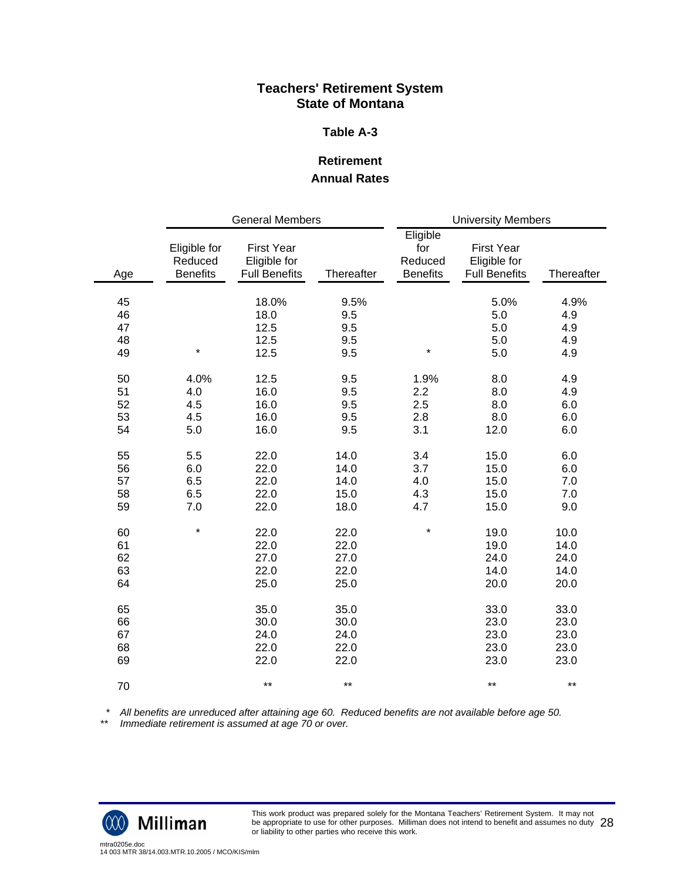#### **Table A-3**

## **Retirement Annual Rates**

|     | <b>General Members</b>                     |                                                           |            | <b>University Members</b>                     |                                                           |            |
|-----|--------------------------------------------|-----------------------------------------------------------|------------|-----------------------------------------------|-----------------------------------------------------------|------------|
| Age | Eligible for<br>Reduced<br><b>Benefits</b> | <b>First Year</b><br>Eligible for<br><b>Full Benefits</b> | Thereafter | Eligible<br>for<br>Reduced<br><b>Benefits</b> | <b>First Year</b><br>Eligible for<br><b>Full Benefits</b> | Thereafter |
| 45  |                                            | 18.0%                                                     | 9.5%       |                                               | 5.0%                                                      | 4.9%       |
| 46  |                                            | 18.0                                                      | 9.5        |                                               | 5.0                                                       | 4.9        |
| 47  |                                            | 12.5                                                      | 9.5        |                                               | 5.0                                                       | 4.9        |
| 48  |                                            | 12.5                                                      | 9.5        |                                               | 5.0                                                       | 4.9        |
| 49  | $\star$                                    |                                                           | 9.5        | $\star$                                       | 5.0                                                       | 4.9        |
|     |                                            | 12.5                                                      |            |                                               |                                                           |            |
| 50  | 4.0%                                       | 12.5                                                      | 9.5        | 1.9%                                          | 8.0                                                       | 4.9        |
| 51  | 4.0                                        | 16.0                                                      | 9.5        | 2.2                                           | 8.0                                                       | 4.9        |
| 52  | 4.5                                        | 16.0                                                      | 9.5        | 2.5                                           | 8.0                                                       | 6.0        |
| 53  | 4.5                                        | 16.0                                                      | 9.5        | 2.8                                           | 8.0                                                       | 6.0        |
| 54  | 5.0                                        | 16.0                                                      | 9.5        | 3.1                                           | 12.0                                                      | 6.0        |
|     |                                            |                                                           |            |                                               |                                                           |            |
| 55  | 5.5                                        | 22.0                                                      | 14.0       | 3.4                                           | 15.0                                                      | 6.0        |
| 56  | 6.0                                        | 22.0                                                      | 14.0       | 3.7                                           | 15.0                                                      | 6.0        |
| 57  | 6.5                                        | 22.0                                                      | 14.0       | 4.0                                           | 15.0                                                      | 7.0        |
| 58  | 6.5                                        | 22.0                                                      | 15.0       | 4.3                                           | 15.0                                                      | 7.0        |
| 59  | 7.0                                        | 22.0                                                      | 18.0       | 4.7                                           | 15.0                                                      | 9.0        |
| 60  | $\star$                                    | 22.0                                                      | 22.0       | $\star$                                       | 19.0                                                      | 10.0       |
| 61  |                                            | 22.0                                                      | 22.0       |                                               | 19.0                                                      | 14.0       |
| 62  |                                            | 27.0                                                      | 27.0       |                                               | 24.0                                                      | 24.0       |
| 63  |                                            | 22.0                                                      | 22.0       |                                               | 14.0                                                      | 14.0       |
| 64  |                                            | 25.0                                                      | 25.0       |                                               | 20.0                                                      | 20.0       |
| 65  |                                            | 35.0                                                      | 35.0       |                                               | 33.0                                                      | 33.0       |
| 66  |                                            | 30.0                                                      | 30.0       |                                               | 23.0                                                      | 23.0       |
| 67  |                                            | 24.0                                                      | 24.0       |                                               | 23.0                                                      | 23.0       |
|     |                                            | 22.0                                                      | 22.0       |                                               | 23.0                                                      |            |
| 68  |                                            |                                                           |            |                                               |                                                           | 23.0       |
| 69  |                                            | 22.0                                                      | 22.0       |                                               | 23.0                                                      | 23.0       |
| 70  |                                            | $***$                                                     | $***$      |                                               | $***$                                                     | $***$      |

 *\* All benefits are unreduced after attaining age 60. Reduced benefits are not available before age 50.* 

*\*\* Immediate retirement is assumed at age 70 or over.* 



This work product was prepared solely for the Montana Teachers' Retirement System. It may not be appropriate to use for other purposes. Milliman does not intend to benefit and assumes no duty be appropriate to use for other purposes. Milliman does not intend to benefit and assumes no duty  $\ 28$ <br>or liability to other parties who receive this work.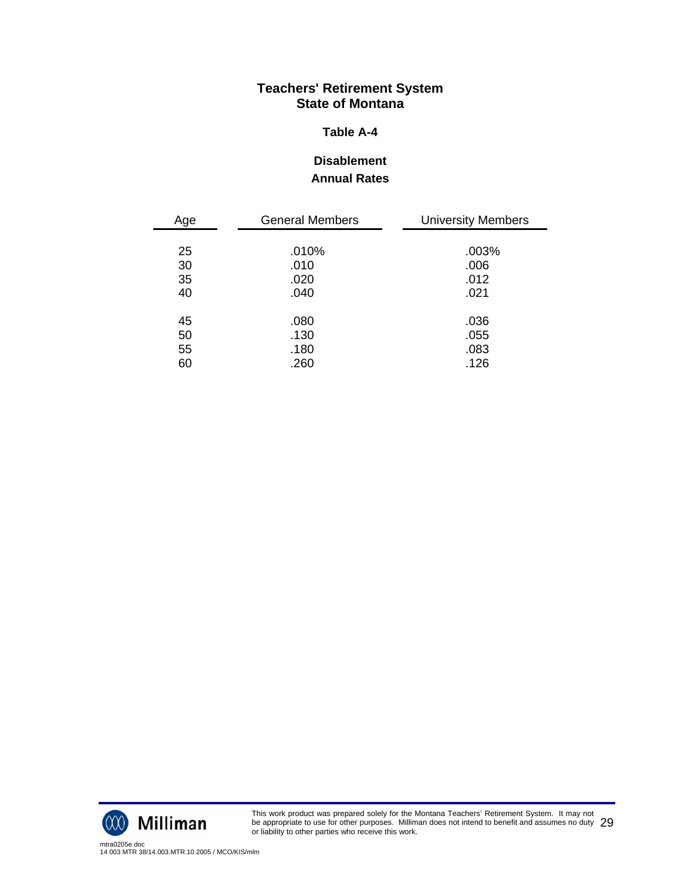#### **Table A-4**

## **Disablement Annual Rates**

| Age | <b>General Members</b> | <b>University Members</b> |
|-----|------------------------|---------------------------|
|     |                        |                           |
| 25  | .010%                  | .003%                     |
| 30  | .010                   | .006                      |
| 35  | .020                   | .012                      |
| 40  | .040                   | .021                      |
|     |                        |                           |
| 45  | .080                   | .036                      |
| 50  | .130                   | .055                      |
| 55  | .180                   | .083                      |
| 60  | .260                   | .126                      |



This work product was prepared solely for the Montana Teachers' Retirement System. It may not be appropriate to use for other purposes. Milliman does not intend to benefit and assumes no duty be appropriate to use for other purposes. Milliman does not intend to benefit and assumes no duty  $\ 29$ <br>or liability to other parties who receive this work.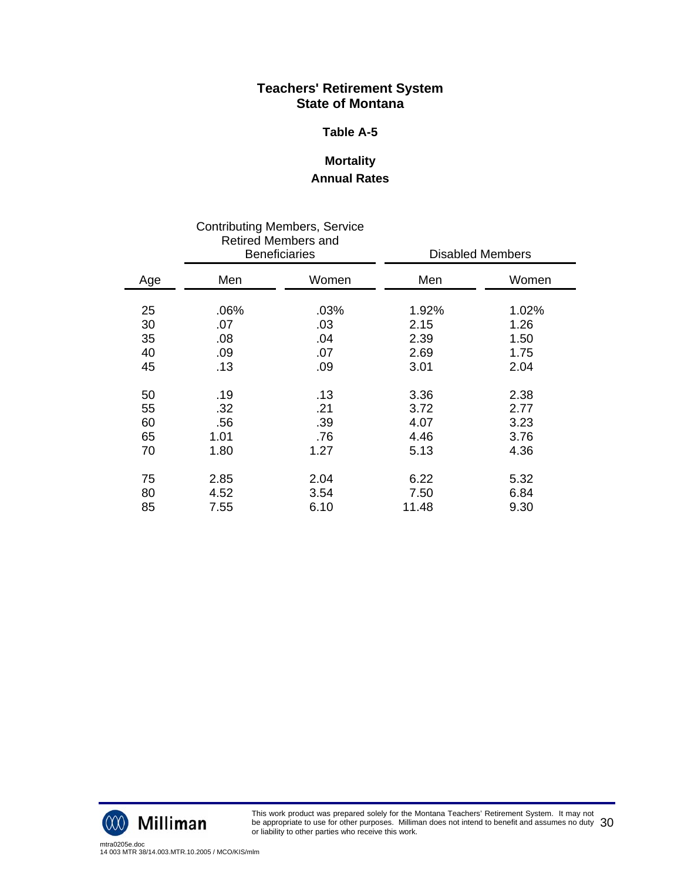#### **Table A-5**

## **Mortality Annual Rates**

|     |      | <b>Contributing Members, Service</b><br><b>Retired Members and</b><br><b>Beneficiaries</b> |       | <b>Disabled Members</b> |
|-----|------|--------------------------------------------------------------------------------------------|-------|-------------------------|
| Age | Men  | Women                                                                                      | Men   | Women                   |
| 25  | .06% | .03%                                                                                       | 1.92% | 1.02%                   |
| 30  | .07  | .03                                                                                        | 2.15  | 1.26                    |
| 35  | .08  | .04                                                                                        | 2.39  | 1.50                    |
| 40  | .09  | .07                                                                                        | 2.69  | 1.75                    |
| 45  | .13  | .09                                                                                        | 3.01  | 2.04                    |
| 50  | .19  | .13                                                                                        | 3.36  | 2.38                    |
| 55  | .32  | .21                                                                                        | 3.72  | 2.77                    |
| 60  | .56  | .39                                                                                        | 4.07  | 3.23                    |
| 65  | 1.01 | .76                                                                                        | 4.46  | 3.76                    |
| 70  | 1.80 | 1.27                                                                                       | 5.13  | 4.36                    |
| 75  | 2.85 | 2.04                                                                                       | 6.22  | 5.32                    |
| 80  | 4.52 | 3.54                                                                                       | 7.50  | 6.84                    |
| 85  | 7.55 | 6.10                                                                                       | 11.48 | 9.30                    |



This work product was prepared solely for the Montana Teachers' Retirement System. It may not be appropriate to use for other purposes. Milliman does not intend to benefit and assumes no duty be appropriate to use for other purposes. Milliman does not intend to benefit and assumes no duty  $\,30$ <br>or liability to other parties who receive this work.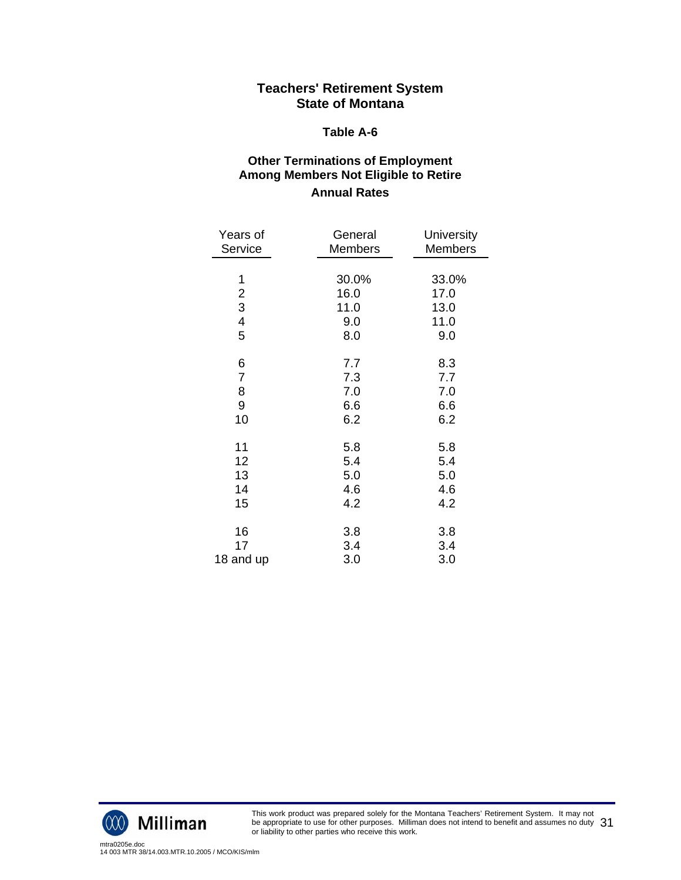#### **Table A-6**

## **Other Terminations of Employment Among Members Not Eligible to Retire Annual Rates**

| Years of                                           | General                             | University                           |
|----------------------------------------------------|-------------------------------------|--------------------------------------|
| Service                                            | <b>Members</b>                      | <b>Members</b>                       |
| 1<br>$\frac{2}{3}$<br>$\overline{\mathbf{4}}$<br>5 | 30.0%<br>16.0<br>11.0<br>9.0<br>8.0 | 33.0%<br>17.0<br>13.0<br>11.0<br>9.0 |
| 6                                                  | 7.7                                 | 8.3                                  |
| $\overline{7}$                                     | 7.3                                 | 7.7                                  |
| 8                                                  | 7.0                                 | 7.0                                  |
| 9                                                  | 6.6                                 | 6.6                                  |
| 10                                                 | 6.2                                 | 6.2                                  |
| 11                                                 | 5.8                                 | 5.8                                  |
| 12                                                 | 5.4                                 | 5.4                                  |
| 13                                                 | 5.0                                 | 5.0                                  |
| 14                                                 | 4.6                                 | 4.6                                  |
| 15                                                 | 4.2                                 | 4.2                                  |
| 16                                                 | 3.8                                 | 3.8                                  |
| 17                                                 | 3.4                                 | 3.4                                  |
| 18 and up                                          | 3.0                                 | 3.0                                  |



This work product was prepared solely for the Montana Teachers' Retirement System. It may not be appropriate to use for other purposes. Milliman does not intend to benefit and assumes no duty be appropriate to use for other purposes. Milliman does not intend to benefit and assumes no duty  $\,31$ <br>or liability to other parties who receive this work.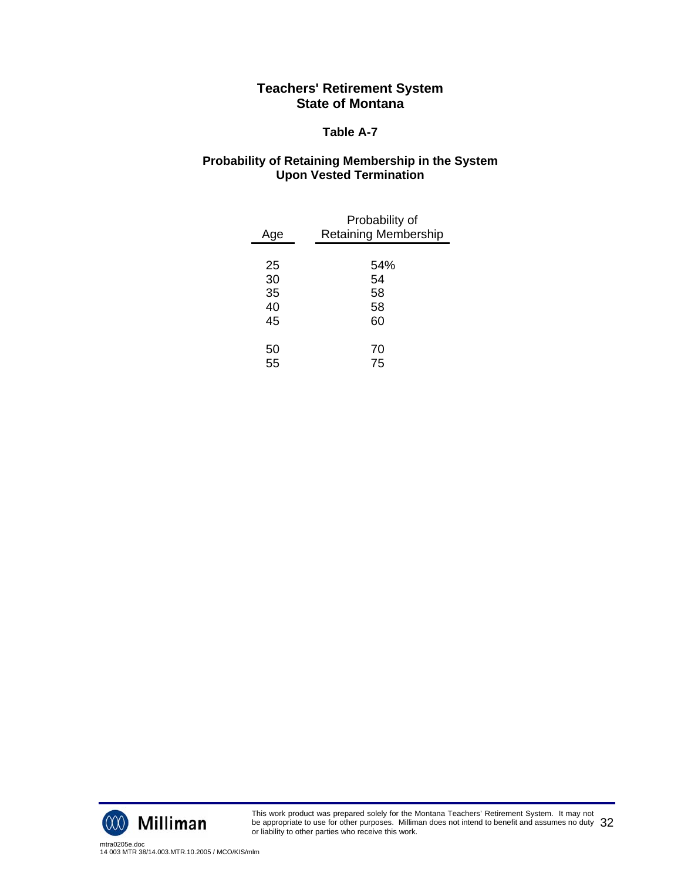#### **Table A-7**

## **Probability of Retaining Membership in the System Upon Vested Termination**

| Age | Probability of<br><b>Retaining Membership</b> |
|-----|-----------------------------------------------|
|     |                                               |
| 25  | 54%                                           |
| 30  | 54                                            |
| 35  | 58                                            |
| 40  | 58                                            |
| 45  | 60                                            |
| 50  | 70                                            |
| 55  | 75                                            |



This work product was prepared solely for the Montana Teachers' Retirement System. It may not be appropriate to use for other purposes. Milliman does not intend to benefit and assumes no duty be appropriate to use for other purposes. Milliman does not intend to benefit and assumes no duty  $\,32$ <br>or liability to other parties who receive this work.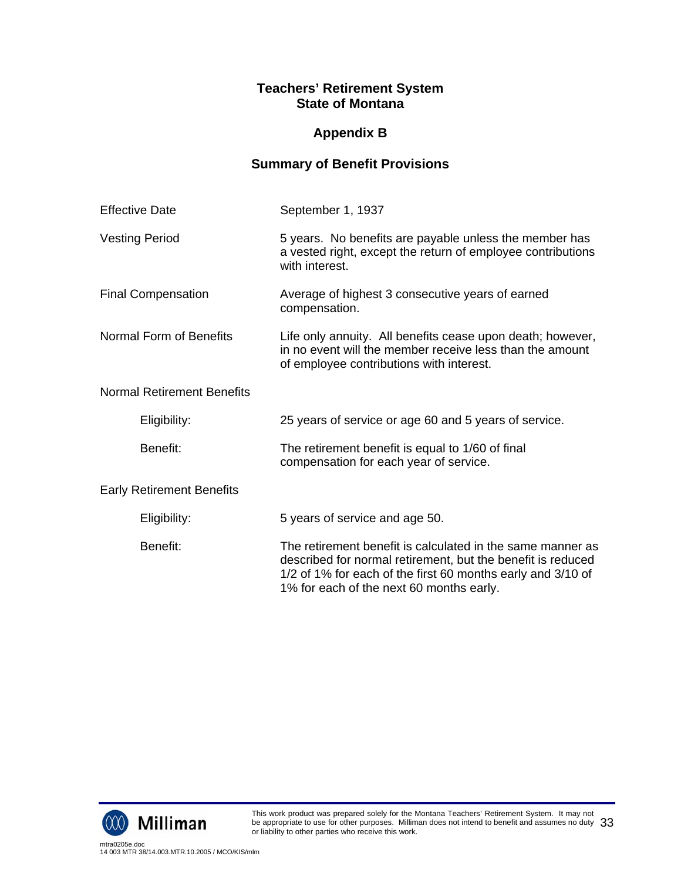# **Appendix B**

# **Summary of Benefit Provisions**

| <b>Effective Date</b>             | September 1, 1937                                                                                                                                                                                                                    |
|-----------------------------------|--------------------------------------------------------------------------------------------------------------------------------------------------------------------------------------------------------------------------------------|
| <b>Vesting Period</b>             | 5 years. No benefits are payable unless the member has<br>a vested right, except the return of employee contributions<br>with interest.                                                                                              |
| <b>Final Compensation</b>         | Average of highest 3 consecutive years of earned<br>compensation.                                                                                                                                                                    |
| <b>Normal Form of Benefits</b>    | Life only annuity. All benefits cease upon death; however,<br>in no event will the member receive less than the amount<br>of employee contributions with interest.                                                                   |
| <b>Normal Retirement Benefits</b> |                                                                                                                                                                                                                                      |
| Eligibility:                      | 25 years of service or age 60 and 5 years of service.                                                                                                                                                                                |
| Benefit:                          | The retirement benefit is equal to 1/60 of final<br>compensation for each year of service.                                                                                                                                           |
| <b>Early Retirement Benefits</b>  |                                                                                                                                                                                                                                      |
| Eligibility:                      | 5 years of service and age 50.                                                                                                                                                                                                       |
| Benefit:                          | The retirement benefit is calculated in the same manner as<br>described for normal retirement, but the benefit is reduced<br>1/2 of 1% for each of the first 60 months early and 3/10 of<br>1% for each of the next 60 months early. |

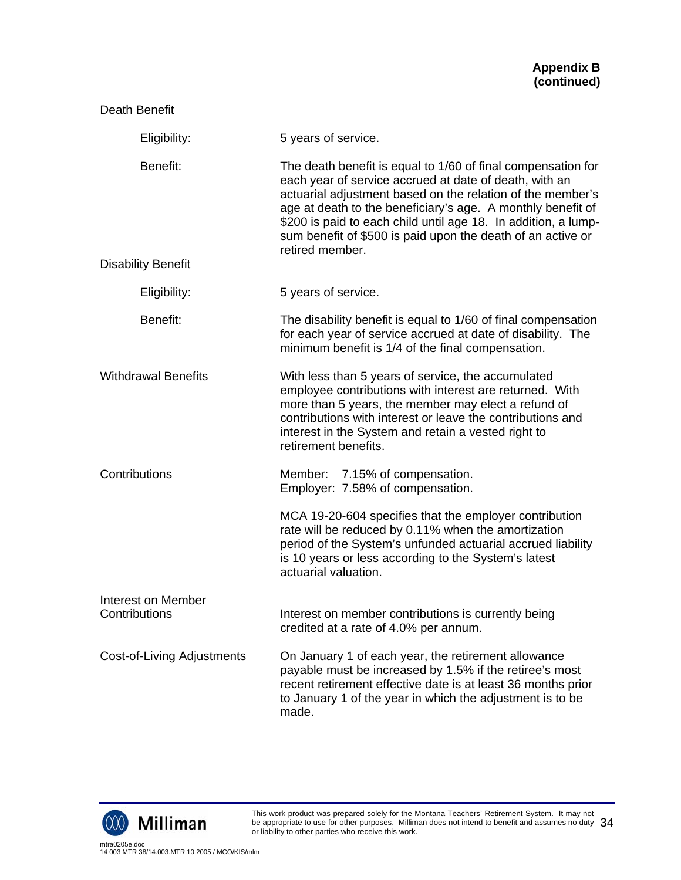| Death Benefit                       |                                                                                                                                                                                                                                                                                                                                                                                                         |  |  |  |  |  |
|-------------------------------------|---------------------------------------------------------------------------------------------------------------------------------------------------------------------------------------------------------------------------------------------------------------------------------------------------------------------------------------------------------------------------------------------------------|--|--|--|--|--|
| Eligibility:                        | 5 years of service.                                                                                                                                                                                                                                                                                                                                                                                     |  |  |  |  |  |
| Benefit:                            | The death benefit is equal to 1/60 of final compensation for<br>each year of service accrued at date of death, with an<br>actuarial adjustment based on the relation of the member's<br>age at death to the beneficiary's age. A monthly benefit of<br>\$200 is paid to each child until age 18. In addition, a lump-<br>sum benefit of \$500 is paid upon the death of an active or<br>retired member. |  |  |  |  |  |
| <b>Disability Benefit</b>           |                                                                                                                                                                                                                                                                                                                                                                                                         |  |  |  |  |  |
| Eligibility:                        | 5 years of service.                                                                                                                                                                                                                                                                                                                                                                                     |  |  |  |  |  |
| Benefit:                            | The disability benefit is equal to 1/60 of final compensation<br>for each year of service accrued at date of disability. The<br>minimum benefit is 1/4 of the final compensation.                                                                                                                                                                                                                       |  |  |  |  |  |
| <b>Withdrawal Benefits</b>          | With less than 5 years of service, the accumulated<br>employee contributions with interest are returned. With<br>more than 5 years, the member may elect a refund of<br>contributions with interest or leave the contributions and<br>interest in the System and retain a vested right to<br>retirement benefits.                                                                                       |  |  |  |  |  |
| Contributions                       | Member: 7.15% of compensation.<br>Employer: 7.58% of compensation.                                                                                                                                                                                                                                                                                                                                      |  |  |  |  |  |
|                                     | MCA 19-20-604 specifies that the employer contribution<br>rate will be reduced by 0.11% when the amortization<br>period of the System's unfunded actuarial accrued liability<br>is 10 years or less according to the System's latest<br>actuarial valuation.                                                                                                                                            |  |  |  |  |  |
| Interest on Member<br>Contributions | Interest on member contributions is currently being<br>credited at a rate of 4.0% per annum.                                                                                                                                                                                                                                                                                                            |  |  |  |  |  |
| Cost-of-Living Adjustments          | On January 1 of each year, the retirement allowance<br>payable must be increased by 1.5% if the retiree's most<br>recent retirement effective date is at least 36 months prior<br>to January 1 of the year in which the adjustment is to be<br>made.                                                                                                                                                    |  |  |  |  |  |



This work product was prepared solely for the Montana Teachers' Retirement System. It may not be appropriate to use for other purposes. Milliman does not intend to benefit and assumes no duty be appropriate to use for other purposes. Milliman does not intend to benefit and assumes no duty  $\,34$ <br>or liability to other parties who receive this work.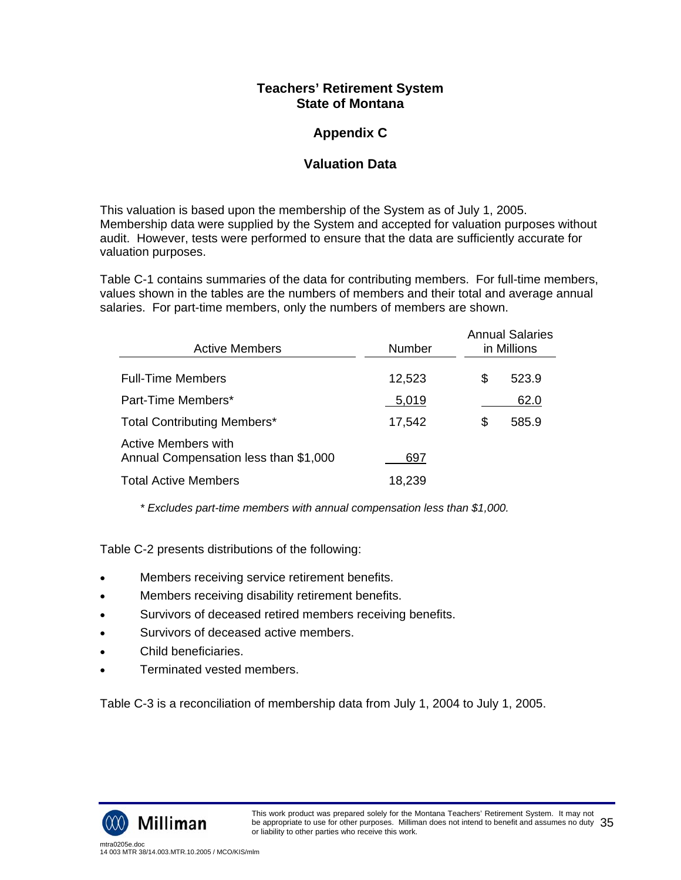# **Appendix C**

## **Valuation Data**

This valuation is based upon the membership of the System as of July 1, 2005. Membership data were supplied by the System and accepted for valuation purposes without audit. However, tests were performed to ensure that the data are sufficiently accurate for valuation purposes.

Table C-1 contains summaries of the data for contributing members. For full-time members, values shown in the tables are the numbers of members and their total and average annual salaries. For part-time members, only the numbers of members are shown.

| <b>Active Members</b>                                        | Number | <b>Annual Salaries</b><br>in Millions |  |  |  |
|--------------------------------------------------------------|--------|---------------------------------------|--|--|--|
| <b>Full-Time Members</b>                                     | 12,523 | \$<br>523.9                           |  |  |  |
| Part-Time Members*                                           | 5,019  | 62.0                                  |  |  |  |
| <b>Total Contributing Members*</b>                           | 17,542 | \$<br>585.9                           |  |  |  |
| Active Members with<br>Annual Compensation less than \$1,000 | 697    |                                       |  |  |  |
| <b>Total Active Members</b>                                  | 18,239 |                                       |  |  |  |

*\* Excludes part-time members with annual compensation less than \$1,000.* 

Table C-2 presents distributions of the following:

- Members receiving service retirement benefits.
- Members receiving disability retirement benefits.
- Survivors of deceased retired members receiving benefits.
- Survivors of deceased active members.
- Child beneficiaries.
- Terminated vested members.

Table C-3 is a reconciliation of membership data from July 1, 2004 to July 1, 2005.

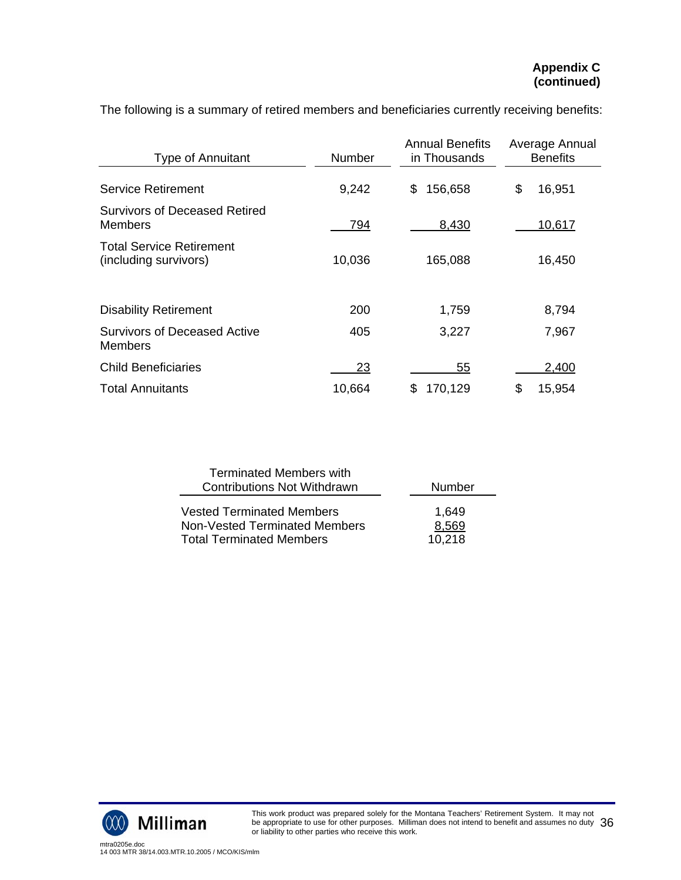| <b>Type of Annuitant</b>                                 | <b>Number</b> | <b>Annual Benefits</b><br>in Thousands | Average Annual<br><b>Benefits</b> |
|----------------------------------------------------------|---------------|----------------------------------------|-----------------------------------|
| <b>Service Retirement</b>                                | 9,242         | 156,658<br>\$                          | \$<br>16,951                      |
| Survivors of Deceased Retired<br>Members                 | 794           | 8,430                                  | 10,617                            |
| <b>Total Service Retirement</b><br>(including survivors) | 10,036        | 165,088                                | 16,450                            |
| <b>Disability Retirement</b>                             | 200           | 1,759                                  | 8,794                             |
| Survivors of Deceased Active<br>Members                  | 405           | 3,227                                  | 7,967                             |
| <b>Child Beneficiaries</b>                               | 23            | 55                                     | 2,400                             |
| <b>Total Annuitants</b>                                  | 10,664        | 170,129<br>S                           | \$<br>15,954                      |

The following is a summary of retired members and beneficiaries currently receiving benefits:

| <b>Terminated Members with</b>                                    |                |
|-------------------------------------------------------------------|----------------|
| <b>Contributions Not Withdrawn</b>                                | Number         |
| <b>Vested Terminated Members</b><br>Non-Vested Terminated Members | 1,649<br>8,569 |
| <b>Total Terminated Members</b>                                   | 10.218         |

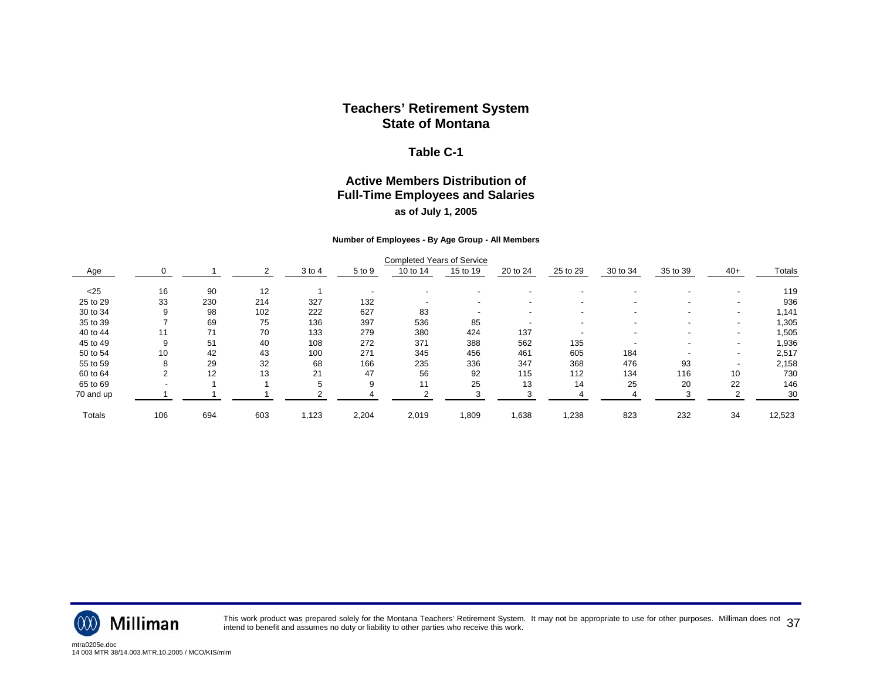#### **Table C-1**

### **Active Members Distribution of Full-Time Employees and Salaries as of July 1, 2005**

#### **Number of Employees - By Age Group - All Members**

|           |     |     |     |            |        | <b>Completed Years of Service</b> |          |          |                          |          |                          |                          |        |
|-----------|-----|-----|-----|------------|--------|-----------------------------------|----------|----------|--------------------------|----------|--------------------------|--------------------------|--------|
| Age       |     |     |     | $3$ to $4$ | 5 to 9 | 10 to 14                          | 15 to 19 | 20 to 24 | 25 to 29                 | 30 to 34 | 35 to 39                 | $40+$                    | Totals |
| $25$      | 16  | 90  | 12  |            |        |                                   |          |          |                          |          |                          |                          | 119    |
| 25 to 29  | 33  | 230 | 214 | 327        | 132    |                                   |          |          | $\overline{\phantom{a}}$ |          | $\overline{\phantom{0}}$ | $\overline{\phantom{a}}$ | 936    |
| 30 to 34  |     | 98  | 102 | 222        | 627    | 83                                |          |          |                          |          |                          | $\blacksquare$           | 1,141  |
| 35 to 39  |     | 69  | 75  | 136        | 397    | 536                               | 85       |          |                          |          |                          |                          | 1,305  |
| 40 to 44  |     | 71  | 70  | 133        | 279    | 380                               | 424      | 137      |                          |          | $\overline{\phantom{0}}$ | $\overline{\phantom{a}}$ | 1,505  |
| 45 to 49  |     | 51  | 40  | 108        | 272    | 371                               | 388      | 562      | 135                      |          |                          | $\blacksquare$           | 1,936  |
| 50 to 54  | 10  | 42  | 43  | 100        | 271    | 345                               | 456      | 461      | 605                      | 184      |                          |                          | 2,517  |
| 55 to 59  |     | 29  | 32  | 68         | 166    | 235                               | 336      | 347      | 368                      | 476      | 93                       |                          | 2,158  |
| 60 to 64  |     | 12  | 13  | 21         | 47     | 56                                | 92       | 115      | 112                      | 134      | 116                      | 10                       | 730    |
| 65 to 69  |     |     |     | .h         | 9      | 11                                | 25       | 13       | 14                       | 25       | 20                       | 22                       | 146    |
| 70 and up |     |     |     |            |        |                                   |          |          |                          |          |                          |                          | 30     |
| Totals    | 106 | 694 | 603 | 1,123      | 2,204  | 2,019                             | 1,809    | 1,638    | ,238                     | 823      | 232                      | 34                       | 12,523 |



This work product was prepared solely for the Montana Teachers' Retirement System. It may not be appropriate to use for other purposes. Milliman does not  $\,37$ <br>intend to benefit and assumes no duty or liability to other p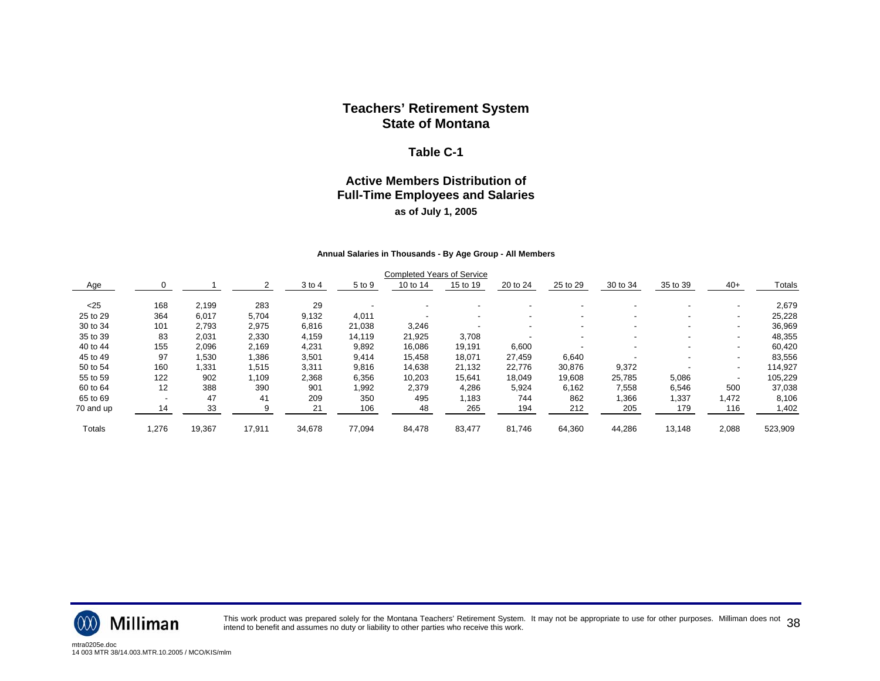#### **Table C-1**

## **Active Members Distribution of Full-Time Employees and Salaries as of July 1, 2005**

#### **Annual Salaries in Thousands - By Age Group - All Members**

|           |                          |        |        |        |        | <b>Completed Years of Service</b> |                          |          |                          |          |                          |                          |         |
|-----------|--------------------------|--------|--------|--------|--------|-----------------------------------|--------------------------|----------|--------------------------|----------|--------------------------|--------------------------|---------|
| Age       |                          |        |        | 3 to 4 | 5 to 9 | 10 to 14                          | 15 to 19                 | 20 to 24 | 25 to 29                 | 30 to 34 | 35 to 39                 | $40+$                    | Totals  |
| $25$      | 168                      | 2,199  | 283    | 29     |        |                                   |                          |          |                          |          |                          | $\overline{\phantom{a}}$ | 2,679   |
| 25 to 29  | 364                      | 6,017  | 5,704  | 9,132  | 4,011  | $\overline{\phantom{0}}$          | $\overline{\phantom{a}}$ |          |                          |          |                          | $\overline{\phantom{a}}$ | 25,228  |
| 30 to 34  | 101                      | 2,793  | 2,975  | 6,816  | 21,038 | 3,246                             |                          |          |                          |          |                          | $\overline{\phantom{a}}$ | 36,969  |
| 35 to 39  | 83                       | 2,031  | 2,330  | 4,159  | 14,119 | 21,925                            | 3,708                    |          | $\overline{\phantom{a}}$ |          | $\overline{\phantom{0}}$ | $\overline{\phantom{a}}$ | 48,355  |
| 40 to 44  | 155                      | 2,096  | 2,169  | 4,231  | 9,892  | 16,086                            | 19,191                   | 6,600    |                          |          |                          | $\overline{\phantom{a}}$ | 60,420  |
| 45 to 49  | 97                       | 1,530  | ,386   | 3,501  | 9,414  | 15,458                            | 18,071                   | 27,459   | 6,640                    |          |                          | $\overline{\phantom{a}}$ | 83,556  |
| 50 to 54  | 160                      | 1,331  | 1,515  | 3,311  | 9,816  | 14,638                            | 21,132                   | 22,776   | 30,876                   | 9,372    |                          | $\overline{\phantom{a}}$ | 114,927 |
| 55 to 59  | 122                      | 902    | ,109   | 2,368  | 6,356  | 10,203                            | 15,641                   | 18.049   | 19,608                   | 25,785   | 5,086                    | $\overline{\phantom{a}}$ | 105,229 |
| 60 to 64  | 12                       | 388    | 390    | 901    | 1,992  | 2,379                             | 4,286                    | 5,924    | 6,162                    | 7,558    | 6,546                    | 500                      | 37,038  |
| 65 to 69  | $\overline{\phantom{a}}$ | 47     | 41     | 209    | 350    | 495                               | 1,183                    | 744      | 862                      | .366     | 1,337                    | ,472                     | 8,106   |
| 70 and up | 14                       | 33     |        | 21     | 106    | 48                                | 265                      | 194      | 212                      | 205      | 179                      | 116                      | 1,402   |
| Totals    | 1,276                    | 19,367 | 17,911 | 34,678 | 77,094 | 84,478                            | 83,477                   | 81,746   | 64,360                   | 44,286   | 13,148                   | 2,088                    | 523,909 |



This work product was prepared solely for the Montana Teachers' Retirement System. It may not be appropriate to use for other purposes. Milliman does not  $\,38$ <br>intend to benefit and assumes no duty or liability to other p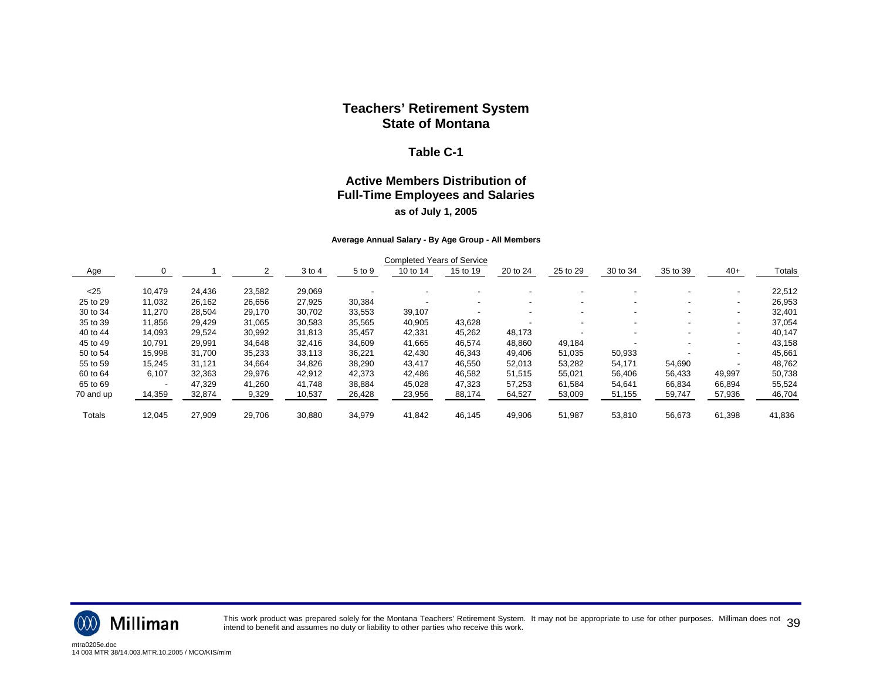#### **Table C-1**

### **Active Members Distribution of Full-Time Employees and Salaries as of July 1, 2005**

#### **Average Annual Salary - By Age Group - All Members**

|               |                          |        |        |        |        | <b>Completed Years of Service</b> |                          |          |                          |          |                          |                          |        |
|---------------|--------------------------|--------|--------|--------|--------|-----------------------------------|--------------------------|----------|--------------------------|----------|--------------------------|--------------------------|--------|
| Age           |                          |        |        | 3 to 4 | 5 to 9 | 10 to 14                          | 15 to 19                 | 20 to 24 | 25 to 29                 | 30 to 34 | 35 to 39                 | $40+$                    | Totals |
| $25$          | 10,479                   | 24,436 | 23,582 | 29,069 |        |                                   |                          |          |                          |          |                          | $\overline{\phantom{0}}$ | 22,512 |
| 25 to 29      | 11.032                   | 26,162 | 26,656 | 27.925 | 30,384 |                                   | $\overline{\phantom{a}}$ | -        | $\overline{\phantom{a}}$ |          | $\overline{\phantom{a}}$ | $\blacksquare$           | 26,953 |
| 30 to 34      | 11,270                   | 28,504 | 29,170 | 30,702 | 33,553 | 39,107                            |                          |          | $\overline{\phantom{0}}$ |          | $\overline{\phantom{a}}$ | $\overline{\phantom{0}}$ | 32,401 |
| 35 to 39      | 11,856                   | 29,429 | 31,065 | 30,583 | 35,565 | 40,905                            | 43,628                   |          |                          |          |                          | $\overline{\phantom{0}}$ | 37,054 |
| 40 to 44      | 14,093                   | 29,524 | 30,992 | 31,813 | 35,457 | 42,331                            | 45,262                   | 48,173   |                          |          | $\,$                     | $\overline{\phantom{0}}$ | 40.147 |
| 45 to 49      | 10,791                   | 29,991 | 34,648 | 32,416 | 34,609 | 41,665                            | 46,574                   | 48,860   | 49,184                   |          |                          | $\blacksquare$           | 43,158 |
| 50 to 54      | 15,998                   | 31,700 | 35,233 | 33,113 | 36,221 | 42,430                            | 46,343                   | 49,406   | 51,035                   | 50,933   |                          | $\blacksquare$           | 45,661 |
| 55 to 59      | 15,245                   | 31,121 | 34,664 | 34,826 | 38,290 | 43,417                            | 46,550                   | 52,013   | 53,282                   | 54,171   | 54,690                   |                          | 48,762 |
| 60 to 64      | 6,107                    | 32,363 | 29,976 | 42,912 | 42,373 | 42,486                            | 46,582                   | 51,515   | 55,021                   | 56,406   | 56,433                   | 49,997                   | 50,738 |
| 65 to 69      | $\overline{\phantom{a}}$ | 47.329 | 41.260 | 41.748 | 38,884 | 45,028                            | 47.323                   | 57,253   | 61,584                   | 54.641   | 66.834                   | 66,894                   | 55,524 |
| 70 and up     | 14,359                   | 32,874 | 9,329  | 10,537 | 26,428 | 23,956                            | 88,174                   | 64,527   | 53,009                   | 51,155   | 59,747                   | 57,936                   | 46,704 |
| <b>Totals</b> | 12,045                   | 27,909 | 29,706 | 30,880 | 34,979 | 41.842                            | 46,145                   | 49,906   | 51,987                   | 53,810   | 56,673                   | 61,398                   | 41,836 |



This work product was prepared solely for the Montana Teachers' Retirement System. It may not be appropriate to use for other purposes. Milliman does not  $~39$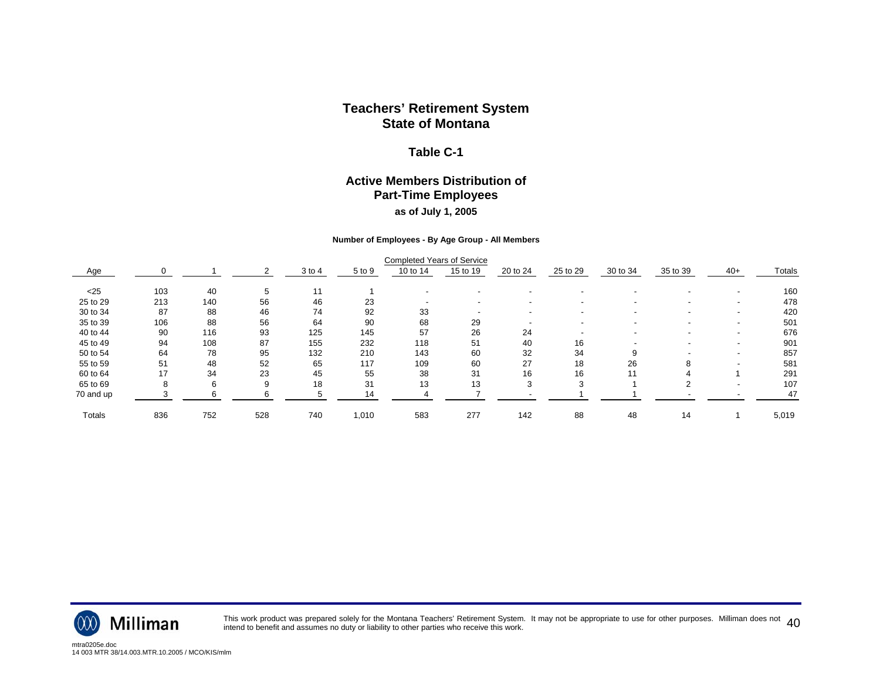#### **Table C-1**

#### **Active Members Distribution of Part-Time Employees as of July 1, 2005**

#### **Number of Employees - By Age Group - All Members**

|           |     |     |     |            |        | <b>Completed Years of Service</b> |          |          |                          |          |                          |                          |        |
|-----------|-----|-----|-----|------------|--------|-----------------------------------|----------|----------|--------------------------|----------|--------------------------|--------------------------|--------|
| Age       |     |     |     | $3$ to $4$ | 5 to 9 | 10 to 14                          | 15 to 19 | 20 to 24 | 25 to 29                 | 30 to 34 | 35 to 39                 | $40+$                    | Totals |
| $<$ 25    | 103 | 40  | 5   | 11         |        |                                   |          |          |                          |          |                          |                          | 160    |
| 25 to 29  | 213 | 140 | 56  | 46         | 23     |                                   |          |          | $\overline{\phantom{a}}$ |          | $\overline{\phantom{0}}$ | $\overline{\phantom{a}}$ | 478    |
| 30 to 34  | 87  | 88  | 46  | 74         | 92     | 33                                |          |          |                          |          |                          | $\blacksquare$           | 420    |
| 35 to 39  | 106 | 88  | 56  | 64         | 90     | 68                                | 29       |          |                          |          |                          | $\overline{\phantom{a}}$ | 501    |
| 40 to 44  | 90  | 116 | 93  | 125        | 145    | 57                                | 26       | 24       |                          |          | $\overline{\phantom{0}}$ | $\blacksquare$           | 676    |
| 45 to 49  | 94  | 108 | 87  | 155        | 232    | 118                               | 51       | 40       | 16                       |          |                          | $\overline{\phantom{a}}$ | 901    |
| 50 to 54  | 64  | 78  | 95  | 132        | 210    | 143                               | 60       | 32       | 34                       |          |                          | $\overline{\phantom{a}}$ | 857    |
| 55 to 59  | 51  | 48  | 52  | 65         | 117    | 109                               | 60       | 27       | 18                       | 26       | 8                        |                          | 581    |
| 60 to 64  | 17  | 34  | 23  | 45         | 55     | 38                                | 31       | 16       | 16                       |          |                          |                          | 291    |
| 65 to 69  |     | 6   | 9   | 18         | 31     | 13                                | 13       |          |                          |          |                          |                          | 107    |
| 70 and up |     |     |     |            | 14     |                                   |          |          |                          |          |                          |                          | 47     |
| Totals    | 836 | 752 | 528 | 740        | 1,010  | 583                               | 277      | 142      | 88                       | 48       | 14                       |                          | 5,019  |



This work product was prepared solely for the Montana Teachers' Retirement System. It may not be appropriate to use for other purposes. Milliman does not  $\ 40$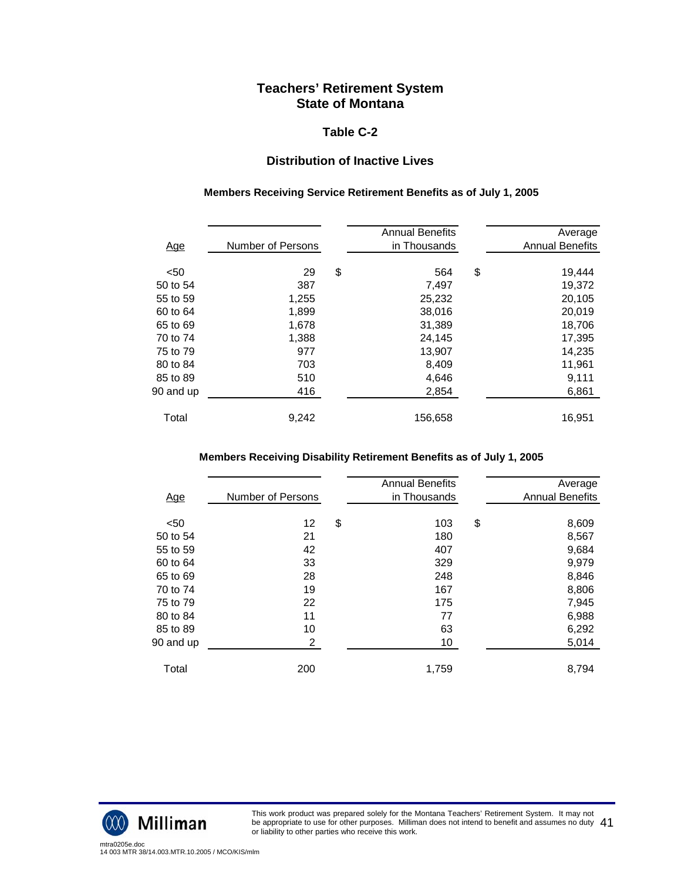#### **Table C-2**

## **Distribution of Inactive Lives**

#### **Members Receiving Service Retirement Benefits as of July 1, 2005**

| <u>Age</u> | Number of Persons | <b>Annual Benefits</b><br>in Thousands | Average<br><b>Annual Benefits</b> |
|------------|-------------------|----------------------------------------|-----------------------------------|
| < 50       | 29                | \$<br>564                              | \$<br>19,444                      |
| 50 to 54   | 387               | 7,497                                  | 19,372                            |
| 55 to 59   | 1,255             | 25,232                                 | 20,105                            |
| 60 to 64   | 1,899             | 38,016                                 | 20,019                            |
| 65 to 69   | 1,678             | 31,389                                 | 18,706                            |
| 70 to 74   | 1,388             | 24,145                                 | 17,395                            |
| 75 to 79   | 977               | 13,907                                 | 14,235                            |
| 80 to 84   | 703               | 8,409                                  | 11,961                            |
| 85 to 89   | 510               | 4,646                                  | 9,111                             |
| 90 and up  | 416               | 2,854                                  | 6,861                             |
| Total      | 9,242             | 156,658                                | 16,951                            |

#### **Members Receiving Disability Retirement Benefits as of July 1, 2005**

| <u>Age</u> | Number of Persons | <b>Annual Benefits</b><br>in Thousands | Average<br><b>Annual Benefits</b> |
|------------|-------------------|----------------------------------------|-----------------------------------|
| < 50       | 12                | \$<br>103                              | \$<br>8,609                       |
| 50 to 54   | 21                | 180                                    | 8,567                             |
| 55 to 59   | 42                | 407                                    | 9,684                             |
| 60 to 64   | 33                | 329                                    | 9,979                             |
| 65 to 69   | 28                | 248                                    | 8,846                             |
| 70 to 74   | 19                | 167                                    | 8,806                             |
| 75 to 79   | 22                | 175                                    | 7,945                             |
| 80 to 84   | 11                | 77                                     | 6,988                             |
| 85 to 89   | 10                | 63                                     | 6,292                             |
| 90 and up  | 2                 | 10                                     | 5,014                             |
| Total      | 200               | 1.759                                  | 8.794                             |



This work product was prepared solely for the Montana Teachers' Retirement System. It may not be appropriate to use for other purposes. Milliman does not intend to benefit and assumes no duty be appropriate to use for other purposes. Milliman does not intend to benefit and assumes no duty  $\ 41$ <br>or liability to other parties who receive this work.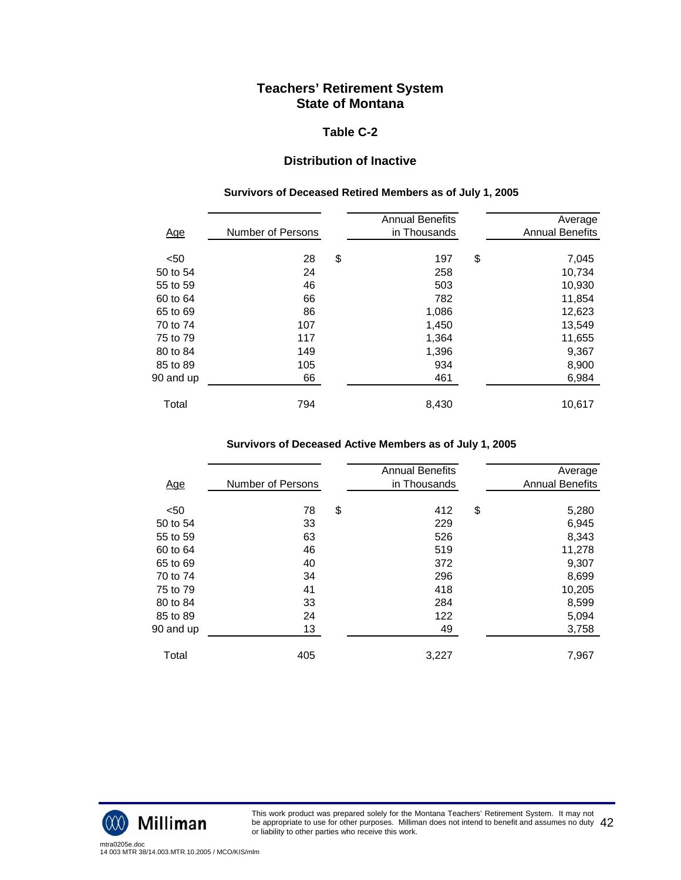#### **Table C-2**

## **Distribution of Inactive**

#### **Survivors of Deceased Retired Members as of July 1, 2005**

| <u>Age</u> | Number of Persons | <b>Annual Benefits</b><br>in Thousands | Average<br><b>Annual Benefits</b> |
|------------|-------------------|----------------------------------------|-----------------------------------|
| < 50       |                   | \$<br>197                              |                                   |
|            | 28                |                                        | \$<br>7,045                       |
| 50 to 54   | 24                | 258                                    | 10,734                            |
| 55 to 59   | 46                | 503                                    | 10,930                            |
| 60 to 64   | 66                | 782                                    | 11,854                            |
| 65 to 69   | 86                | 1,086                                  | 12,623                            |
| 70 to 74   | 107               | 1,450                                  | 13,549                            |
| 75 to 79   | 117               | 1,364                                  | 11,655                            |
| 80 to 84   | 149               | 1,396                                  | 9,367                             |
| 85 to 89   | 105               | 934                                    | 8,900                             |
| 90 and up  | 66                | 461                                    | 6,984                             |
| Total      | 794               | 8,430                                  | 10,617                            |

#### **Survivors of Deceased Active Members as of July 1, 2005**

|            |                   | <b>Annual Benefits</b> | Average                |
|------------|-------------------|------------------------|------------------------|
| <u>Age</u> | Number of Persons | in Thousands           | <b>Annual Benefits</b> |
|            |                   |                        |                        |
| < 50       | 78                | \$<br>412              | \$<br>5,280            |
| 50 to 54   | 33                | 229                    | 6,945                  |
| 55 to 59   | 63                | 526                    | 8,343                  |
| 60 to 64   | 46                | 519                    | 11,278                 |
| 65 to 69   | 40                | 372                    | 9,307                  |
| 70 to 74   | 34                | 296                    | 8,699                  |
| 75 to 79   | 41                | 418                    | 10,205                 |
| 80 to 84   | 33                | 284                    | 8,599                  |
| 85 to 89   | 24                | 122                    | 5,094                  |
| 90 and up  | 13                | 49                     | 3,758                  |
|            |                   |                        |                        |
| Total      | 405               | 3,227                  | 7,967                  |
|            |                   |                        |                        |



This work product was prepared solely for the Montana Teachers' Retirement System. It may not be appropriate to use for other purposes. Milliman does not intend to benefit and assumes no duty be appropriate to use for other purposes. Milliman does not intend to benefit and assumes no duty  $\ 42$ <br>or liability to other parties who receive this work.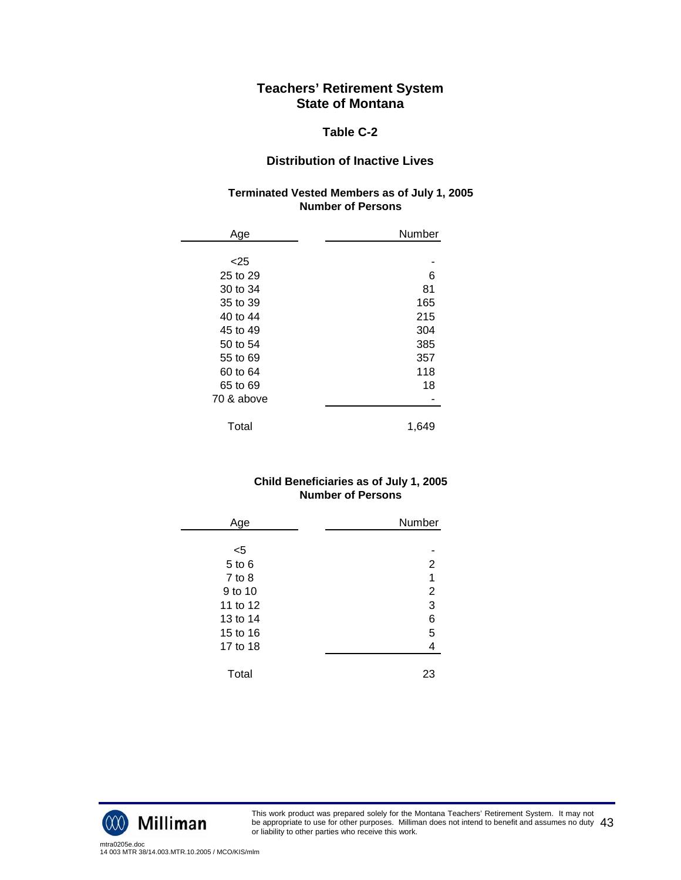#### **Table C-2**

## **Distribution of Inactive Lives**

#### **Terminated Vested Members as of July 1, 2005 Number of Persons**

| Age        | Number |
|------------|--------|
|            |        |
| $<$ 25     |        |
| 25 to 29   | 6      |
| 30 to 34   | 81     |
| 35 to 39   | 165    |
| 40 to 44   | 215    |
| 45 to 49   | 304    |
| 50 to 54   | 385    |
| 55 to 69   | 357    |
| 60 to 64   | 118    |
| 65 to 69   | 18     |
| 70 & above |        |
| Total      | 1,649  |

#### **Child Beneficiaries as of July 1, 2005 Number of Persons**

| Age        | Number         |
|------------|----------------|
|            |                |
| $<$ 5      |                |
| 5 to 6     | 2              |
| $7$ to $8$ | 1              |
| 9 to 10    | $\overline{2}$ |
| 11 to 12   | 3              |
| 13 to 14   | 6              |
| 15 to 16   | 5              |
| 17 to 18   | 4              |
|            |                |
| Total      | 23             |



This work product was prepared solely for the Montana Teachers' Retirement System. It may not be appropriate to use for other purposes. Milliman does not intend to benefit and assumes no duty be appropriate to use for other purposes. Milliman does not intend to benefit and assumes no duty  $\ 43$ <br>or liability to other parties who receive this work.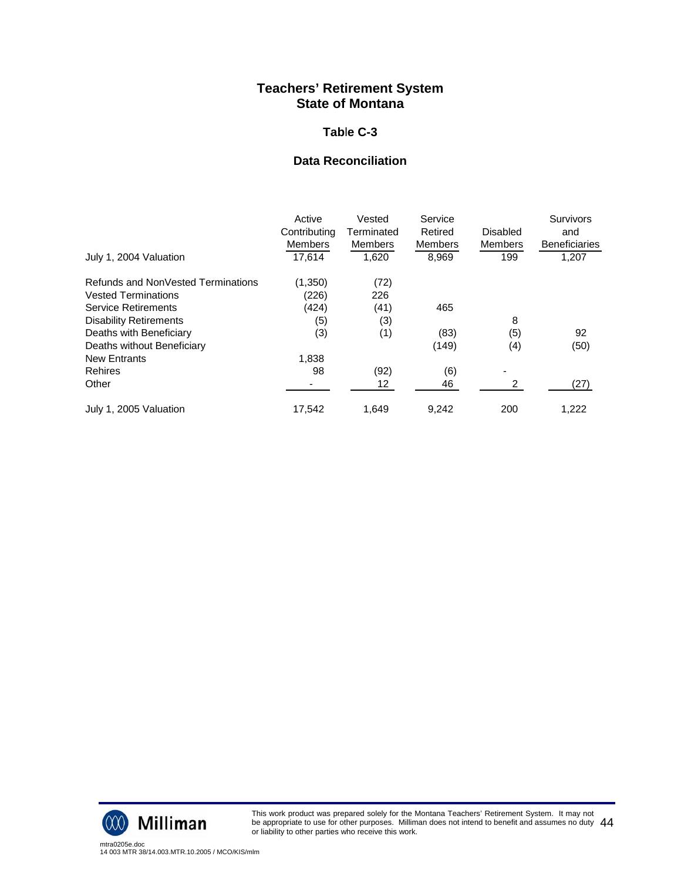#### **Tab**l**e C-3**

### **Data Reconciliation**

| July 1, 2004 Valuation             | Active<br>Contributing<br><b>Members</b><br>17.614 | Vested<br>Terminated<br><b>Members</b><br>1,620 | Service<br>Retired<br><b>Members</b><br>8,969 | Disabled<br><b>Members</b><br>199 | <b>Survivors</b><br>and<br><b>Beneficiaries</b><br>1,207 |
|------------------------------------|----------------------------------------------------|-------------------------------------------------|-----------------------------------------------|-----------------------------------|----------------------------------------------------------|
|                                    |                                                    |                                                 |                                               |                                   |                                                          |
| Refunds and NonVested Terminations | (1,350)                                            | (72)                                            |                                               |                                   |                                                          |
| <b>Vested Terminations</b>         | (226)                                              | 226                                             |                                               |                                   |                                                          |
| <b>Service Retirements</b>         | (424)                                              | (41)                                            | 465                                           |                                   |                                                          |
| <b>Disability Retirements</b>      | (5)                                                | (3)                                             |                                               | 8                                 |                                                          |
| Deaths with Beneficiary            | (3)                                                | (1)                                             | (83)                                          | (5)                               | 92                                                       |
| Deaths without Beneficiary         |                                                    |                                                 | (149)                                         | (4)                               | (50)                                                     |
| <b>New Entrants</b>                | 1,838                                              |                                                 |                                               |                                   |                                                          |
| <b>Rehires</b>                     | 98                                                 | (92)                                            | (6)                                           | -                                 |                                                          |
| Other                              |                                                    | 12                                              | 46                                            | 2                                 | (27)                                                     |
| July 1, 2005 Valuation             | 17.542                                             | 1.649                                           | 9.242                                         | 200                               | 1,222                                                    |



This work product was prepared solely for the Montana Teachers' Retirement System. It may not be appropriate to use for other purposes. Milliman does not intend to benefit and assumes no duty be appropriate to use for other purposes. Milliman does not intend to benefit and assumes no duty  $\ 44$ <br>or liability to other parties who receive this work.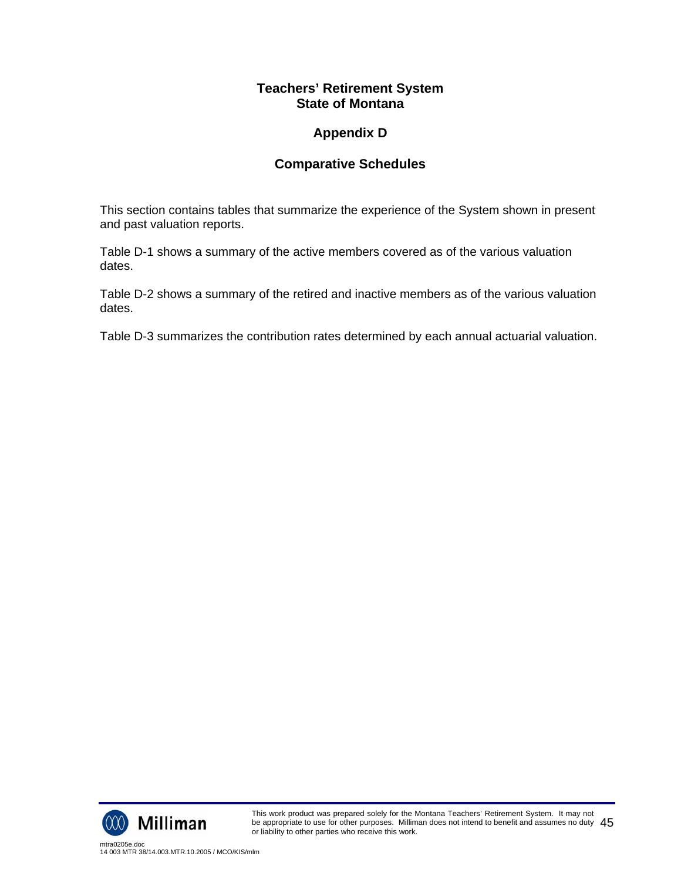# **Appendix D**

## **Comparative Schedules**

This section contains tables that summarize the experience of the System shown in present and past valuation reports.

Table D-1 shows a summary of the active members covered as of the various valuation dates.

Table D-2 shows a summary of the retired and inactive members as of the various valuation dates.

Table D-3 summarizes the contribution rates determined by each annual actuarial valuation.

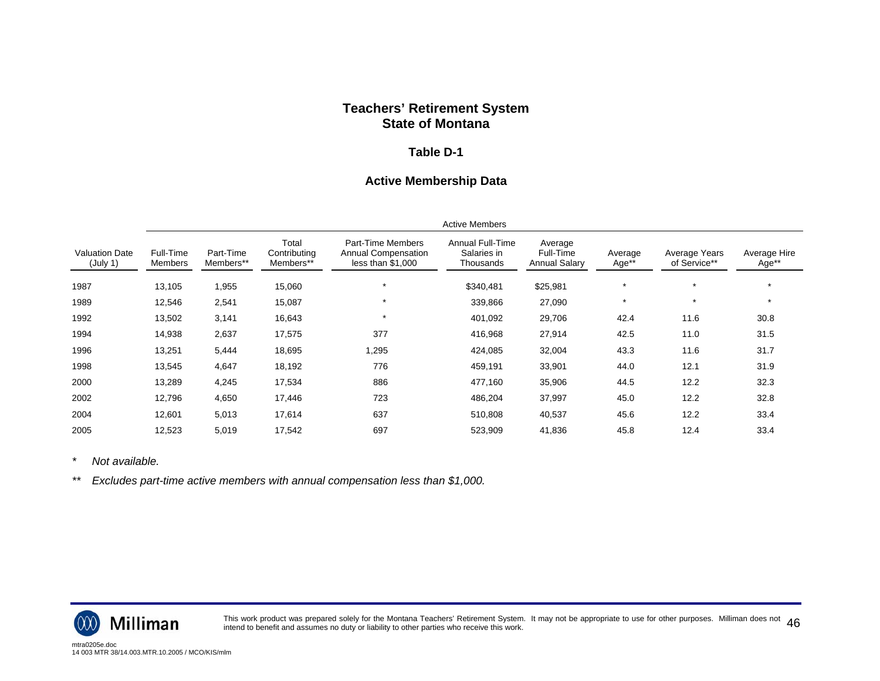#### **Table D-1**

#### **Active Membership Data**

|                                   | <b>Active Members</b> |                        |                                    |                                                                      |                                              |                                              |                  |                               |                       |
|-----------------------------------|-----------------------|------------------------|------------------------------------|----------------------------------------------------------------------|----------------------------------------------|----------------------------------------------|------------------|-------------------------------|-----------------------|
| <b>Valuation Date</b><br>(July 1) | Full-Time<br>Members  | Part-Time<br>Members** | Total<br>Contributina<br>Members** | Part-Time Members<br><b>Annual Compensation</b><br>less than \$1,000 | Annual Full-Time<br>Salaries in<br>Thousands | Average<br>Full-Time<br><b>Annual Salary</b> | Average<br>Age** | Average Years<br>of Service** | Average Hire<br>Age** |
| 1987                              | 13,105                | 1,955                  | 15,060                             | $\star$                                                              | \$340,481                                    | \$25,981                                     | $\star$          | $\star$                       |                       |
| 1989                              | 12,546                | 2,541                  | 15,087                             | $\star$                                                              | 339,866                                      | 27,090                                       | $\star$          | $\star$                       | $\star$               |
| 1992                              | 13,502                | 3,141                  | 16,643                             | $\star$                                                              | 401,092                                      | 29,706                                       | 42.4             | 11.6                          | 30.8                  |
| 1994                              | 14,938                | 2,637                  | 17,575                             | 377                                                                  | 416,968                                      | 27,914                                       | 42.5             | 11.0                          | 31.5                  |
| 1996                              | 13,251                | 5,444                  | 18,695                             | ,295                                                                 | 424,085                                      | 32,004                                       | 43.3             | 11.6                          | 31.7                  |
| 1998                              | 13,545                | 4,647                  | 18,192                             | 776                                                                  | 459,191                                      | 33,901                                       | 44.0             | 12.1                          | 31.9                  |
| 2000                              | 13,289                | 4,245                  | 17,534                             | 886                                                                  | 477,160                                      | 35,906                                       | 44.5             | 12.2                          | 32.3                  |
| 2002                              | 12,796                | 4,650                  | 17,446                             | 723                                                                  | 486,204                                      | 37,997                                       | 45.0             | 12.2                          | 32.8                  |
| 2004                              | 12,601                | 5,013                  | 17,614                             | 637                                                                  | 510,808                                      | 40,537                                       | 45.6             | 12.2                          | 33.4                  |
| 2005                              | 12,523                | 5,019                  | 17,542                             | 697                                                                  | 523,909                                      | 41,836                                       | 45.8             | 12.4                          | 33.4                  |

*\* Not available.* 

*\*\* Excludes part-time active members with annual compensation less than \$1,000.* 



This work product was prepared solely for the Montana Teachers' Retirement System. It may not be appropriate to use for other purposes. Milliman does not  $\ 46$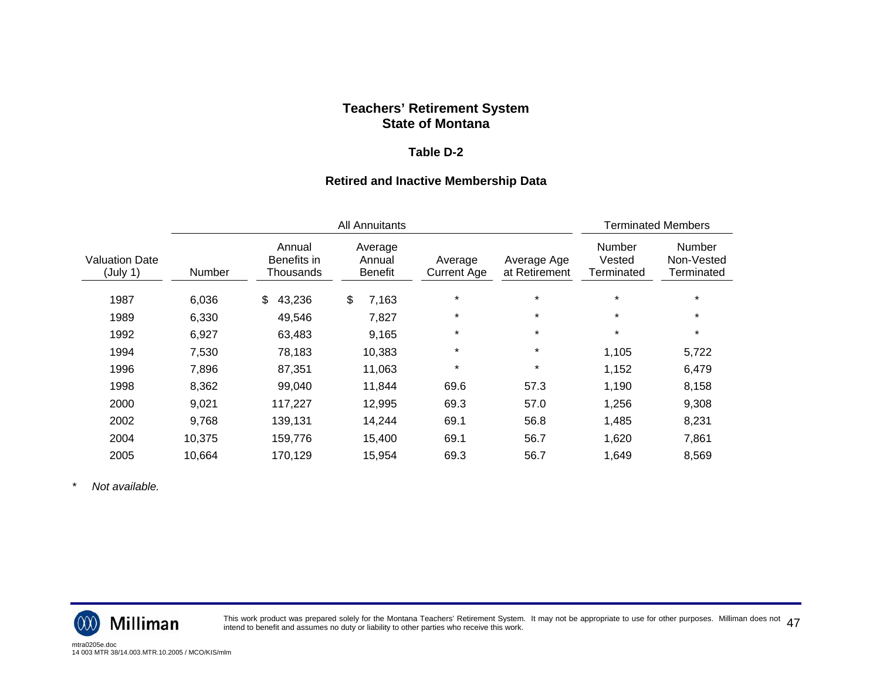#### **Table D-2**

#### **Retired and Inactive Membership Data**

|                                   |        |                                    | <b>Terminated Members</b>           |                               |                              |                                       |                                           |
|-----------------------------------|--------|------------------------------------|-------------------------------------|-------------------------------|------------------------------|---------------------------------------|-------------------------------------------|
| <b>Valuation Date</b><br>(July 1) | Number | Annual<br>Benefits in<br>Thousands | Average<br>Annual<br><b>Benefit</b> | Average<br><b>Current Age</b> | Average Age<br>at Retirement | <b>Number</b><br>Vested<br>Terminated | <b>Number</b><br>Non-Vested<br>Terminated |
| 1987                              | 6,036  | 43,236<br>\$                       | \$<br>7,163                         | $\star$                       | $\star$                      | $\star$                               | $\star$                                   |
| 1989                              | 6,330  | 49,546                             | 7,827                               | $^\star$                      | $\star$                      | $\star$                               | $\star$                                   |
| 1992                              | 6,927  | 63,483                             | 9,165                               | $^\star$                      | $\star$                      | $\star$                               | $\star$                                   |
| 1994                              | 7,530  | 78,183                             | 10,383                              | $\star$                       | $\star$                      | 1,105                                 | 5,722                                     |
| 1996                              | 7,896  | 87,351                             | 11,063                              | $^\star$                      | $\star$                      | 1,152                                 | 6,479                                     |
| 1998                              | 8,362  | 99,040                             | 11,844                              | 69.6                          | 57.3                         | 1,190                                 | 8,158                                     |
| 2000                              | 9,021  | 117,227                            | 12,995                              | 69.3                          | 57.0                         | 1,256                                 | 9,308                                     |
| 2002                              | 9,768  | 139,131                            | 14,244                              | 69.1                          | 56.8                         | 1,485                                 | 8,231                                     |
| 2004                              | 10,375 | 159,776                            | 15,400                              | 69.1                          | 56.7                         | 1,620                                 | 7,861                                     |
| 2005                              | 10,664 | 170,129                            | 15,954                              | 69.3                          | 56.7                         | 1,649                                 | 8,569                                     |

*\* Not available.* 



This work product was prepared solely for the Montana Teachers' Retirement System. It may not be appropriate to use for other purposes. Milliman does not  $\ 47$ <br>intend to benefit and assumes no duty or liability to other p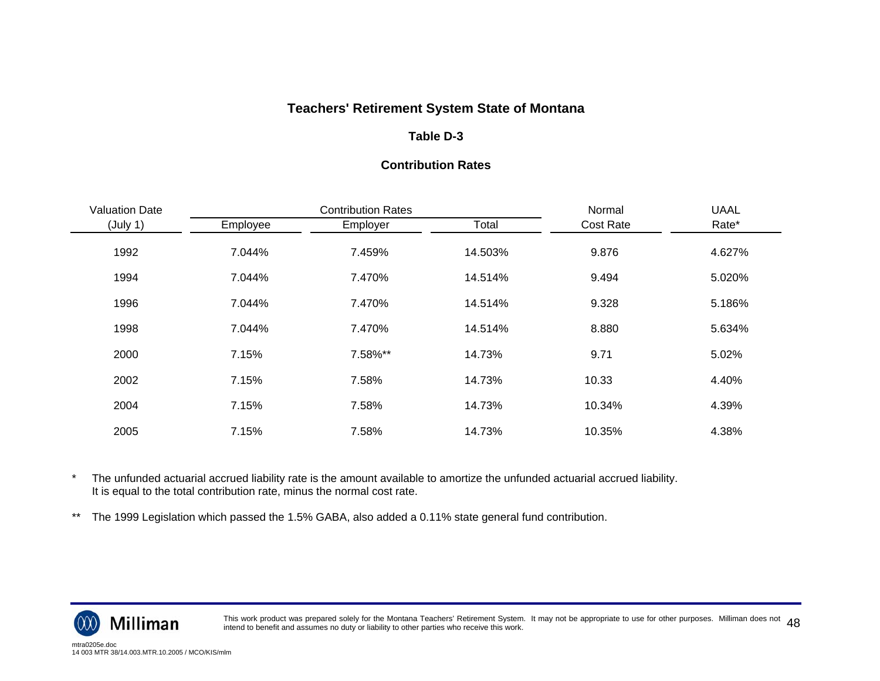## **Table D-3**

#### **Contribution Rates**

| <b>Valuation Date</b> |          | <b>Contribution Rates</b> | Normal  | <b>UAAL</b>      |        |
|-----------------------|----------|---------------------------|---------|------------------|--------|
| (July 1)              | Employee | Employer                  | Total   | <b>Cost Rate</b> | Rate*  |
| 1992                  | 7.044%   | 7.459%                    | 14.503% | 9.876            | 4.627% |
| 1994                  | 7.044%   | 7.470%                    | 14.514% | 9.494            | 5.020% |
| 1996                  | 7.044%   | 7.470%                    | 14.514% | 9.328            | 5.186% |
| 1998                  | 7.044%   | 7.470%                    | 14.514% | 8.880            | 5.634% |
| 2000                  | 7.15%    | 7.58%**                   | 14.73%  | 9.71             | 5.02%  |
| 2002                  | 7.15%    | 7.58%                     | 14.73%  | 10.33            | 4.40%  |
| 2004                  | 7.15%    | 7.58%                     | 14.73%  | 10.34%           | 4.39%  |
| 2005                  | 7.15%    | 7.58%                     | 14.73%  | 10.35%           | 4.38%  |

\* The unfunded actuarial accrued liability rate is the amount available to amortize the unfunded actuarial accrued liability. It is equal to the total contribution rate, minus the normal cost rate.

\*\* The 1999 Legislation which passed the 1.5% GABA, also added a 0.11% state general fund contribution.



This work product was prepared solely for the Montana Teachers' Retirement System. It may not be appropriate to use for other purposes. Milliman does not  $\,\,48$ <br>intend to benefit and assumes no duty or liability to other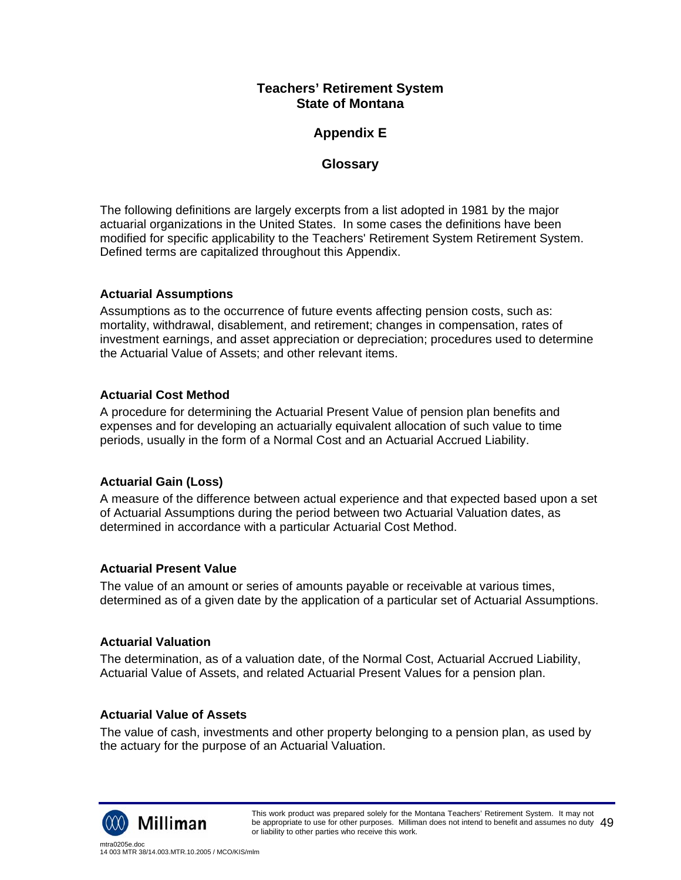## **Appendix E**

## **Glossary**

The following definitions are largely excerpts from a list adopted in 1981 by the major actuarial organizations in the United States. In some cases the definitions have been modified for specific applicability to the Teachers' Retirement System Retirement System. Defined terms are capitalized throughout this Appendix.

## **Actuarial Assumptions**

Assumptions as to the occurrence of future events affecting pension costs, such as: mortality, withdrawal, disablement, and retirement; changes in compensation, rates of investment earnings, and asset appreciation or depreciation; procedures used to determine the Actuarial Value of Assets; and other relevant items.

## **Actuarial Cost Method**

A procedure for determining the Actuarial Present Value of pension plan benefits and expenses and for developing an actuarially equivalent allocation of such value to time periods, usually in the form of a Normal Cost and an Actuarial Accrued Liability.

## **Actuarial Gain (Loss)**

A measure of the difference between actual experience and that expected based upon a set of Actuarial Assumptions during the period between two Actuarial Valuation dates, as determined in accordance with a particular Actuarial Cost Method.

#### **Actuarial Present Value**

The value of an amount or series of amounts payable or receivable at various times, determined as of a given date by the application of a particular set of Actuarial Assumptions.

### **Actuarial Valuation**

The determination, as of a valuation date, of the Normal Cost, Actuarial Accrued Liability, Actuarial Value of Assets, and related Actuarial Present Values for a pension plan.

#### **Actuarial Value of Assets**

The value of cash, investments and other property belonging to a pension plan, as used by the actuary for the purpose of an Actuarial Valuation.

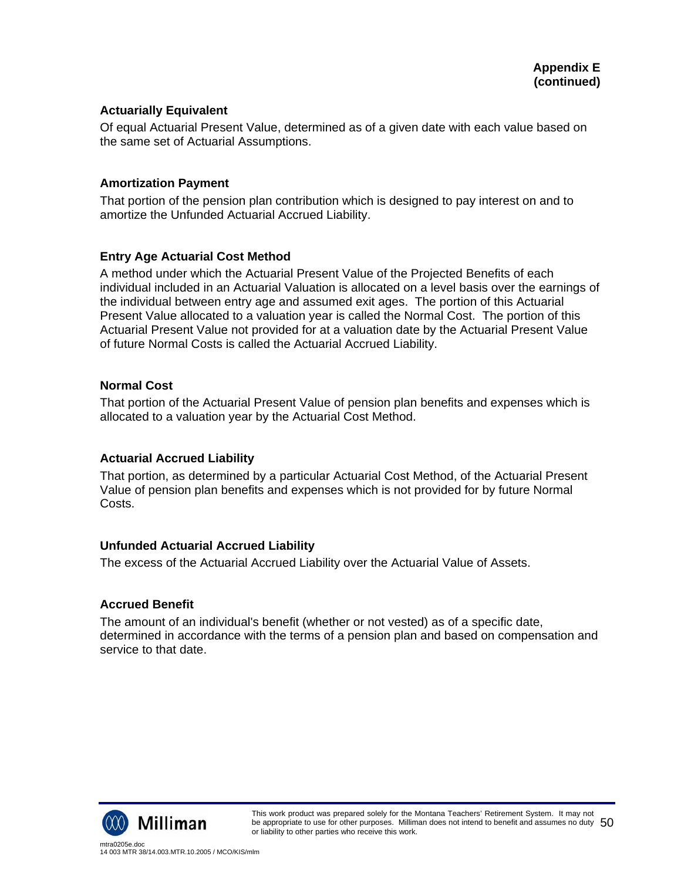#### **Actuarially Equivalent**

Of equal Actuarial Present Value, determined as of a given date with each value based on the same set of Actuarial Assumptions.

#### **Amortization Payment**

That portion of the pension plan contribution which is designed to pay interest on and to amortize the Unfunded Actuarial Accrued Liability.

#### **Entry Age Actuarial Cost Method**

A method under which the Actuarial Present Value of the Projected Benefits of each individual included in an Actuarial Valuation is allocated on a level basis over the earnings of the individual between entry age and assumed exit ages. The portion of this Actuarial Present Value allocated to a valuation year is called the Normal Cost. The portion of this Actuarial Present Value not provided for at a valuation date by the Actuarial Present Value of future Normal Costs is called the Actuarial Accrued Liability.

#### **Normal Cost**

That portion of the Actuarial Present Value of pension plan benefits and expenses which is allocated to a valuation year by the Actuarial Cost Method.

#### **Actuarial Accrued Liability**

That portion, as determined by a particular Actuarial Cost Method, of the Actuarial Present Value of pension plan benefits and expenses which is not provided for by future Normal Costs.

#### **Unfunded Actuarial Accrued Liability**

The excess of the Actuarial Accrued Liability over the Actuarial Value of Assets.

#### **Accrued Benefit**

The amount of an individual's benefit (whether or not vested) as of a specific date, determined in accordance with the terms of a pension plan and based on compensation and service to that date.